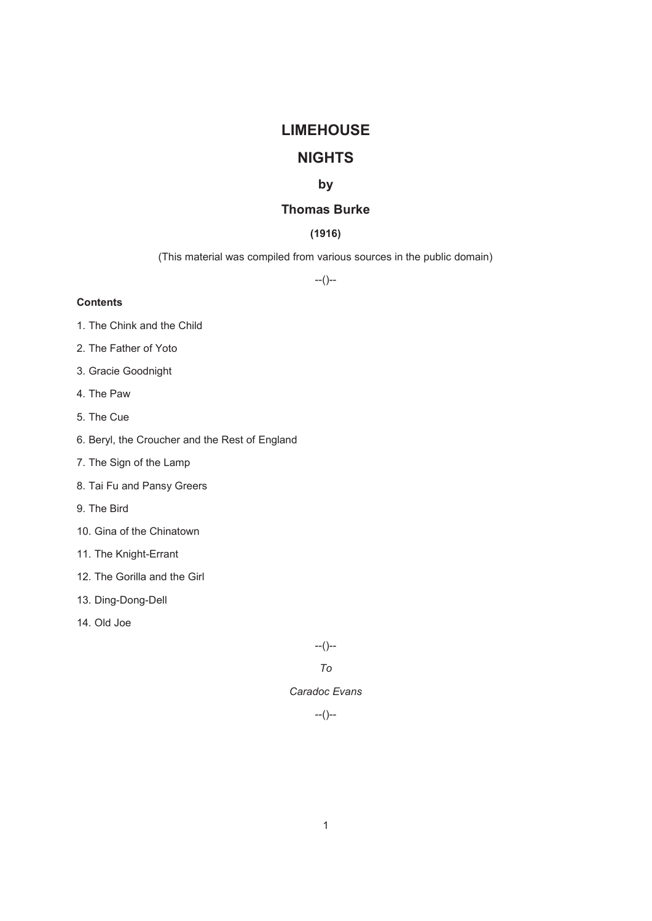# **LIMEHOUSE**

# **NIGHTS**

## **by**

# **Thomas Burke**

## **(1916)**

(This material was compiled from various sources in the public domain)

--()--

## **Contents**

- 1. The Chink and the Child
- 2. The Father of Yoto
- 3. Gracie Goodnight
- 4. The Paw
- 5. The Cue
- 6. Beryl, the Croucher and the Rest of England
- 7. The Sign of the Lamp
- 8. Tai Fu and Pansy Greers
- 9. The Bird
- 10. Gina of the Chinatown
- 11. The Knight-Errant
- 12. The Gorilla and the Girl
- 13. Ding-Dong-Dell
- 14. Old Joe

--()--

*To* 

## *Caradoc Evans*

 $-(-)$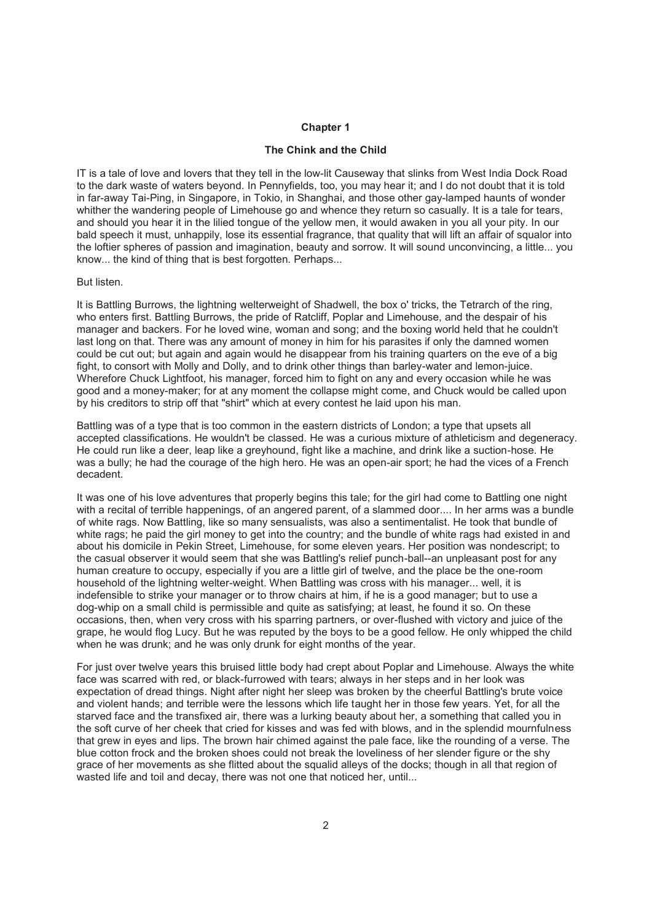## **Chapter 1**

### **The Chink and the Child**

IT is a tale of love and lovers that they tell in the low-lit Causeway that slinks from West India Dock Road to the dark waste of waters beyond. In Pennyfields, too, you may hear it; and I do not doubt that it is told in far-away Tai-Ping, in Singapore, in Tokio, in Shanghai, and those other gay-lamped haunts of wonder whither the wandering people of Limehouse go and whence they return so casually. It is a tale for tears, and should you hear it in the lilied tongue of the yellow men, it would awaken in you all your pity. In our bald speech it must, unhappily, lose its essential fragrance, that quality that will lift an affair of squalor into the loftier spheres of passion and imagination, beauty and sorrow. It will sound unconvincing, a little... you know... the kind of thing that is best forgotten. Perhaps...

#### But listen.

It is Battling Burrows, the lightning welterweight of Shadwell, the box o' tricks, the Tetrarch of the ring, who enters first. Battling Burrows, the pride of Ratcliff, Poplar and Limehouse, and the despair of his manager and backers. For he loved wine, woman and song; and the boxing world held that he couldn't last long on that. There was any amount of money in him for his parasites if only the damned women could be cut out; but again and again would he disappear from his training quarters on the eve of a big fight, to consort with Molly and Dolly, and to drink other things than barley-water and lemon-juice. Wherefore Chuck Lightfoot, his manager, forced him to fight on any and every occasion while he was good and a money-maker; for at any moment the collapse might come, and Chuck would be called upon by his creditors to strip off that "shirt" which at every contest he laid upon his man.

Battling was of a type that is too common in the eastern districts of London; a type that upsets all accepted classifications. He wouldn't be classed. He was a curious mixture of athleticism and degeneracy. He could run like a deer, leap like a greyhound, fight like a machine, and drink like a suction-hose. He was a bully; he had the courage of the high hero. He was an open-air sport; he had the vices of a French decadent.

It was one of his love adventures that properly begins this tale; for the girl had come to Battling one night with a recital of terrible happenings, of an angered parent, of a slammed door.... In her arms was a bundle of white rags. Now Battling, like so many sensualists, was also a sentimentalist. He took that bundle of white rags; he paid the girl money to get into the country; and the bundle of white rags had existed in and about his domicile in Pekin Street, Limehouse, for some eleven years. Her position was nondescript; to the casual observer it would seem that she was Battling's relief punch-ball--an unpleasant post for any human creature to occupy, especially if you are a little girl of twelve, and the place be the one-room household of the lightning welter-weight. When Battling was cross with his manager... well, it is indefensible to strike your manager or to throw chairs at him, if he is a good manager; but to use a dog-whip on a small child is permissible and quite as satisfying; at least, he found it so. On these occasions, then, when very cross with his sparring partners, or over-flushed with victory and juice of the grape, he would flog Lucy. But he was reputed by the boys to be a good fellow. He only whipped the child when he was drunk; and he was only drunk for eight months of the year.

For just over twelve years this bruised little body had crept about Poplar and Limehouse. Always the white face was scarred with red, or black-furrowed with tears; always in her steps and in her look was expectation of dread things. Night after night her sleep was broken by the cheerful Battling's brute voice and violent hands; and terrible were the lessons which life taught her in those few years. Yet, for all the starved face and the transfixed air, there was a lurking beauty about her, a something that called you in the soft curve of her cheek that cried for kisses and was fed with blows, and in the splendid mournfulness that grew in eyes and lips. The brown hair chimed against the pale face, like the rounding of a verse. The blue cotton frock and the broken shoes could not break the loveliness of her slender figure or the shy grace of her movements as she flitted about the squalid alleys of the docks; though in all that region of wasted life and toil and decay, there was not one that noticed her, until...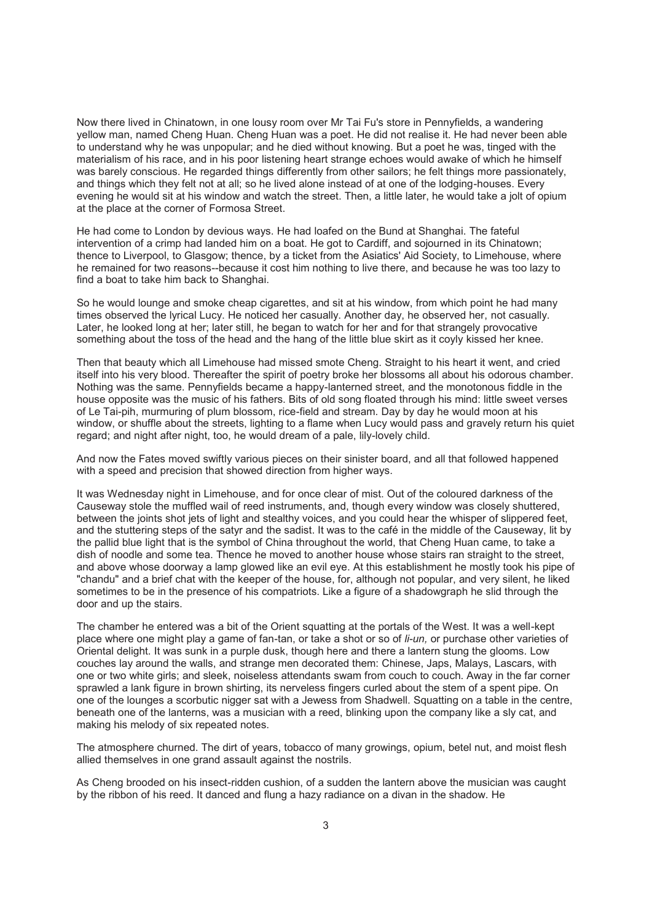Now there lived in Chinatown, in one lousy room over Mr Tai Fu's store in Pennyfields, a wandering yellow man, named Cheng Huan. Cheng Huan was a poet. He did not realise it. He had never been able to understand why he was unpopular; and he died without knowing. But a poet he was, tinged with the materialism of his race, and in his poor listening heart strange echoes would awake of which he himself was barely conscious. He regarded things differently from other sailors; he felt things more passionately, and things which they felt not at all; so he lived alone instead of at one of the lodging-houses. Every evening he would sit at his window and watch the street. Then, a little later, he would take a jolt of opium at the place at the corner of Formosa Street.

He had come to London by devious ways. He had loafed on the Bund at Shanghai. The fateful intervention of a crimp had landed him on a boat. He got to Cardiff, and sojourned in its Chinatown; thence to Liverpool, to Glasgow; thence, by a ticket from the Asiatics' Aid Society, to Limehouse, where he remained for two reasons--because it cost him nothing to live there, and because he was too lazy to find a boat to take him back to Shanghai.

So he would lounge and smoke cheap cigarettes, and sit at his window, from which point he had many times observed the lyrical Lucy. He noticed her casually. Another day, he observed her, not casually. Later, he looked long at her; later still, he began to watch for her and for that strangely provocative something about the toss of the head and the hang of the little blue skirt as it coyly kissed her knee.

Then that beauty which all Limehouse had missed smote Cheng. Straight to his heart it went, and cried itself into his very blood. Thereafter the spirit of poetry broke her blossoms all about his odorous chamber. Nothing was the same. Pennyfields became a happy-lanterned street, and the monotonous fiddle in the house opposite was the music of his fathers. Bits of old song floated through his mind: little sweet verses of Le Tai-pih, murmuring of plum blossom, rice-field and stream. Day by day he would moon at his window, or shuffle about the streets, lighting to a flame when Lucy would pass and gravely return his quiet regard; and night after night, too, he would dream of a pale, lily-lovely child.

And now the Fates moved swiftly various pieces on their sinister board, and all that followed happened with a speed and precision that showed direction from higher ways.

It was Wednesday night in Limehouse, and for once clear of mist. Out of the coloured darkness of the Causeway stole the muffled wail of reed instruments, and, though every window was closely shuttered, between the joints shot jets of light and stealthy voices, and you could hear the whisper of slippered feet, and the stuttering steps of the satyr and the sadist. It was to the café in the middle of the Causeway, lit by the pallid blue light that is the symbol of China throughout the world, that Cheng Huan came, to take a dish of noodle and some tea. Thence he moved to another house whose stairs ran straight to the street, and above whose doorway a lamp glowed like an evil eye. At this establishment he mostly took his pipe of "chandu" and a brief chat with the keeper of the house, for, although not popular, and very silent, he liked sometimes to be in the presence of his compatriots. Like a figure of a shadowgraph he slid through the door and up the stairs.

The chamber he entered was a bit of the Orient squatting at the portals of the West. It was a well-kept place where one might play a game of fan-tan, or take a shot or so of *li-un,* or purchase other varieties of Oriental delight. It was sunk in a purple dusk, though here and there a lantern stung the glooms. Low couches lay around the walls, and strange men decorated them: Chinese, Japs, Malays, Lascars, with one or two white girls; and sleek, noiseless attendants swam from couch to couch. Away in the far corner sprawled a lank figure in brown shirting, its nerveless fingers curled about the stem of a spent pipe. On one of the lounges a scorbutic nigger sat with a Jewess from Shadwell. Squatting on a table in the centre, beneath one of the lanterns, was a musician with a reed, blinking upon the company like a sly cat, and making his melody of six repeated notes.

The atmosphere churned. The dirt of years, tobacco of many growings, opium, betel nut, and moist flesh allied themselves in one grand assault against the nostrils.

As Cheng brooded on his insect-ridden cushion, of a sudden the lantern above the musician was caught by the ribbon of his reed. It danced and flung a hazy radiance on a divan in the shadow. He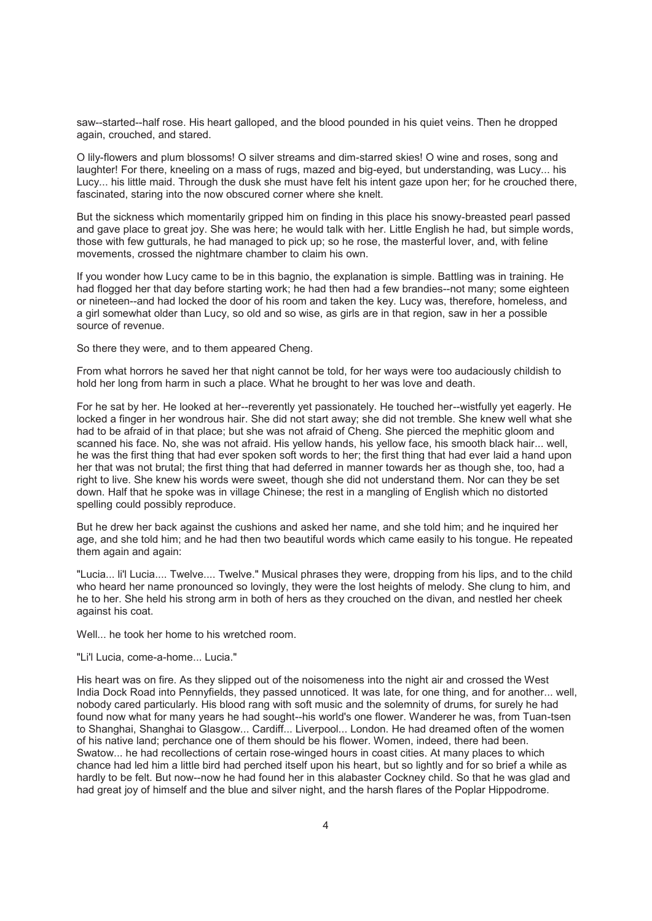saw--started--half rose. His heart galloped, and the blood pounded in his quiet veins. Then he dropped again, crouched, and stared.

O lily-flowers and plum blossoms! O silver streams and dim-starred skies! O wine and roses, song and laughter! For there, kneeling on a mass of rugs, mazed and big-eyed, but understanding, was Lucy... his Lucy... his little maid. Through the dusk she must have felt his intent gaze upon her; for he crouched there, fascinated, staring into the now obscured corner where she knelt.

But the sickness which momentarily gripped him on finding in this place his snowy-breasted pearl passed and gave place to great joy. She was here; he would talk with her. Little English he had, but simple words, those with few gutturals, he had managed to pick up; so he rose, the masterful lover, and, with feline movements, crossed the nightmare chamber to claim his own.

If you wonder how Lucy came to be in this bagnio, the explanation is simple. Battling was in training. He had flogged her that day before starting work; he had then had a few brandies--not many; some eighteen or nineteen--and had locked the door of his room and taken the key. Lucy was, therefore, homeless, and a girl somewhat older than Lucy, so old and so wise, as girls are in that region, saw in her a possible source of revenue.

So there they were, and to them appeared Cheng.

From what horrors he saved her that night cannot be told, for her ways were too audaciously childish to hold her long from harm in such a place. What he brought to her was love and death.

For he sat by her. He looked at her--reverently yet passionately. He touched her--wistfully yet eagerly. He locked a finger in her wondrous hair. She did not start away; she did not tremble. She knew well what she had to be afraid of in that place; but she was not afraid of Cheng. She pierced the mephitic gloom and scanned his face. No, she was not afraid. His yellow hands, his yellow face, his smooth black hair... well, he was the first thing that had ever spoken soft words to her; the first thing that had ever laid a hand upon her that was not brutal; the first thing that had deferred in manner towards her as though she, too, had a right to live. She knew his words were sweet, though she did not understand them. Nor can they be set down. Half that he spoke was in village Chinese; the rest in a mangling of English which no distorted spelling could possibly reproduce.

But he drew her back against the cushions and asked her name, and she told him; and he inquired her age, and she told him; and he had then two beautiful words which came easily to his tongue. He repeated them again and again:

"Lucia... li'l Lucia.... Twelve.... Twelve." Musical phrases they were, dropping from his lips, and to the child who heard her name pronounced so lovingly, they were the lost heights of melody. She clung to him, and he to her. She held his strong arm in both of hers as they crouched on the divan, and nestled her cheek against his coat.

Well... he took her home to his wretched room.

### "Li'l Lucia, come-a-home... Lucia."

His heart was on fire. As they slipped out of the noisomeness into the night air and crossed the West India Dock Road into Pennyfields, they passed unnoticed. It was late, for one thing, and for another... well, nobody cared particularly. His blood rang with soft music and the solemnity of drums, for surely he had found now what for many years he had sought--his world's one flower. Wanderer he was, from Tuan-tsen to Shanghai, Shanghai to Glasgow... Cardiff... Liverpool... London. He had dreamed often of the women of his native land; perchance one of them should be his flower. Women, indeed, there had been. Swatow... he had recollections of certain rose-winged hours in coast cities. At many places to which chance had led him a little bird had perched itself upon his heart, but so lightly and for so brief a while as hardly to be felt. But now--now he had found her in this alabaster Cockney child. So that he was glad and had great joy of himself and the blue and silver night, and the harsh flares of the Poplar Hippodrome.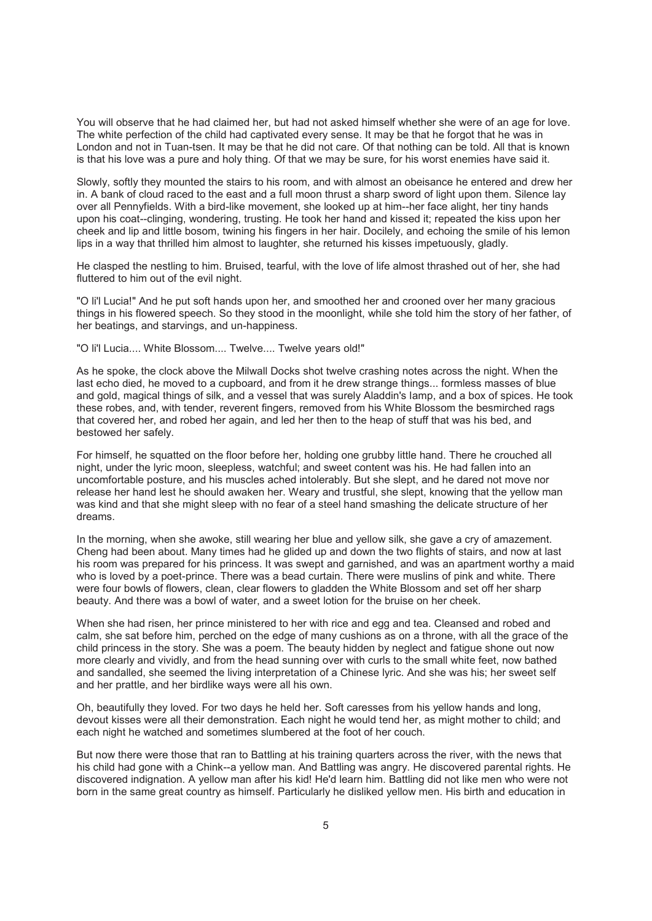You will observe that he had claimed her, but had not asked himself whether she were of an age for love. The white perfection of the child had captivated every sense. It may be that he forgot that he was in London and not in Tuan-tsen. It may be that he did not care. Of that nothing can be told. All that is known is that his love was a pure and holy thing. Of that we may be sure, for his worst enemies have said it.

Slowly, softly they mounted the stairs to his room, and with almost an obeisance he entered and drew her in. A bank of cloud raced to the east and a full moon thrust a sharp sword of light upon them. Silence lay over all Pennyfields. With a bird-like movement, she looked up at him--her face alight, her tiny hands upon his coat--clinging, wondering, trusting. He took her hand and kissed it; repeated the kiss upon her cheek and lip and little bosom, twining his fingers in her hair. Docilely, and echoing the smile of his lemon lips in a way that thrilled him almost to laughter, she returned his kisses impetuously, gladly.

He clasped the nestling to him. Bruised, tearful, with the love of life almost thrashed out of her, she had fluttered to him out of the evil night.

"O li'l Lucia!" And he put soft hands upon her, and smoothed her and crooned over her many gracious things in his flowered speech. So they stood in the moonlight, while she told him the story of her father, of her beatings, and starvings, and un-happiness.

"O li'l Lucia.... White Blossom.... Twelve.... Twelve years old!"

As he spoke, the clock above the Milwall Docks shot twelve crashing notes across the night. When the last echo died, he moved to a cupboard, and from it he drew strange things... formless masses of blue and gold, magical things of silk, and a vessel that was surely Aladdin's lamp, and a box of spices. He took these robes, and, with tender, reverent fingers, removed from his White Blossom the besmirched rags that covered her, and robed her again, and led her then to the heap of stuff that was his bed, and bestowed her safely.

For himself, he squatted on the floor before her, holding one grubby little hand. There he crouched all night, under the lyric moon, sleepless, watchful; and sweet content was his. He had fallen into an uncomfortable posture, and his muscles ached intolerably. But she slept, and he dared not move nor release her hand lest he should awaken her. Weary and trustful, she slept, knowing that the yellow man was kind and that she might sleep with no fear of a steel hand smashing the delicate structure of her dreams.

In the morning, when she awoke, still wearing her blue and yellow silk, she gave a cry of amazement. Cheng had been about. Many times had he glided up and down the two flights of stairs, and now at last his room was prepared for his princess. It was swept and garnished, and was an apartment worthy a maid who is loved by a poet-prince. There was a bead curtain. There were muslins of pink and white. There were four bowls of flowers, clean, clear flowers to gladden the White Blossom and set off her sharp beauty. And there was a bowl of water, and a sweet lotion for the bruise on her cheek.

When she had risen, her prince ministered to her with rice and egg and tea. Cleansed and robed and calm, she sat before him, perched on the edge of many cushions as on a throne, with all the grace of the child princess in the story. She was a poem. The beauty hidden by neglect and fatigue shone out now more clearly and vividly, and from the head sunning over with curls to the small white feet, now bathed and sandalled, she seemed the living interpretation of a Chinese lyric. And she was his; her sweet self and her prattle, and her birdlike ways were all his own.

Oh, beautifully they loved. For two days he held her. Soft caresses from his yellow hands and long, devout kisses were all their demonstration. Each night he would tend her, as might mother to child; and each night he watched and sometimes slumbered at the foot of her couch.

But now there were those that ran to Battling at his training quarters across the river, with the news that his child had gone with a Chink--a yellow man. And Battling was angry. He discovered parental rights. He discovered indignation. A yellow man after his kid! He'd learn him. Battling did not like men who were not born in the same great country as himself. Particularly he disliked yellow men. His birth and education in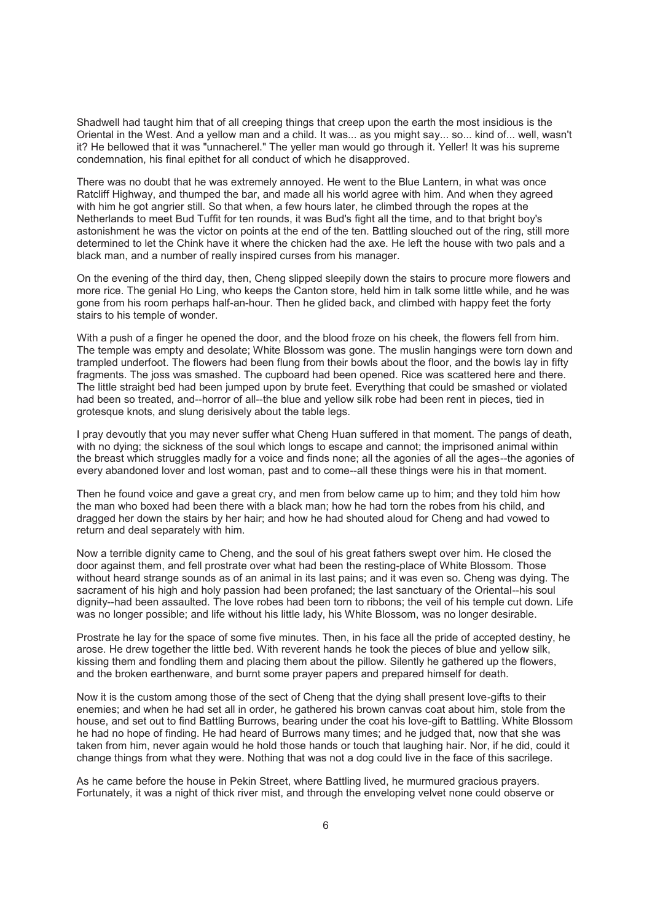Shadwell had taught him that of all creeping things that creep upon the earth the most insidious is the Oriental in the West. And a yellow man and a child. It was... as you might say... so... kind of... well, wasn't it? He bellowed that it was "unnacherel." The yeller man would go through it. Yeller! It was his supreme condemnation, his final epithet for all conduct of which he disapproved.

There was no doubt that he was extremely annoyed. He went to the Blue Lantern, in what was once Ratcliff Highway, and thumped the bar, and made all his world agree with him. And when they agreed with him he got angrier still. So that when, a few hours later, he climbed through the ropes at the Netherlands to meet Bud Tuffit for ten rounds, it was Bud's fight all the time, and to that bright boy's astonishment he was the victor on points at the end of the ten. Battling slouched out of the ring, still more determined to let the Chink have it where the chicken had the axe. He left the house with two pals and a black man, and a number of really inspired curses from his manager.

On the evening of the third day, then, Cheng slipped sleepily down the stairs to procure more flowers and more rice. The genial Ho Ling, who keeps the Canton store, held him in talk some little while, and he was gone from his room perhaps half-an-hour. Then he glided back, and climbed with happy feet the forty stairs to his temple of wonder.

With a push of a finger he opened the door, and the blood froze on his cheek, the flowers fell from him. The temple was empty and desolate; White Blossom was gone. The muslin hangings were torn down and trampled underfoot. The flowers had been flung from their bowls about the floor, and the bowls lay in fifty fragments. The joss was smashed. The cupboard had been opened. Rice was scattered here and there. The little straight bed had been jumped upon by brute feet. Everything that could be smashed or violated had been so treated, and--horror of all--the blue and yellow silk robe had been rent in pieces, tied in grotesque knots, and slung derisively about the table legs.

I pray devoutly that you may never suffer what Cheng Huan suffered in that moment. The pangs of death, with no dying; the sickness of the soul which longs to escape and cannot; the imprisoned animal within the breast which struggles madly for a voice and finds none; all the agonies of all the ages--the agonies of every abandoned lover and lost woman, past and to come--all these things were his in that moment.

Then he found voice and gave a great cry, and men from below came up to him; and they told him how the man who boxed had been there with a black man; how he had torn the robes from his child, and dragged her down the stairs by her hair; and how he had shouted aloud for Cheng and had vowed to return and deal separately with him.

Now a terrible dignity came to Cheng, and the soul of his great fathers swept over him. He closed the door against them, and fell prostrate over what had been the resting-place of White Blossom. Those without heard strange sounds as of an animal in its last pains; and it was even so. Cheng was dying. The sacrament of his high and holy passion had been profaned; the last sanctuary of the Oriental--his soul dignity--had been assaulted. The love robes had been torn to ribbons; the veil of his temple cut down. Life was no longer possible; and life without his little lady, his White Blossom, was no longer desirable.

Prostrate he lay for the space of some five minutes. Then, in his face all the pride of accepted destiny, he arose. He drew together the little bed. With reverent hands he took the pieces of blue and yellow silk, kissing them and fondling them and placing them about the pillow. Silently he gathered up the flowers, and the broken earthenware, and burnt some prayer papers and prepared himself for death.

Now it is the custom among those of the sect of Cheng that the dying shall present love-gifts to their enemies; and when he had set all in order, he gathered his brown canvas coat about him, stole from the house, and set out to find Battling Burrows, bearing under the coat his love-gift to Battling. White Blossom he had no hope of finding. He had heard of Burrows many times; and he judged that, now that she was taken from him, never again would he hold those hands or touch that laughing hair. Nor, if he did, could it change things from what they were. Nothing that was not a dog could live in the face of this sacrilege.

As he came before the house in Pekin Street, where Battling lived, he murmured gracious prayers. Fortunately, it was a night of thick river mist, and through the enveloping velvet none could observe or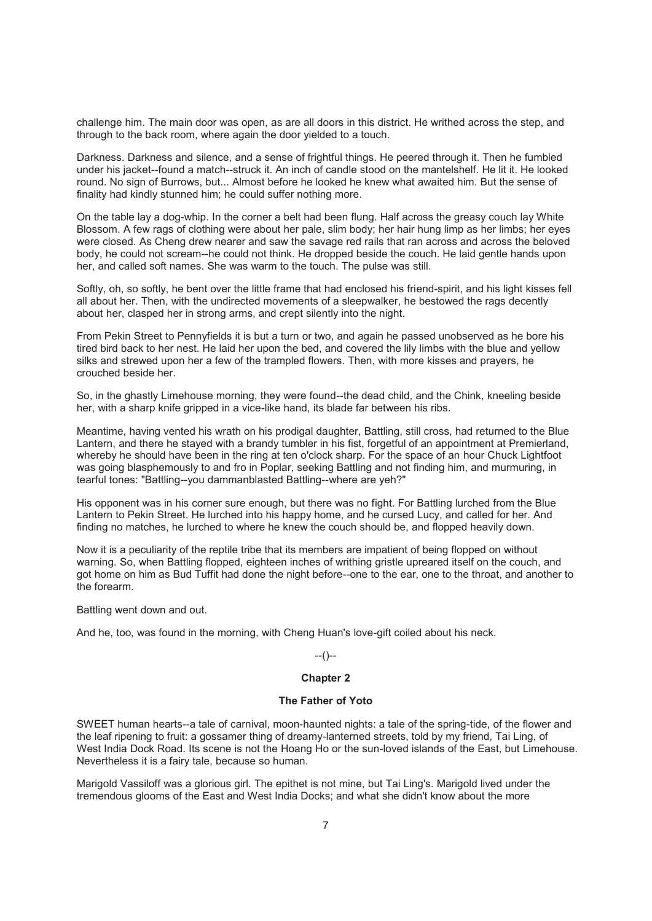challenge him. The main door was open, as are all doors in this district. He writhed across the step, and through to the back room, where again the door yielded to a touch.

Darkness. Darkness and silence, and a sense of frightful things. He peered through it. Then he fumbled under his jacket--found a match--struck it. An inch of candle stood on the mantelshelf. He lit it. He looked round. No sign of Burrows, but... Almost before he looked he knew what awaited him. But the sense of finality had kindly stunned him; he could suffer nothing more.

On the table lay a dog-whip. In the corner a belt had been flung. Half across the greasy couch lay White Blossom. A few rags of clothing were about her pale, slim body; her hair hung limp as her limbs; her eyes were closed. As Cheng drew nearer and saw the savage red rails that ran across and across the beloved body, he could not scream--he could not think. He dropped beside the couch. He laid gentle hands upon her, and called soft names. She was warm to the touch. The pulse was still.

Softly, oh, so softly, he bent over the little frame that had enclosed his friend-spirit, and his light kisses fell all about her. Then, with the undirected movements of a sleepwalker, he bestowed the rags decently about her, clasped her in strong arms, and crept silently into the night.

From Pekin Street to Pennyfields it is but a turn or two, and again he passed unobserved as he bore his tired bird back to her nest. He laid her upon the bed, and covered the lily limbs with the blue and yellow silks and strewed upon her a few of the trampled flowers. Then, with more kisses and prayers, he crouched beside her.

So, in the ghastly Limehouse morning, they were found--the dead child, and the Chink, kneeling beside her, with a sharp knife gripped in a vice-like hand, its blade far between his ribs.

Meantime, having vented his wrath on his prodigal daughter, Battling, still cross, had returned to the Blue Lantern, and there he stayed with a brandy tumbler in his fist, forgetful of an appointment at Premierland, whereby he should have been in the ring at ten o'clock sharp. For the space of an hour Chuck Lightfoot was going blasphemously to and fro in Poplar, seeking Battling and not finding him, and murmuring, in tearful tones: "Battling--you dammanblasted Battling--where are yeh?"

His opponent was in his corner sure enough, but there was no fight. For Battling lurched from the Blue Lantern to Pekin Street. He lurched into his happy home, and he cursed Lucy, and called for her. And finding no matches, he lurched to where he knew the couch should be, and flopped heavily down.

Now it is a peculiarity of the reptile tribe that its members are impatient of being flopped on without warning. So, when Battling flopped, eighteen inches of writhing gristle upreared itself on the couch, and got home on him as Bud Tuffit had done the night before--one to the ear, one to the throat, and another to the forearm.

Battling went down and out.

And he, too, was found in the morning, with Cheng Huan's love-gift coiled about his neck.

## --()--

## **Chapter 2**

#### **The Father of Yoto**

SWEET human hearts--a tale of carnival, moon-haunted nights: a tale of the spring-tide, of the flower and the leaf ripening to fruit: a gossamer thing of dreamy-lanterned streets, told by my friend, Tai Ling, of West India Dock Road. Its scene is not the Hoang Ho or the sun-loved islands of the East, but Limehouse. Nevertheless it is a fairy tale, because so human.

Marigold Vassiloff was a glorious girl. The epithet is not mine, but Tai Ling's. Marigold lived under the tremendous glooms of the East and West India Docks; and what she didn't know about the more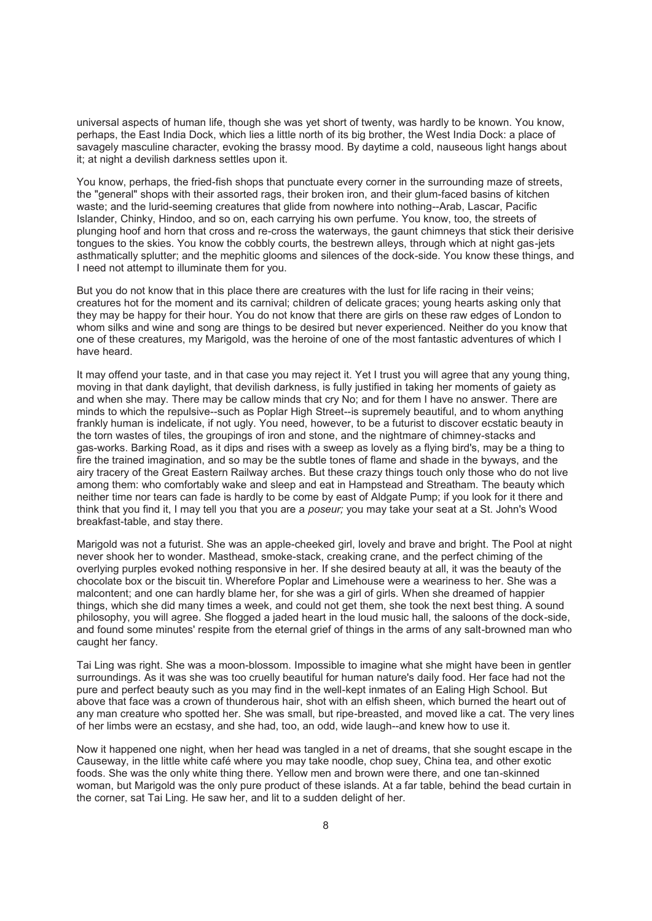universal aspects of human life, though she was yet short of twenty, was hardly to be known. You know, perhaps, the East India Dock, which lies a little north of its big brother, the West India Dock: a place of savagely masculine character, evoking the brassy mood. By daytime a cold, nauseous light hangs about it; at night a devilish darkness settles upon it.

You know, perhaps, the fried-fish shops that punctuate every corner in the surrounding maze of streets, the "general" shops with their assorted rags, their broken iron, and their glum-faced basins of kitchen waste; and the lurid-seeming creatures that glide from nowhere into nothing--Arab, Lascar, Pacific Islander, Chinky, Hindoo, and so on, each carrying his own perfume. You know, too, the streets of plunging hoof and horn that cross and re-cross the waterways, the gaunt chimneys that stick their derisive tongues to the skies. You know the cobbly courts, the bestrewn alleys, through which at night gas-jets asthmatically splutter; and the mephitic glooms and silences of the dock-side. You know these things, and I need not attempt to illuminate them for you.

But you do not know that in this place there are creatures with the lust for life racing in their veins; creatures hot for the moment and its carnival; children of delicate graces; young hearts asking only that they may be happy for their hour. You do not know that there are girls on these raw edges of London to whom silks and wine and song are things to be desired but never experienced. Neither do you know that one of these creatures, my Marigold, was the heroine of one of the most fantastic adventures of which I have heard.

It may offend your taste, and in that case you may reject it. Yet I trust you will agree that any young thing, moving in that dank daylight, that devilish darkness, is fully justified in taking her moments of gaiety as and when she may. There may be callow minds that cry No; and for them I have no answer. There are minds to which the repulsive--such as Poplar High Street--is supremely beautiful, and to whom anything frankly human is indelicate, if not ugly. You need, however, to be a futurist to discover ecstatic beauty in the torn wastes of tiles, the groupings of iron and stone, and the nightmare of chimney-stacks and gas-works. Barking Road, as it dips and rises with a sweep as lovely as a flying bird's, may be a thing to fire the trained imagination, and so may be the subtle tones of flame and shade in the byways, and the airy tracery of the Great Eastern Railway arches. But these crazy things touch only those who do not live among them: who comfortably wake and sleep and eat in Hampstead and Streatham. The beauty which neither time nor tears can fade is hardly to be come by east of Aldgate Pump; if you look for it there and think that you find it, I may tell you that you are a *poseur;* you may take your seat at a St. John's Wood breakfast-table, and stay there.

Marigold was not a futurist. She was an apple-cheeked girl, lovely and brave and bright. The Pool at night never shook her to wonder. Masthead, smoke-stack, creaking crane, and the perfect chiming of the overlying purples evoked nothing responsive in her. If she desired beauty at all, it was the beauty of the chocolate box or the biscuit tin. Wherefore Poplar and Limehouse were a weariness to her. She was a malcontent; and one can hardly blame her, for she was a girl of girls. When she dreamed of happier things, which she did many times a week, and could not get them, she took the next best thing. A sound philosophy, you will agree. She flogged a jaded heart in the loud music hall, the saloons of the dock-side, and found some minutes' respite from the eternal grief of things in the arms of any salt-browned man who caught her fancy.

Tai Ling was right. She was a moon-blossom. Impossible to imagine what she might have been in gentler surroundings. As it was she was too cruelly beautiful for human nature's daily food. Her face had not the pure and perfect beauty such as you may find in the well-kept inmates of an Ealing High School. But above that face was a crown of thunderous hair, shot with an elfish sheen, which burned the heart out of any man creature who spotted her. She was small, but ripe-breasted, and moved like a cat. The very lines of her limbs were an ecstasy, and she had, too, an odd, wide laugh--and knew how to use it.

Now it happened one night, when her head was tangled in a net of dreams, that she sought escape in the Causeway, in the little white café where you may take noodle, chop suey, China tea, and other exotic foods. She was the only white thing there. Yellow men and brown were there, and one tan-skinned woman, but Marigold was the only pure product of these islands. At a far table, behind the bead curtain in the corner, sat Tai Ling. He saw her, and lit to a sudden delight of her.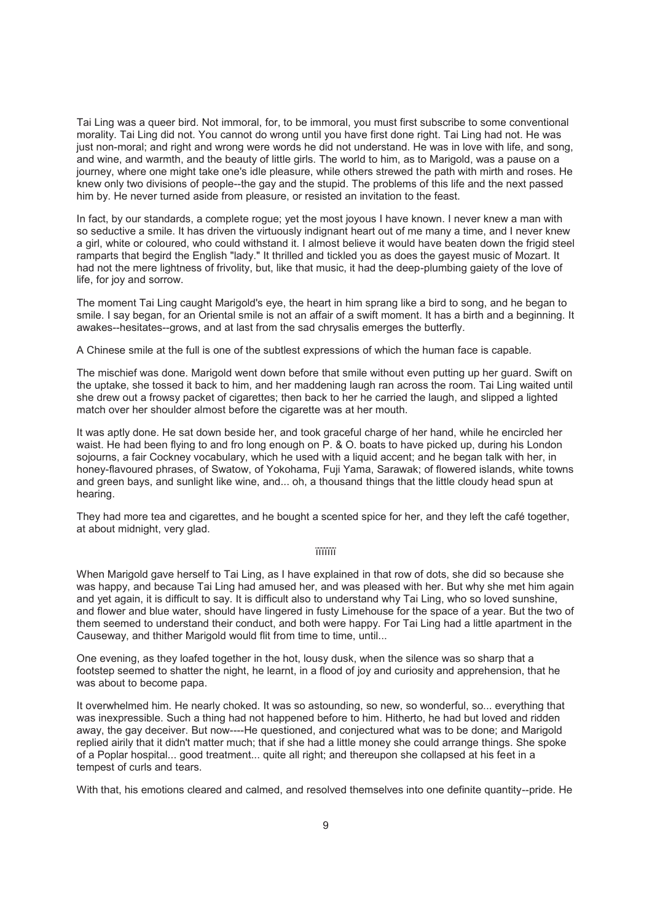Tai Ling was a queer bird. Not immoral, for, to be immoral, you must first subscribe to some conventional morality. Tai Ling did not. You cannot do wrong until you have first done right. Tai Ling had not. He was just non-moral; and right and wrong were words he did not understand. He was in love with life, and song, and wine, and warmth, and the beauty of little girls. The world to him, as to Marigold, was a pause on a journey, where one might take one's idle pleasure, while others strewed the path with mirth and roses. He knew only two divisions of people--the gay and the stupid. The problems of this life and the next passed him by. He never turned aside from pleasure, or resisted an invitation to the feast.

In fact, by our standards, a complete rogue; yet the most joyous I have known. I never knew a man with so seductive a smile. It has driven the virtuously indignant heart out of me many a time, and I never knew a girl, white or coloured, who could withstand it. I almost believe it would have beaten down the frigid steel ramparts that begird the English "lady." It thrilled and tickled you as does the gayest music of Mozart. It had not the mere lightness of frivolity, but, like that music, it had the deep-plumbing gaiety of the love of life, for joy and sorrow.

The moment Tai Ling caught Marigold's eye, the heart in him sprang like a bird to song, and he began to smile. I say began, for an Oriental smile is not an affair of a swift moment. It has a birth and a beginning. It awakes--hesitates--grows, and at last from the sad chrysalis emerges the butterfly.

A Chinese smile at the full is one of the subtlest expressions of which the human face is capable.

The mischief was done. Marigold went down before that smile without even putting up her guard. Swift on the uptake, she tossed it back to him, and her maddening laugh ran across the room. Tai Ling waited until she drew out a frowsy packet of cigarettes; then back to her he carried the laugh, and slipped a lighted match over her shoulder almost before the cigarette was at her mouth.

It was aptly done. He sat down beside her, and took graceful charge of her hand, while he encircled her waist. He had been flying to and fro long enough on P. & O. boats to have picked up, during his London sojourns, a fair Cockney vocabulary, which he used with a liquid accent; and he began talk with her, in honey-flavoured phrases, of Swatow, of Yokohama, Fuji Yama, Sarawak; of flowered islands, white towns and green bays, and sunlight like wine, and... oh, a thousand things that the little cloudy head spun at hearing.

They had more tea and cigarettes, and he bought a scented spice for her, and they left the café together, at about midnight, very glad.

#### ïïïïïïï

When Marigold gave herself to Tai Ling, as I have explained in that row of dots, she did so because she was happy, and because Tai Ling had amused her, and was pleased with her. But why she met him again and yet again, it is difficult to say. It is difficult also to understand why Tai Ling, who so loved sunshine, and flower and blue water, should have lingered in fusty Limehouse for the space of a year. But the two of them seemed to understand their conduct, and both were happy. For Tai Ling had a little apartment in the Causeway, and thither Marigold would flit from time to time, until...

One evening, as they loafed together in the hot, lousy dusk, when the silence was so sharp that a footstep seemed to shatter the night, he learnt, in a flood of joy and curiosity and apprehension, that he was about to become papa.

It overwhelmed him. He nearly choked. It was so astounding, so new, so wonderful, so... everything that was inexpressible. Such a thing had not happened before to him. Hitherto, he had but loved and ridden away, the gay deceiver. But now----He questioned, and conjectured what was to be done; and Marigold replied airily that it didn't matter much; that if she had a little money she could arrange things. She spoke of a Poplar hospital... good treatment... quite all right; and thereupon she collapsed at his feet in a tempest of curls and tears.

With that, his emotions cleared and calmed, and resolved themselves into one definite quantity--pride. He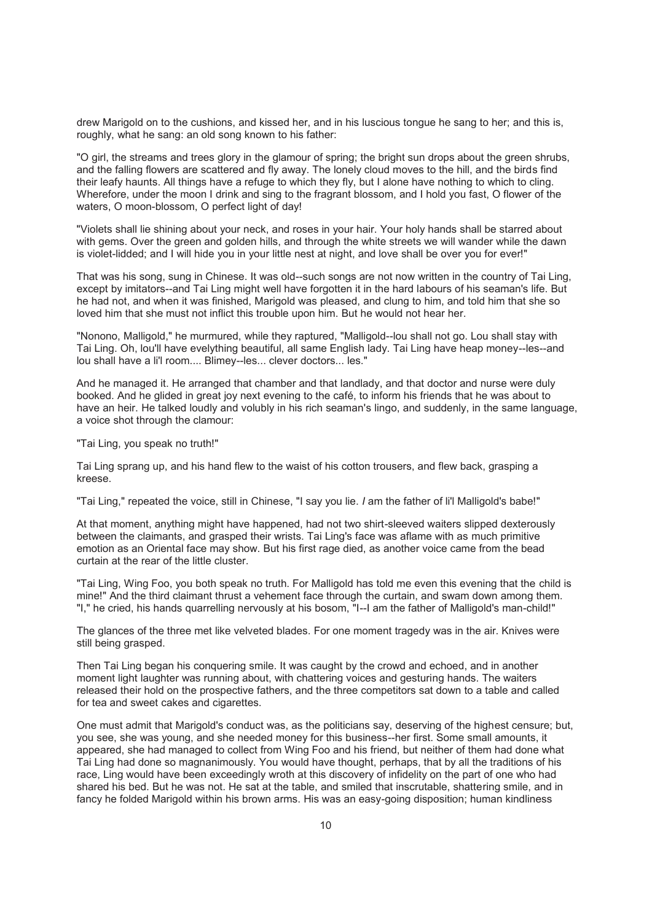drew Marigold on to the cushions, and kissed her, and in his luscious tongue he sang to her; and this is, roughly, what he sang: an old song known to his father:

"O girl, the streams and trees glory in the glamour of spring; the bright sun drops about the green shrubs, and the falling flowers are scattered and fly away. The lonely cloud moves to the hill, and the birds find their leafy haunts. All things have a refuge to which they fly, but I alone have nothing to which to cling. Wherefore, under the moon I drink and sing to the fragrant blossom, and I hold you fast, O flower of the waters, O moon-blossom, O perfect light of day!

"Violets shall lie shining about your neck, and roses in your hair. Your holy hands shall be starred about with gems. Over the green and golden hills, and through the white streets we will wander while the dawn is violet-lidded; and I will hide you in your little nest at night, and love shall be over you for ever!"

That was his song, sung in Chinese. It was old--such songs are not now written in the country of Tai Ling, except by imitators--and Tai Ling might well have forgotten it in the hard labours of his seaman's life. But he had not, and when it was finished, Marigold was pleased, and clung to him, and told him that she so loved him that she must not inflict this trouble upon him. But he would not hear her.

"Nonono, Malligold," he murmured, while they raptured, "Malligold--lou shall not go. Lou shall stay with Tai Ling. Oh, lou'll have evelything beautiful, all same English lady. Tai Ling have heap money--les--and lou shall have a li'l room.... Blimey--les... clever doctors... les."

And he managed it. He arranged that chamber and that landlady, and that doctor and nurse were duly booked. And he glided in great joy next evening to the café, to inform his friends that he was about to have an heir. He talked loudly and volubly in his rich seaman's lingo, and suddenly, in the same language, a voice shot through the clamour:

"Tai Ling, you speak no truth!"

Tai Ling sprang up, and his hand flew to the waist of his cotton trousers, and flew back, grasping a kreese.

"Tai Ling," repeated the voice, still in Chinese, "I say you lie. *I* am the father of li'l Malligold's babe!"

At that moment, anything might have happened, had not two shirt-sleeved waiters slipped dexterously between the claimants, and grasped their wrists. Tai Ling's face was aflame with as much primitive emotion as an Oriental face may show. But his first rage died, as another voice came from the bead curtain at the rear of the little cluster.

"Tai Ling, Wing Foo, you both speak no truth. For Malligold has told me even this evening that the child is mine!" And the third claimant thrust a vehement face through the curtain, and swam down among them. "I," he cried, his hands quarrelling nervously at his bosom, "I--I am the father of Malligold's man-child!"

The glances of the three met like velveted blades. For one moment tragedy was in the air. Knives were still being grasped.

Then Tai Ling began his conquering smile. It was caught by the crowd and echoed, and in another moment light laughter was running about, with chattering voices and gesturing hands. The waiters released their hold on the prospective fathers, and the three competitors sat down to a table and called for tea and sweet cakes and cigarettes.

One must admit that Marigold's conduct was, as the politicians say, deserving of the highest censure; but, you see, she was young, and she needed money for this business--her first. Some small amounts, it appeared, she had managed to collect from Wing Foo and his friend, but neither of them had done what Tai Ling had done so magnanimously. You would have thought, perhaps, that by all the traditions of his race, Ling would have been exceedingly wroth at this discovery of infidelity on the part of one who had shared his bed. But he was not. He sat at the table, and smiled that inscrutable, shattering smile, and in fancy he folded Marigold within his brown arms. His was an easy-going disposition; human kindliness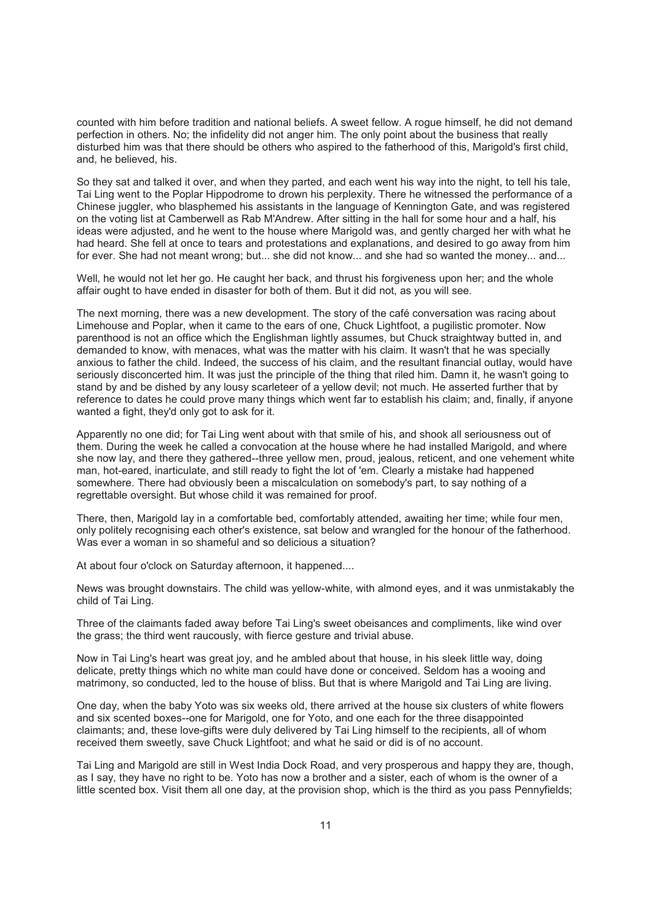counted with him before tradition and national beliefs. A sweet fellow. A rogue himself, he did not demand perfection in others. No; the infidelity did not anger him. The only point about the business that really disturbed him was that there should be others who aspired to the fatherhood of this, Marigold's first child, and, he believed, his.

So they sat and talked it over, and when they parted, and each went his way into the night, to tell his tale, Tai Ling went to the Poplar Hippodrome to drown his perplexity. There he witnessed the performance of a Chinese juggler, who blasphemed his assistants in the language of Kennington Gate, and was registered on the voting list at Camberwell as Rab M'Andrew. After sitting in the hall for some hour and a half, his ideas were adjusted, and he went to the house where Marigold was, and gently charged her with what he had heard. She fell at once to tears and protestations and explanations, and desired to go away from him for ever. She had not meant wrong; but... she did not know... and she had so wanted the money... and...

Well, he would not let her go. He caught her back, and thrust his forgiveness upon her; and the whole affair ought to have ended in disaster for both of them. But it did not, as you will see.

The next morning, there was a new development. The story of the café conversation was racing about Limehouse and Poplar, when it came to the ears of one, Chuck Lightfoot, a pugilistic promoter. Now parenthood is not an office which the Englishman lightly assumes, but Chuck straightway butted in, and demanded to know, with menaces, what was the matter with his claim. It wasn't that he was specially anxious to father the child. Indeed, the success of his claim, and the resultant financial outlay, would have seriously disconcerted him. It was just the principle of the thing that riled him. Damn it, he wasn't going to stand by and be dished by any lousy scarleteer of a yellow devil; not much. He asserted further that by reference to dates he could prove many things which went far to establish his claim; and, finally, if anyone wanted a fight, they'd only got to ask for it.

Apparently no one did; for Tai Ling went about with that smile of his, and shook all seriousness out of them. During the week he called a convocation at the house where he had installed Marigold, and where she now lay, and there they gathered--three yellow men, proud, jealous, reticent, and one vehement white man, hot-eared, inarticulate, and still ready to fight the lot of 'em. Clearly a mistake had happened somewhere. There had obviously been a miscalculation on somebody's part, to say nothing of a regrettable oversight. But whose child it was remained for proof.

There, then, Marigold lay in a comfortable bed, comfortably attended, awaiting her time; while four men, only politely recognising each other's existence, sat below and wrangled for the honour of the fatherhood. Was ever a woman in so shameful and so delicious a situation?

At about four o'clock on Saturday afternoon, it happened....

News was brought downstairs. The child was yellow-white, with almond eyes, and it was unmistakably the child of Tai Ling.

Three of the claimants faded away before Tai Ling's sweet obeisances and compliments, like wind over the grass; the third went raucously, with fierce gesture and trivial abuse.

Now in Tai Ling's heart was great joy, and he ambled about that house, in his sleek little way, doing delicate, pretty things which no white man could have done or conceived. Seldom has a wooing and matrimony, so conducted, led to the house of bliss. But that is where Marigold and Tai Ling are living.

One day, when the baby Yoto was six weeks old, there arrived at the house six clusters of white flowers and six scented boxes--one for Marigold, one for Yoto, and one each for the three disappointed claimants; and, these love-gifts were duly delivered by Tai Ling himself to the recipients, all of whom received them sweetly, save Chuck Lightfoot; and what he said or did is of no account.

Tai Ling and Marigold are still in West India Dock Road, and very prosperous and happy they are, though, as I say, they have no right to be. Yoto has now a brother and a sister, each of whom is the owner of a little scented box. Visit them all one day, at the provision shop, which is the third as you pass Pennyfields;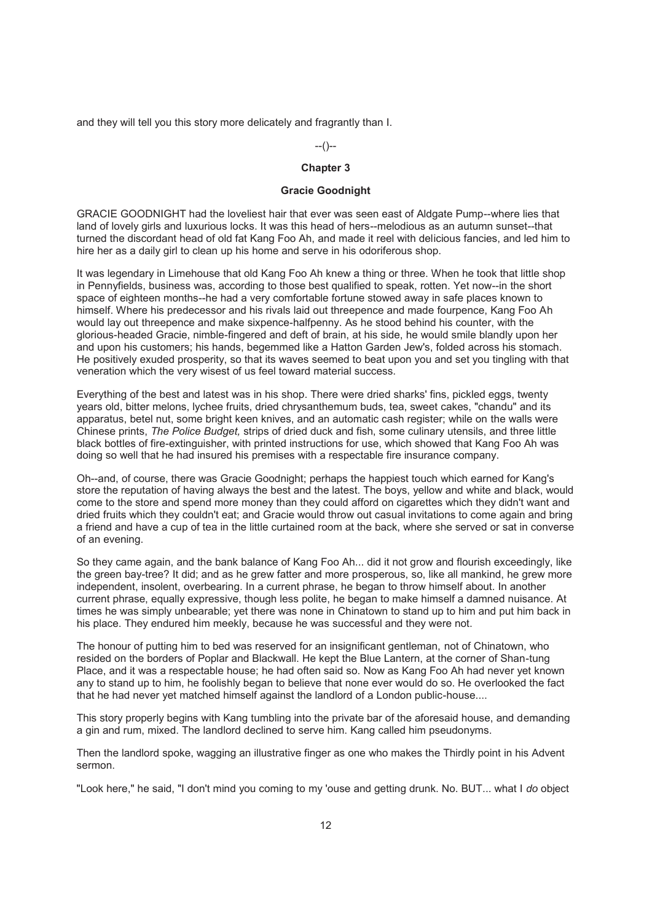and they will tell you this story more delicately and fragrantly than I.

--()--

## **Chapter 3**

### **Gracie Goodnight**

GRACIE GOODNIGHT had the loveliest hair that ever was seen east of Aldgate Pump--where lies that land of lovely girls and luxurious locks. It was this head of hers--melodious as an autumn sunset--that turned the discordant head of old fat Kang Foo Ah, and made it reel with delicious fancies, and led him to hire her as a daily girl to clean up his home and serve in his odoriferous shop.

It was legendary in Limehouse that old Kang Foo Ah knew a thing or three. When he took that little shop in Pennyfields, business was, according to those best qualified to speak, rotten. Yet now--in the short space of eighteen months--he had a very comfortable fortune stowed away in safe places known to himself. Where his predecessor and his rivals laid out threepence and made fourpence, Kang Foo Ah would lay out threepence and make sixpence-halfpenny. As he stood behind his counter, with the glorious-headed Gracie, nimble-fingered and deft of brain, at his side, he would smile blandly upon her and upon his customers; his hands, begemmed like a Hatton Garden Jew's, folded across his stomach. He positively exuded prosperity, so that its waves seemed to beat upon you and set you tingling with that veneration which the very wisest of us feel toward material success.

Everything of the best and latest was in his shop. There were dried sharks' fins, pickled eggs, twenty years old, bitter melons, lychee fruits, dried chrysanthemum buds, tea, sweet cakes, "chandu" and its apparatus, betel nut, some bright keen knives, and an automatic cash register; while on the walls were Chinese prints, *The Police Budget,* strips of dried duck and fish, some culinary utensils, and three little black bottles of fire-extinguisher, with printed instructions for use, which showed that Kang Foo Ah was doing so well that he had insured his premises with a respectable fire insurance company.

Oh--and, of course, there was Gracie Goodnight; perhaps the happiest touch which earned for Kang's store the reputation of having always the best and the latest. The boys, yellow and white and black, would come to the store and spend more money than they could afford on cigarettes which they didn't want and dried fruits which they couldn't eat; and Gracie would throw out casual invitations to come again and bring a friend and have a cup of tea in the little curtained room at the back, where she served or sat in converse of an evening.

So they came again, and the bank balance of Kang Foo Ah... did it not grow and flourish exceedingly, like the green bay-tree? It did; and as he grew fatter and more prosperous, so, like all mankind, he grew more independent, insolent, overbearing. In a current phrase, he began to throw himself about. In another current phrase, equally expressive, though less polite, he began to make himself a damned nuisance. At times he was simply unbearable; yet there was none in Chinatown to stand up to him and put him back in his place. They endured him meekly, because he was successful and they were not.

The honour of putting him to bed was reserved for an insignificant gentleman, not of Chinatown, who resided on the borders of Poplar and Blackwall. He kept the Blue Lantern, at the corner of Shan-tung Place, and it was a respectable house; he had often said so. Now as Kang Foo Ah had never yet known any to stand up to him, he foolishly began to believe that none ever would do so. He overlooked the fact that he had never yet matched himself against the landlord of a London public-house....

This story properly begins with Kang tumbling into the private bar of the aforesaid house, and demanding a gin and rum, mixed. The landlord declined to serve him. Kang called him pseudonyms.

Then the landlord spoke, wagging an illustrative finger as one who makes the Thirdly point in his Advent sermon.

"Look here," he said, "I don't mind you coming to my 'ouse and getting drunk. No. BUT... what I *do* object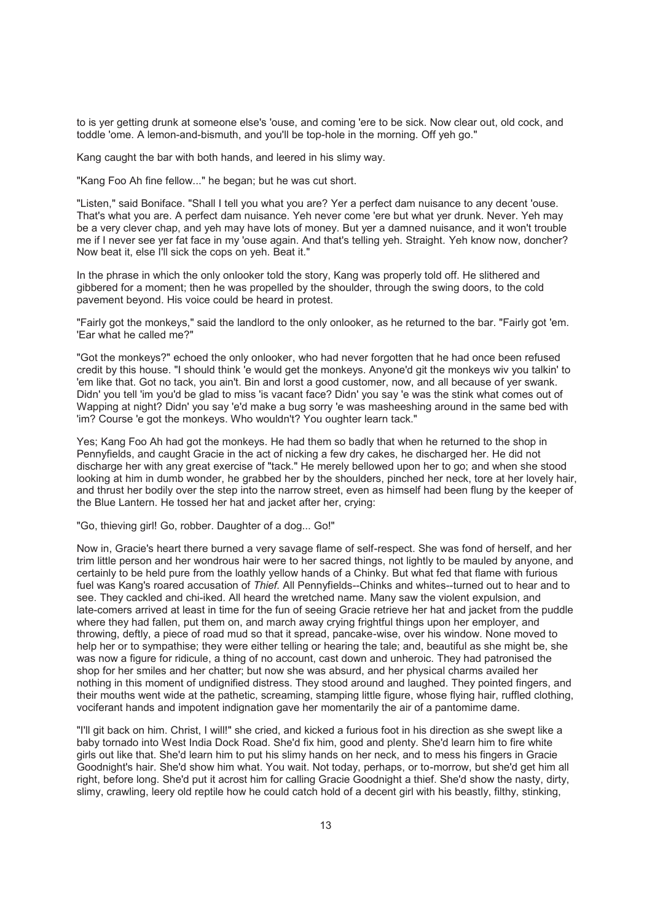to is yer getting drunk at someone else's 'ouse, and coming 'ere to be sick. Now clear out, old cock, and toddle 'ome. A lemon-and-bismuth, and you'll be top-hole in the morning. Off yeh go."

Kang caught the bar with both hands, and leered in his slimy way.

"Kang Foo Ah fine fellow..." he began; but he was cut short.

"Listen," said Boniface. "Shall I tell you what you are? Yer a perfect dam nuisance to any decent 'ouse. That's what you are. A perfect dam nuisance. Yeh never come 'ere but what yer drunk. Never. Yeh may be a very clever chap, and yeh may have lots of money. But yer a damned nuisance, and it won't trouble me if I never see yer fat face in my 'ouse again. And that's telling yeh. Straight. Yeh know now, doncher? Now beat it, else I'll sick the cops on yeh. Beat it."

In the phrase in which the only onlooker told the story, Kang was properly told off. He slithered and gibbered for a moment; then he was propelled by the shoulder, through the swing doors, to the cold pavement beyond. His voice could be heard in protest.

"Fairly got the monkeys," said the landlord to the only onlooker, as he returned to the bar. "Fairly got 'em. 'Ear what he called me?"

"Got the monkeys?" echoed the only onlooker, who had never forgotten that he had once been refused credit by this house. "I should think 'e would get the monkeys. Anyone'd git the monkeys wiv you talkin' to 'em like that. Got no tack, you ain't. Bin and lorst a good customer, now, and all because of yer swank. Didn' you tell 'im you'd be glad to miss 'is vacant face? Didn' you say 'e was the stink what comes out of Wapping at night? Didn' you say 'e'd make a bug sorry 'e was masheeshing around in the same bed with 'im? Course 'e got the monkeys. Who wouldn't? You oughter learn tack."

Yes; Kang Foo Ah had got the monkeys. He had them so badly that when he returned to the shop in Pennyfields, and caught Gracie in the act of nicking a few dry cakes, he discharged her. He did not discharge her with any great exercise of "tack." He merely bellowed upon her to go; and when she stood looking at him in dumb wonder, he grabbed her by the shoulders, pinched her neck, tore at her lovely hair, and thrust her bodily over the step into the narrow street, even as himself had been flung by the keeper of the Blue Lantern. He tossed her hat and jacket after her, crying:

"Go, thieving girl! Go, robber. Daughter of a dog... Go!"

Now in, Gracie's heart there burned a very savage flame of self-respect. She was fond of herself, and her trim little person and her wondrous hair were to her sacred things, not lightly to be mauled by anyone, and certainly to be held pure from the loathly yellow hands of a Chinky. But what fed that flame with furious fuel was Kang's roared accusation of *Thief.* All Pennyfields--Chinks and whites--turned out to hear and to see. They cackled and chi-iked. All heard the wretched name. Many saw the violent expulsion, and late-comers arrived at least in time for the fun of seeing Gracie retrieve her hat and jacket from the puddle where they had fallen, put them on, and march away crying frightful things upon her employer, and throwing, deftly, a piece of road mud so that it spread, pancake-wise, over his window. None moved to help her or to sympathise; they were either telling or hearing the tale; and, beautiful as she might be, she was now a figure for ridicule, a thing of no account, cast down and unheroic. They had patronised the shop for her smiles and her chatter; but now she was absurd, and her physical charms availed her nothing in this moment of undignified distress. They stood around and laughed. They pointed fingers, and their mouths went wide at the pathetic, screaming, stamping little figure, whose flying hair, ruffled clothing, vociferant hands and impotent indignation gave her momentarily the air of a pantomime dame.

"I'll git back on him. Christ, I will!" she cried, and kicked a furious foot in his direction as she swept like a baby tornado into West India Dock Road. She'd fix him, good and plenty. She'd learn him to fire white girls out like that. She'd learn him to put his slimy hands on her neck, and to mess his fingers in Gracie Goodnight's hair. She'd show him what. You wait. Not today, perhaps, or to-morrow, but she'd get him all right, before long. She'd put it acrost him for calling Gracie Goodnight a thief. She'd show the nasty, dirty, slimy, crawling, leery old reptile how he could catch hold of a decent girl with his beastly, filthy, stinking,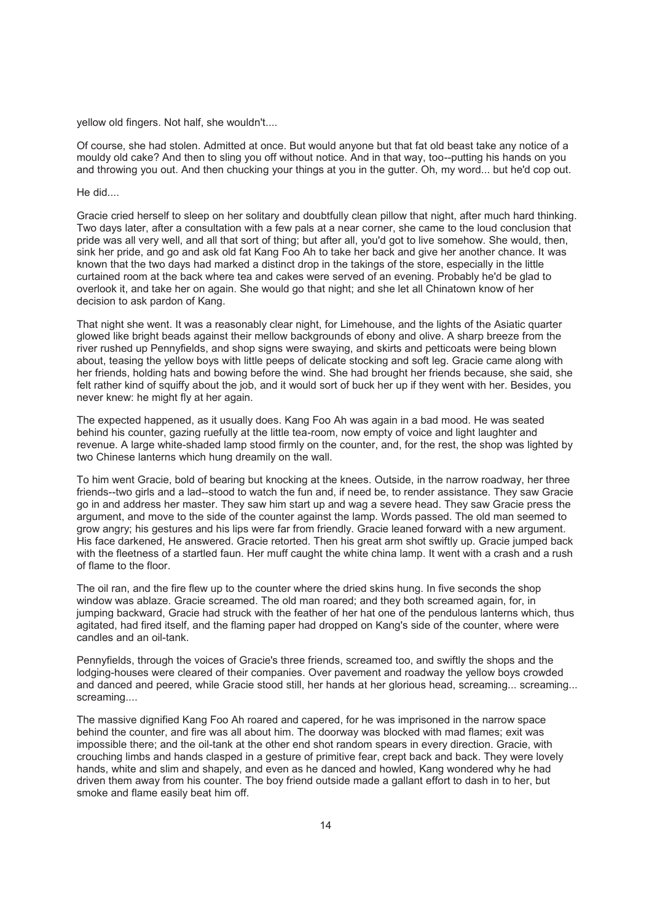yellow old fingers. Not half, she wouldn't....

Of course, she had stolen. Admitted at once. But would anyone but that fat old beast take any notice of a mouldy old cake? And then to sling you off without notice. And in that way, too--putting his hands on you and throwing you out. And then chucking your things at you in the gutter. Oh, my word... but he'd cop out.

He did....

Gracie cried herself to sleep on her solitary and doubtfully clean pillow that night, after much hard thinking. Two days later, after a consultation with a few pals at a near corner, she came to the loud conclusion that pride was all very well, and all that sort of thing; but after all, you'd got to live somehow. She would, then, sink her pride, and go and ask old fat Kang Foo Ah to take her back and give her another chance. It was known that the two days had marked a distinct drop in the takings of the store, especially in the little curtained room at the back where tea and cakes were served of an evening. Probably he'd be glad to overlook it, and take her on again. She would go that night; and she let all Chinatown know of her decision to ask pardon of Kang.

That night she went. It was a reasonably clear night, for Limehouse, and the lights of the Asiatic quarter glowed like bright beads against their mellow backgrounds of ebony and olive. A sharp breeze from the river rushed up Pennyfields, and shop signs were swaying, and skirts and petticoats were being blown about, teasing the yellow boys with little peeps of delicate stocking and soft leg. Gracie came along with her friends, holding hats and bowing before the wind. She had brought her friends because, she said, she felt rather kind of squiffy about the job, and it would sort of buck her up if they went with her. Besides, you never knew: he might fly at her again.

The expected happened, as it usually does. Kang Foo Ah was again in a bad mood. He was seated behind his counter, gazing ruefully at the little tea-room, now empty of voice and light laughter and revenue. A large white-shaded lamp stood firmly on the counter, and, for the rest, the shop was lighted by two Chinese lanterns which hung dreamily on the wall.

To him went Gracie, bold of bearing but knocking at the knees. Outside, in the narrow roadway, her three friends--two girls and a lad--stood to watch the fun and, if need be, to render assistance. They saw Gracie go in and address her master. They saw him start up and wag a severe head. They saw Gracie press the argument, and move to the side of the counter against the lamp. Words passed. The old man seemed to grow angry; his gestures and his lips were far from friendly. Gracie leaned forward with a new argument. His face darkened, He answered. Gracie retorted. Then his great arm shot swiftly up. Gracie jumped back with the fleetness of a startled faun. Her muff caught the white china lamp. It went with a crash and a rush of flame to the floor.

The oil ran, and the fire flew up to the counter where the dried skins hung. In five seconds the shop window was ablaze. Gracie screamed. The old man roared; and they both screamed again, for, in jumping backward, Gracie had struck with the feather of her hat one of the pendulous lanterns which, thus agitated, had fired itself, and the flaming paper had dropped on Kang's side of the counter, where were candles and an oil-tank.

Pennyfields, through the voices of Gracie's three friends, screamed too, and swiftly the shops and the lodging-houses were cleared of their companies. Over pavement and roadway the yellow boys crowded and danced and peered, while Gracie stood still, her hands at her glorious head, screaming... screaming... screaming....

The massive dignified Kang Foo Ah roared and capered, for he was imprisoned in the narrow space behind the counter, and fire was all about him. The doorway was blocked with mad flames; exit was impossible there; and the oil-tank at the other end shot random spears in every direction. Gracie, with crouching limbs and hands clasped in a gesture of primitive fear, crept back and back. They were lovely hands, white and slim and shapely, and even as he danced and howled, Kang wondered why he had driven them away from his counter. The boy friend outside made a gallant effort to dash in to her, but smoke and flame easily beat him off.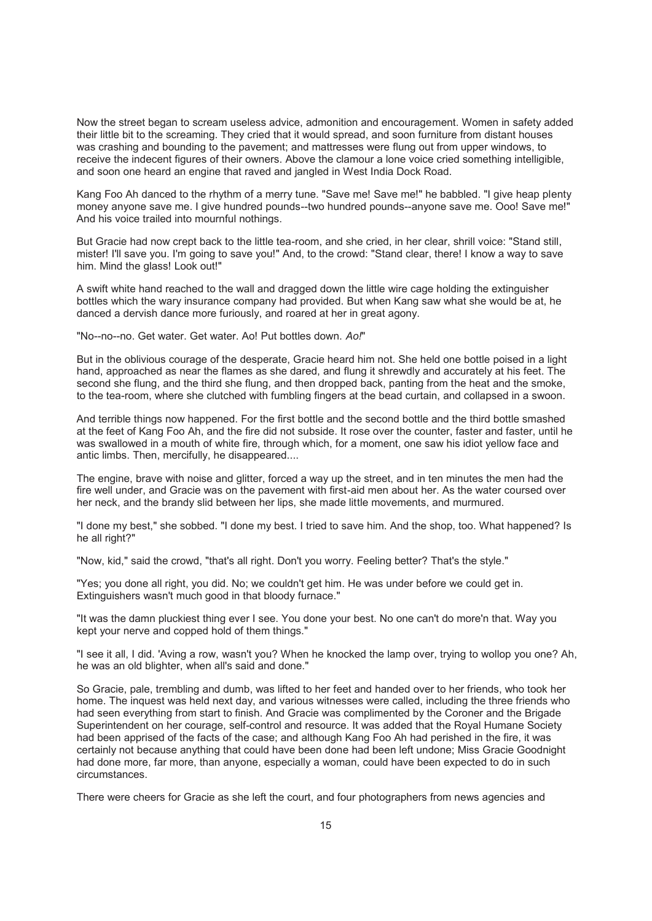Now the street began to scream useless advice, admonition and encouragement. Women in safety added their little bit to the screaming. They cried that it would spread, and soon furniture from distant houses was crashing and bounding to the pavement; and mattresses were flung out from upper windows, to receive the indecent figures of their owners. Above the clamour a lone voice cried something intelligible, and soon one heard an engine that raved and jangled in West India Dock Road.

Kang Foo Ah danced to the rhythm of a merry tune. "Save me! Save me!" he babbled. "I give heap plenty money anyone save me. I give hundred pounds--two hundred pounds--anyone save me. Ooo! Save me!" And his voice trailed into mournful nothings.

But Gracie had now crept back to the little tea-room, and she cried, in her clear, shrill voice: "Stand still, mister! I'll save you. I'm going to save you!" And, to the crowd: "Stand clear, there! I know a way to save him. Mind the glass! Look out!"

A swift white hand reached to the wall and dragged down the little wire cage holding the extinguisher bottles which the wary insurance company had provided. But when Kang saw what she would be at, he danced a dervish dance more furiously, and roared at her in great agony.

"No--no--no. Get water. Get water. Ao! Put bottles down. *Ao!*"

But in the oblivious courage of the desperate, Gracie heard him not. She held one bottle poised in a light hand, approached as near the flames as she dared, and flung it shrewdly and accurately at his feet. The second she flung, and the third she flung, and then dropped back, panting from the heat and the smoke, to the tea-room, where she clutched with fumbling fingers at the bead curtain, and collapsed in a swoon.

And terrible things now happened. For the first bottle and the second bottle and the third bottle smashed at the feet of Kang Foo Ah, and the fire did not subside. It rose over the counter, faster and faster, until he was swallowed in a mouth of white fire, through which, for a moment, one saw his idiot yellow face and antic limbs. Then, mercifully, he disappeared....

The engine, brave with noise and glitter, forced a way up the street, and in ten minutes the men had the fire well under, and Gracie was on the pavement with first-aid men about her. As the water coursed over her neck, and the brandy slid between her lips, she made little movements, and murmured.

"I done my best," she sobbed. "I done my best. I tried to save him. And the shop, too. What happened? Is he all right?"

"Now, kid," said the crowd, "that's all right. Don't you worry. Feeling better? That's the style."

"Yes; you done all right, you did. No; we couldn't get him. He was under before we could get in. Extinguishers wasn't much good in that bloody furnace."

"It was the damn pluckiest thing ever I see. You done your best. No one can't do more'n that. Way you kept your nerve and copped hold of them things."

"I see it all, I did. 'Aving a row, wasn't you? When he knocked the lamp over, trying to wollop you one? Ah, he was an old blighter, when all's said and done."

So Gracie, pale, trembling and dumb, was lifted to her feet and handed over to her friends, who took her home. The inquest was held next day, and various witnesses were called, including the three friends who had seen everything from start to finish. And Gracie was complimented by the Coroner and the Brigade Superintendent on her courage, self-control and resource. It was added that the Royal Humane Society had been apprised of the facts of the case; and although Kang Foo Ah had perished in the fire, it was certainly not because anything that could have been done had been left undone; Miss Gracie Goodnight had done more, far more, than anyone, especially a woman, could have been expected to do in such circumstances.

There were cheers for Gracie as she left the court, and four photographers from news agencies and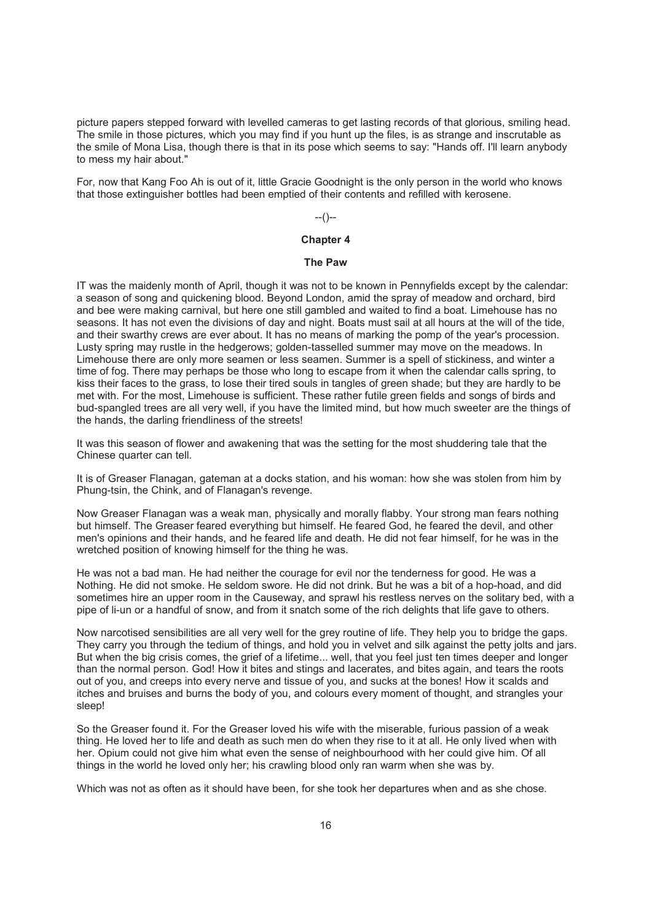picture papers stepped forward with levelled cameras to get lasting records of that glorious, smiling head. The smile in those pictures, which you may find if you hunt up the files, is as strange and inscrutable as the smile of Mona Lisa, though there is that in its pose which seems to say: "Hands off. I'll learn anybody to mess my hair about."

For, now that Kang Foo Ah is out of it, little Gracie Goodnight is the only person in the world who knows that those extinguisher bottles had been emptied of their contents and refilled with kerosene.

 $-(-)$ 

## **Chapter 4**

#### **The Paw**

IT was the maidenly month of April, though it was not to be known in Pennyfields except by the calendar: a season of song and quickening blood. Beyond London, amid the spray of meadow and orchard, bird and bee were making carnival, but here one still gambled and waited to find a boat. Limehouse has no seasons. It has not even the divisions of day and night. Boats must sail at all hours at the will of the tide, and their swarthy crews are ever about. It has no means of marking the pomp of the year's procession. Lusty spring may rustle in the hedgerows; golden-tasselled summer may move on the meadows. In Limehouse there are only more seamen or less seamen. Summer is a spell of stickiness, and winter a time of fog. There may perhaps be those who long to escape from it when the calendar calls spring, to kiss their faces to the grass, to lose their tired souls in tangles of green shade; but they are hardly to be met with. For the most, Limehouse is sufficient. These rather futile green fields and songs of birds and bud-spangled trees are all very well, if you have the limited mind, but how much sweeter are the things of the hands, the darling friendliness of the streets!

It was this season of flower and awakening that was the setting for the most shuddering tale that the Chinese quarter can tell.

It is of Greaser Flanagan, gateman at a docks station, and his woman: how she was stolen from him by Phung-tsin, the Chink, and of Flanagan's revenge.

Now Greaser Flanagan was a weak man, physically and morally flabby. Your strong man fears nothing but himself. The Greaser feared everything but himself. He feared God, he feared the devil, and other men's opinions and their hands, and he feared life and death. He did not fear himself, for he was in the wretched position of knowing himself for the thing he was.

He was not a bad man. He had neither the courage for evil nor the tenderness for good. He was a Nothing. He did not smoke. He seldom swore. He did not drink. But he was a bit of a hop-hoad, and did sometimes hire an upper room in the Causeway, and sprawl his restless nerves on the solitary bed, with a pipe of li-un or a handful of snow, and from it snatch some of the rich delights that life gave to others.

Now narcotised sensibilities are all very well for the grey routine of life. They help you to bridge the gaps. They carry you through the tedium of things, and hold you in velvet and silk against the petty jolts and jars. But when the big crisis comes, the grief of a lifetime... well, that you feel just ten times deeper and longer than the normal person. God! How it bites and stings and lacerates, and bites again, and tears the roots out of you, and creeps into every nerve and tissue of you, and sucks at the bones! How it scalds and itches and bruises and burns the body of you, and colours every moment of thought, and strangles your sleep!

So the Greaser found it. For the Greaser loved his wife with the miserable, furious passion of a weak thing. He loved her to life and death as such men do when they rise to it at all. He only lived when with her. Opium could not give him what even the sense of neighbourhood with her could give him. Of all things in the world he loved only her; his crawling blood only ran warm when she was by.

Which was not as often as it should have been, for she took her departures when and as she chose.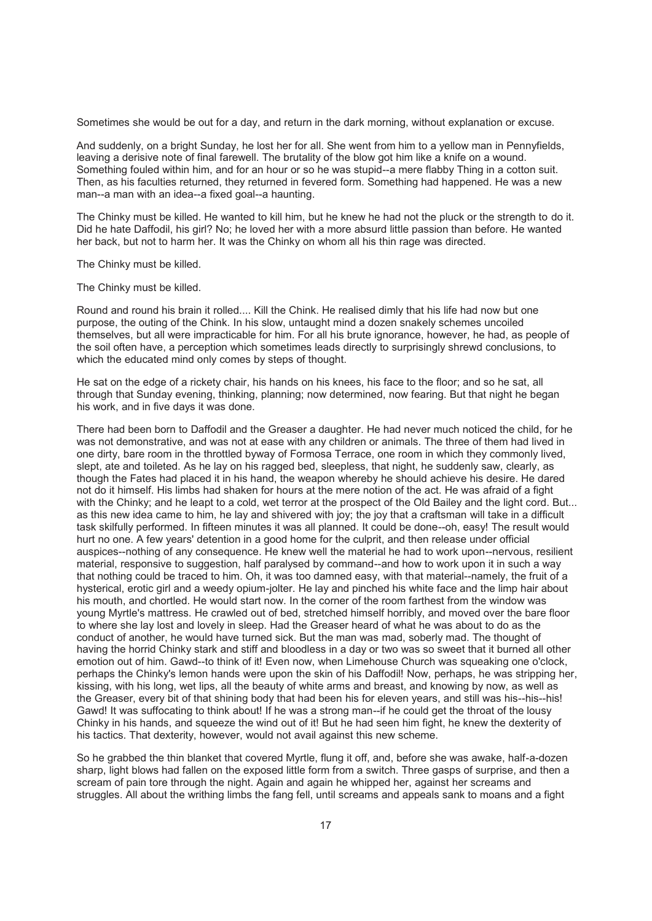Sometimes she would be out for a day, and return in the dark morning, without explanation or excuse.

And suddenly, on a bright Sunday, he lost her for all. She went from him to a yellow man in Pennyfields, leaving a derisive note of final farewell. The brutality of the blow got him like a knife on a wound. Something fouled within him, and for an hour or so he was stupid--a mere flabby Thing in a cotton suit. Then, as his faculties returned, they returned in fevered form. Something had happened. He was a new man--a man with an idea--a fixed goal--a haunting.

The Chinky must be killed. He wanted to kill him, but he knew he had not the pluck or the strength to do it. Did he hate Daffodil, his girl? No; he loved her with a more absurd little passion than before. He wanted her back, but not to harm her. It was the Chinky on whom all his thin rage was directed.

The Chinky must be killed.

The Chinky must be killed.

Round and round his brain it rolled.... Kill the Chink. He realised dimly that his life had now but one purpose, the outing of the Chink. In his slow, untaught mind a dozen snakely schemes uncoiled themselves, but all were impracticable for him. For all his brute ignorance, however, he had, as people of the soil often have, a perception which sometimes leads directly to surprisingly shrewd conclusions, to which the educated mind only comes by steps of thought.

He sat on the edge of a rickety chair, his hands on his knees, his face to the floor; and so he sat, all through that Sunday evening, thinking, planning; now determined, now fearing. But that night he began his work, and in five days it was done.

There had been born to Daffodil and the Greaser a daughter. He had never much noticed the child, for he was not demonstrative, and was not at ease with any children or animals. The three of them had lived in one dirty, bare room in the throttled byway of Formosa Terrace, one room in which they commonly lived, slept, ate and toileted. As he lay on his ragged bed, sleepless, that night, he suddenly saw, clearly, as though the Fates had placed it in his hand, the weapon whereby he should achieve his desire. He dared not do it himself. His limbs had shaken for hours at the mere notion of the act. He was afraid of a fight with the Chinky; and he leapt to a cold, wet terror at the prospect of the Old Bailey and the light cord. But... as this new idea came to him, he lay and shivered with joy; the joy that a craftsman will take in a difficult task skilfully performed. In fifteen minutes it was all planned. It could be done--oh, easy! The result would hurt no one. A few years' detention in a good home for the culprit, and then release under official auspices--nothing of any consequence. He knew well the material he had to work upon--nervous, resilient material, responsive to suggestion, half paralysed by command--and how to work upon it in such a way that nothing could be traced to him. Oh, it was too damned easy, with that material--namely, the fruit of a hysterical, erotic girl and a weedy opium-jolter. He lay and pinched his white face and the limp hair about his mouth, and chortled. He would start now. In the corner of the room farthest from the window was young Myrtle's mattress. He crawled out of bed, stretched himself horribly, and moved over the bare floor to where she lay lost and lovely in sleep. Had the Greaser heard of what he was about to do as the conduct of another, he would have turned sick. But the man was mad, soberly mad. The thought of having the horrid Chinky stark and stiff and bloodless in a day or two was so sweet that it burned all other emotion out of him. Gawd--to think of it! Even now, when Limehouse Church was squeaking one o'clock, perhaps the Chinky's lemon hands were upon the skin of his Daffodil! Now, perhaps, he was stripping her, kissing, with his long, wet lips, all the beauty of white arms and breast, and knowing by now, as well as the Greaser, every bit of that shining body that had been his for eleven years, and still was his--his--his! Gawd! It was suffocating to think about! If he was a strong man--if he could get the throat of the lousy Chinky in his hands, and squeeze the wind out of it! But he had seen him fight, he knew the dexterity of his tactics. That dexterity, however, would not avail against this new scheme.

So he grabbed the thin blanket that covered Myrtle, flung it off, and, before she was awake, half-a-dozen sharp, light blows had fallen on the exposed little form from a switch. Three gasps of surprise, and then a scream of pain tore through the night. Again and again he whipped her, against her screams and struggles. All about the writhing limbs the fang fell, until screams and appeals sank to moans and a fight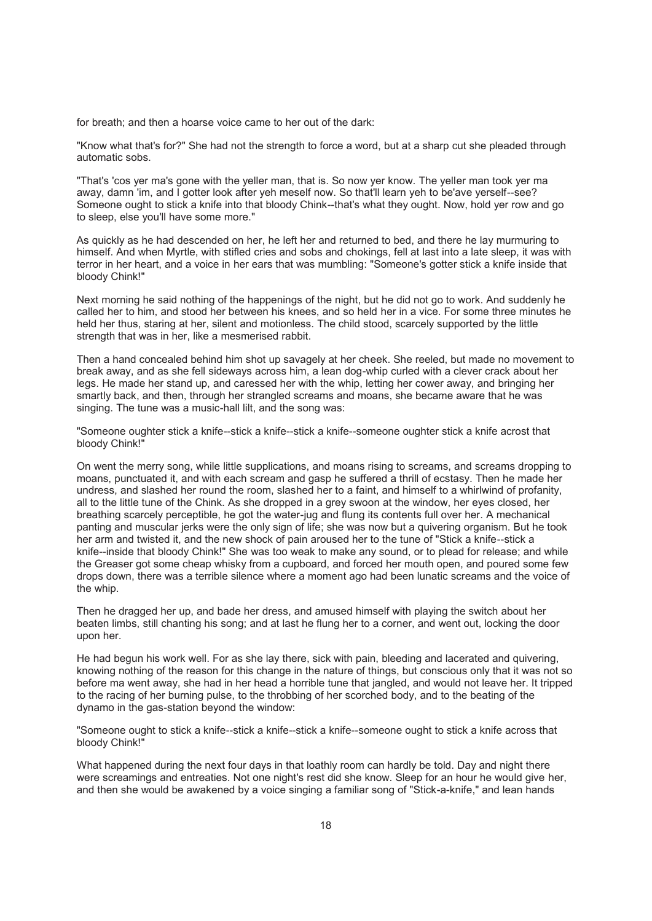for breath; and then a hoarse voice came to her out of the dark:

"Know what that's for?" She had not the strength to force a word, but at a sharp cut she pleaded through automatic sobs.

"That's 'cos yer ma's gone with the yeller man, that is. So now yer know. The yeller man took yer ma away, damn 'im, and I gotter look after yeh meself now. So that'll learn yeh to be'ave yerself--see? Someone ought to stick a knife into that bloody Chink--that's what they ought. Now, hold yer row and go to sleep, else you'll have some more."

As quickly as he had descended on her, he left her and returned to bed, and there he lay murmuring to himself. And when Myrtle, with stifled cries and sobs and chokings, fell at last into a late sleep, it was with terror in her heart, and a voice in her ears that was mumbling: "Someone's gotter stick a knife inside that bloody Chink!"

Next morning he said nothing of the happenings of the night, but he did not go to work. And suddenly he called her to him, and stood her between his knees, and so held her in a vice. For some three minutes he held her thus, staring at her, silent and motionless. The child stood, scarcely supported by the little strength that was in her, like a mesmerised rabbit.

Then a hand concealed behind him shot up savagely at her cheek. She reeled, but made no movement to break away, and as she fell sideways across him, a lean dog-whip curled with a clever crack about her legs. He made her stand up, and caressed her with the whip, letting her cower away, and bringing her smartly back, and then, through her strangled screams and moans, she became aware that he was singing. The tune was a music-hall lilt, and the song was:

"Someone oughter stick a knife--stick a knife--stick a knife--someone oughter stick a knife acrost that bloody Chink!"

On went the merry song, while little supplications, and moans rising to screams, and screams dropping to moans, punctuated it, and with each scream and gasp he suffered a thrill of ecstasy. Then he made her undress, and slashed her round the room, slashed her to a faint, and himself to a whirlwind of profanity, all to the little tune of the Chink. As she dropped in a grey swoon at the window, her eyes closed, her breathing scarcely perceptible, he got the water-jug and flung its contents full over her. A mechanical panting and muscular jerks were the only sign of life; she was now but a quivering organism. But he took her arm and twisted it, and the new shock of pain aroused her to the tune of "Stick a knife--stick a knife--inside that bloody Chink!" She was too weak to make any sound, or to plead for release; and while the Greaser got some cheap whisky from a cupboard, and forced her mouth open, and poured some few drops down, there was a terrible silence where a moment ago had been lunatic screams and the voice of the whip.

Then he dragged her up, and bade her dress, and amused himself with playing the switch about her beaten limbs, still chanting his song; and at last he flung her to a corner, and went out, locking the door upon her.

He had begun his work well. For as she lay there, sick with pain, bleeding and lacerated and quivering, knowing nothing of the reason for this change in the nature of things, but conscious only that it was not so before ma went away, she had in her head a horrible tune that jangled, and would not leave her. It tripped to the racing of her burning pulse, to the throbbing of her scorched body, and to the beating of the dynamo in the gas-station beyond the window:

"Someone ought to stick a knife--stick a knife--stick a knife--someone ought to stick a knife across that bloody Chink!"

What happened during the next four days in that loathly room can hardly be told. Day and night there were screamings and entreaties. Not one night's rest did she know. Sleep for an hour he would give her, and then she would be awakened by a voice singing a familiar song of "Stick-a-knife," and lean hands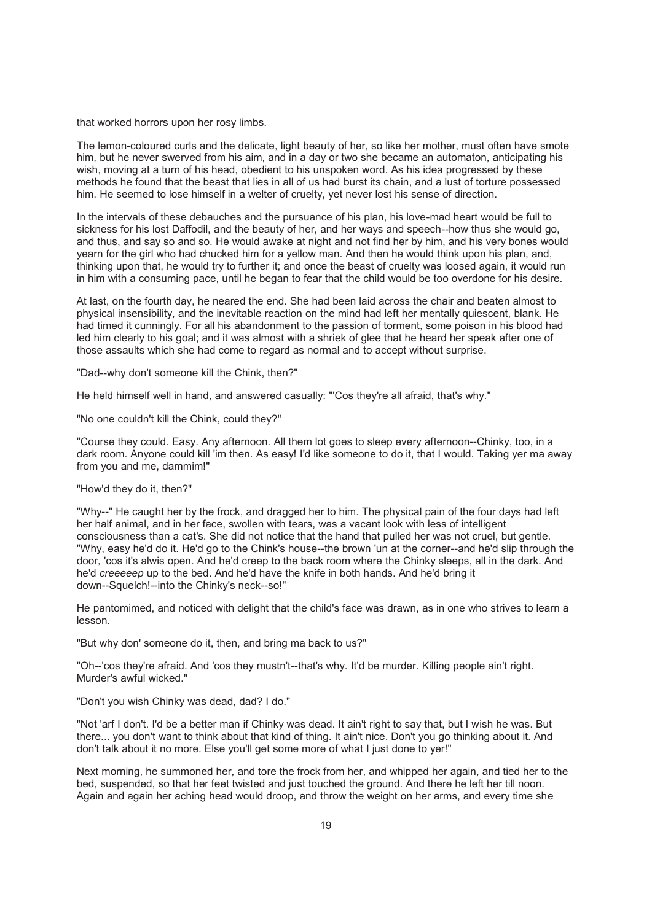that worked horrors upon her rosy limbs.

The lemon-coloured curls and the delicate, light beauty of her, so like her mother, must often have smote him, but he never swerved from his aim, and in a day or two she became an automaton, anticipating his wish, moving at a turn of his head, obedient to his unspoken word. As his idea progressed by these methods he found that the beast that lies in all of us had burst its chain, and a lust of torture possessed him. He seemed to lose himself in a welter of cruelty, yet never lost his sense of direction.

In the intervals of these debauches and the pursuance of his plan, his love-mad heart would be full to sickness for his lost Daffodil, and the beauty of her, and her ways and speech--how thus she would go, and thus, and say so and so. He would awake at night and not find her by him, and his very bones would yearn for the girl who had chucked him for a yellow man. And then he would think upon his plan, and, thinking upon that, he would try to further it; and once the beast of cruelty was loosed again, it would run in him with a consuming pace, until he began to fear that the child would be too overdone for his desire.

At last, on the fourth day, he neared the end. She had been laid across the chair and beaten almost to physical insensibility, and the inevitable reaction on the mind had left her mentally quiescent, blank. He had timed it cunningly. For all his abandonment to the passion of torment, some poison in his blood had led him clearly to his goal; and it was almost with a shriek of glee that he heard her speak after one of those assaults which she had come to regard as normal and to accept without surprise.

"Dad--why don't someone kill the Chink, then?"

He held himself well in hand, and answered casually: "'Cos they're all afraid, that's why."

"No one couldn't kill the Chink, could they?"

"Course they could. Easy. Any afternoon. All them lot goes to sleep every afternoon--Chinky, too, in a dark room. Anyone could kill 'im then. As easy! I'd like someone to do it, that I would. Taking yer ma away from you and me, dammim!"

#### "How'd they do it, then?"

"Why--" He caught her by the frock, and dragged her to him. The physical pain of the four days had left her half animal, and in her face, swollen with tears, was a vacant look with less of intelligent consciousness than a cat's. She did not notice that the hand that pulled her was not cruel, but gentle. "Why, easy he'd do it. He'd go to the Chink's house--the brown 'un at the corner--and he'd slip through the door, 'cos it's alwis open. And he'd creep to the back room where the Chinky sleeps, all in the dark. And he'd *creeeeep* up to the bed. And he'd have the knife in both hands. And he'd bring it down--Squelch!--into the Chinky's neck--so!"

He pantomimed, and noticed with delight that the child's face was drawn, as in one who strives to learn a lesson.

"But why don' someone do it, then, and bring ma back to us?"

"Oh--'cos they're afraid. And 'cos they mustn't--that's why. It'd be murder. Killing people ain't right. Murder's awful wicked."

"Don't you wish Chinky was dead, dad? I do."

"Not 'arf I don't. I'd be a better man if Chinky was dead. It ain't right to say that, but I wish he was. But there... you don't want to think about that kind of thing. It ain't nice. Don't you go thinking about it. And don't talk about it no more. Else you'll get some more of what I just done to yer!"

Next morning, he summoned her, and tore the frock from her, and whipped her again, and tied her to the bed, suspended, so that her feet twisted and just touched the ground. And there he left her till noon. Again and again her aching head would droop, and throw the weight on her arms, and every time she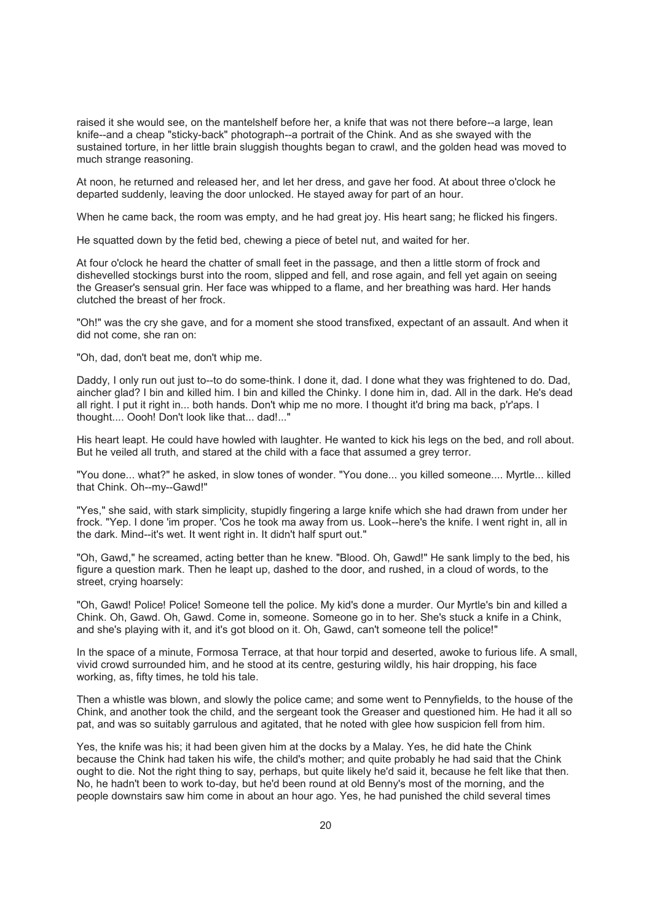raised it she would see, on the mantelshelf before her, a knife that was not there before--a large, lean knife--and a cheap "sticky-back" photograph--a portrait of the Chink. And as she swayed with the sustained torture, in her little brain sluggish thoughts began to crawl, and the golden head was moved to much strange reasoning.

At noon, he returned and released her, and let her dress, and gave her food. At about three o'clock he departed suddenly, leaving the door unlocked. He stayed away for part of an hour.

When he came back, the room was empty, and he had great joy. His heart sang; he flicked his fingers.

He squatted down by the fetid bed, chewing a piece of betel nut, and waited for her.

At four o'clock he heard the chatter of small feet in the passage, and then a little storm of frock and dishevelled stockings burst into the room, slipped and fell, and rose again, and fell yet again on seeing the Greaser's sensual grin. Her face was whipped to a flame, and her breathing was hard. Her hands clutched the breast of her frock.

"Oh!" was the cry she gave, and for a moment she stood transfixed, expectant of an assault. And when it did not come, she ran on:

"Oh, dad, don't beat me, don't whip me.

Daddy, I only run out just to--to do some-think. I done it, dad. I done what they was frightened to do. Dad, aincher glad? I bin and killed him. I bin and killed the Chinky. I done him in, dad. All in the dark. He's dead all right. I put it right in... both hands. Don't whip me no more. I thought it'd bring ma back, p'r'aps. I thought.... Oooh! Don't look like that... dad!..."

His heart leapt. He could have howled with laughter. He wanted to kick his legs on the bed, and roll about. But he veiled all truth, and stared at the child with a face that assumed a grey terror.

"You done... what?" he asked, in slow tones of wonder. "You done... you killed someone.... Myrtle... killed that Chink. Oh--my--Gawd!"

"Yes," she said, with stark simplicity, stupidly fingering a large knife which she had drawn from under her frock. "Yep. I done 'im proper. 'Cos he took ma away from us. Look--here's the knife. I went right in, all in the dark. Mind--it's wet. It went right in. It didn't half spurt out."

"Oh, Gawd," he screamed, acting better than he knew. "Blood. Oh, Gawd!" He sank limply to the bed, his figure a question mark. Then he leapt up, dashed to the door, and rushed, in a cloud of words, to the street, crying hoarsely:

"Oh, Gawd! Police! Police! Someone tell the police. My kid's done a murder. Our Myrtle's bin and killed a Chink. Oh, Gawd. Oh, Gawd. Come in, someone. Someone go in to her. She's stuck a knife in a Chink, and she's playing with it, and it's got blood on it. Oh, Gawd, can't someone tell the police!"

In the space of a minute, Formosa Terrace, at that hour torpid and deserted, awoke to furious life. A small, vivid crowd surrounded him, and he stood at its centre, gesturing wildly, his hair dropping, his face working, as, fifty times, he told his tale.

Then a whistle was blown, and slowly the police came; and some went to Pennyfields, to the house of the Chink, and another took the child, and the sergeant took the Greaser and questioned him. He had it all so pat, and was so suitably garrulous and agitated, that he noted with glee how suspicion fell from him.

Yes, the knife was his; it had been given him at the docks by a Malay. Yes, he did hate the Chink because the Chink had taken his wife, the child's mother; and quite probably he had said that the Chink ought to die. Not the right thing to say, perhaps, but quite likely he'd said it, because he felt like that then. No, he hadn't been to work to-day, but he'd been round at old Benny's most of the morning, and the people downstairs saw him come in about an hour ago. Yes, he had punished the child several times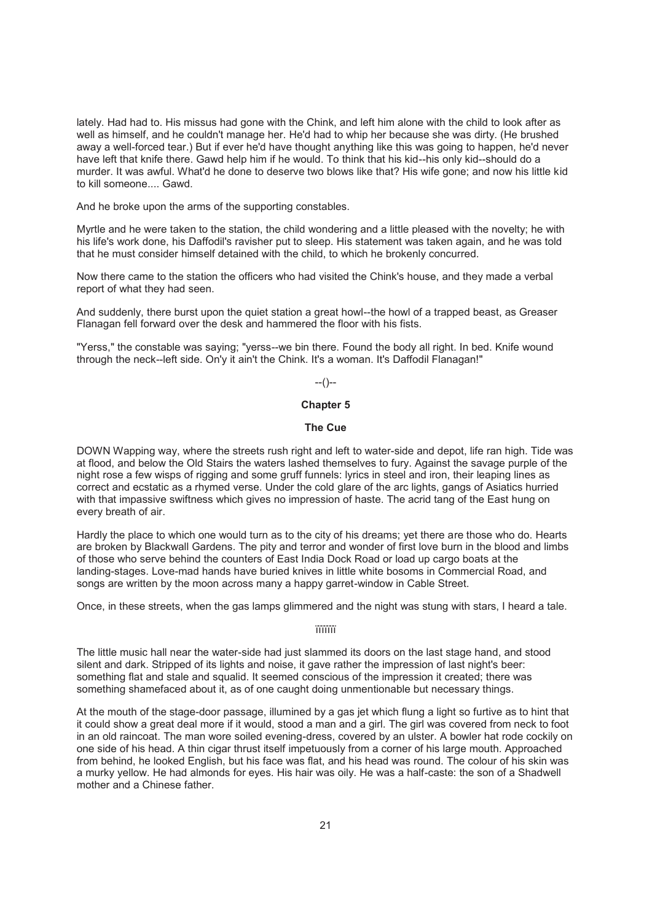lately. Had had to. His missus had gone with the Chink, and left him alone with the child to look after as well as himself, and he couldn't manage her. He'd had to whip her because she was dirty. (He brushed away a well-forced tear.) But if ever he'd have thought anything like this was going to happen, he'd never have left that knife there. Gawd help him if he would. To think that his kid--his only kid--should do a murder. It was awful. What'd he done to deserve two blows like that? His wife gone; and now his little kid to kill someone.... Gawd.

And he broke upon the arms of the supporting constables.

Myrtle and he were taken to the station, the child wondering and a little pleased with the novelty; he with his life's work done, his Daffodil's ravisher put to sleep. His statement was taken again, and he was told that he must consider himself detained with the child, to which he brokenly concurred.

Now there came to the station the officers who had visited the Chink's house, and they made a verbal report of what they had seen.

And suddenly, there burst upon the quiet station a great howl--the howl of a trapped beast, as Greaser Flanagan fell forward over the desk and hammered the floor with his fists.

"Yerss," the constable was saying; "yerss--we bin there. Found the body all right. In bed. Knife wound through the neck--left side. On'y it ain't the Chink. It's a woman. It's Daffodil Flanagan!"

 $-(-)$ 

## **Chapter 5**

## **The Cue**

DOWN Wapping way, where the streets rush right and left to water-side and depot, life ran high. Tide was at flood, and below the Old Stairs the waters lashed themselves to fury. Against the savage purple of the night rose a few wisps of rigging and some gruff funnels: lyrics in steel and iron, their leaping lines as correct and ecstatic as a rhymed verse. Under the cold glare of the arc lights, gangs of Asiatics hurried with that impassive swiftness which gives no impression of haste. The acrid tang of the East hung on every breath of air.

Hardly the place to which one would turn as to the city of his dreams; yet there are those who do. Hearts are broken by Blackwall Gardens. The pity and terror and wonder of first love burn in the blood and limbs of those who serve behind the counters of East India Dock Road or load up cargo boats at the landing-stages. Love-mad hands have buried knives in little white bosoms in Commercial Road, and songs are written by the moon across many a happy garret-window in Cable Street.

Once, in these streets, when the gas lamps glimmered and the night was stung with stars, I heard a tale.

ïïïïïïï

The little music hall near the water-side had just slammed its doors on the last stage hand, and stood silent and dark. Stripped of its lights and noise, it gave rather the impression of last night's beer: something flat and stale and squalid. It seemed conscious of the impression it created; there was something shamefaced about it, as of one caught doing unmentionable but necessary things.

At the mouth of the stage-door passage, illumined by a gas jet which flung a light so furtive as to hint that it could show a great deal more if it would, stood a man and a girl. The girl was covered from neck to foot in an old raincoat. The man wore soiled evening-dress, covered by an ulster. A bowler hat rode cockily on one side of his head. A thin cigar thrust itself impetuously from a corner of his large mouth. Approached from behind, he looked English, but his face was flat, and his head was round. The colour of his skin was a murky yellow. He had almonds for eyes. His hair was oily. He was a half-caste: the son of a Shadwell mother and a Chinese father.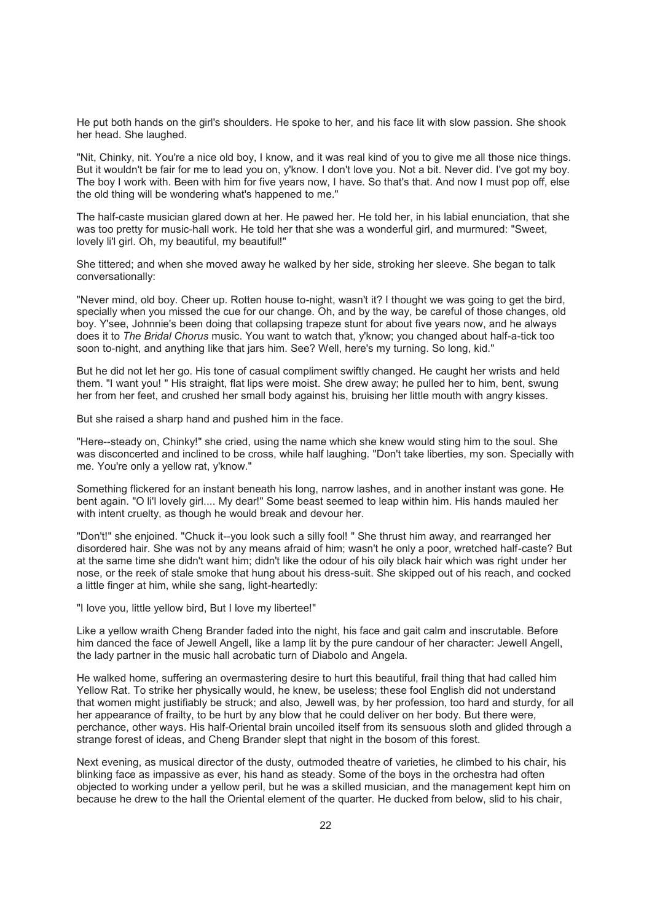He put both hands on the girl's shoulders. He spoke to her, and his face lit with slow passion. She shook her head. She laughed.

"Nit, Chinky, nit. You're a nice old boy, I know, and it was real kind of you to give me all those nice things. But it wouldn't be fair for me to lead you on, y'know. I don't love you. Not a bit. Never did. I've got my boy. The boy I work with. Been with him for five years now, I have. So that's that. And now I must pop off, else the old thing will be wondering what's happened to me."

The half-caste musician glared down at her. He pawed her. He told her, in his labial enunciation, that she was too pretty for music-hall work. He told her that she was a wonderful girl, and murmured: "Sweet, lovely li'l girl. Oh, my beautiful, my beautiful!"

She tittered; and when she moved away he walked by her side, stroking her sleeve. She began to talk conversationally:

"Never mind, old boy. Cheer up. Rotten house to-night, wasn't it? I thought we was going to get the bird, specially when you missed the cue for our change. Oh, and by the way, be careful of those changes, old boy. Y'see, Johnnie's been doing that collapsing trapeze stunt for about five years now, and he always does it to *The Bridal Chorus* music. You want to watch that, y'know; you changed about half-a-tick too soon to-night, and anything like that jars him. See? Well, here's my turning. So long, kid."

But he did not let her go. His tone of casual compliment swiftly changed. He caught her wrists and held them. "I want you! " His straight, flat lips were moist. She drew away; he pulled her to him, bent, swung her from her feet, and crushed her small body against his, bruising her little mouth with angry kisses.

But she raised a sharp hand and pushed him in the face.

"Here--steady on, Chinky!" she cried, using the name which she knew would sting him to the soul. She was disconcerted and inclined to be cross, while half laughing. "Don't take liberties, my son. Specially with me. You're only a yellow rat, y'know."

Something flickered for an instant beneath his long, narrow lashes, and in another instant was gone. He bent again. "O li'l lovely girl.... My dear!" Some beast seemed to leap within him. His hands mauled her with intent cruelty, as though he would break and devour her.

"Don't!" she enjoined. "Chuck it--you look such a silly fool! " She thrust him away, and rearranged her disordered hair. She was not by any means afraid of him; wasn't he only a poor, wretched half-caste? But at the same time she didn't want him; didn't like the odour of his oily black hair which was right under her nose, or the reek of stale smoke that hung about his dress-suit. She skipped out of his reach, and cocked a little finger at him, while she sang, light-heartedly:

"I love you, little yellow bird, But I love my libertee!"

Like a yellow wraith Cheng Brander faded into the night, his face and gait calm and inscrutable. Before him danced the face of Jewell Angell, like a lamp lit by the pure candour of her character: Jewell Angell, the lady partner in the music hall acrobatic turn of Diabolo and Angela.

He walked home, suffering an overmastering desire to hurt this beautiful, frail thing that had called him Yellow Rat. To strike her physically would, he knew, be useless; these fool English did not understand that women might justifiably be struck; and also, Jewell was, by her profession, too hard and sturdy, for all her appearance of frailty, to be hurt by any blow that he could deliver on her body. But there were, perchance, other ways. His half-Oriental brain uncoiled itself from its sensuous sloth and glided through a strange forest of ideas, and Cheng Brander slept that night in the bosom of this forest.

Next evening, as musical director of the dusty, outmoded theatre of varieties, he climbed to his chair, his blinking face as impassive as ever, his hand as steady. Some of the boys in the orchestra had often objected to working under a yellow peril, but he was a skilled musician, and the management kept him on because he drew to the hall the Oriental element of the quarter. He ducked from below, slid to his chair,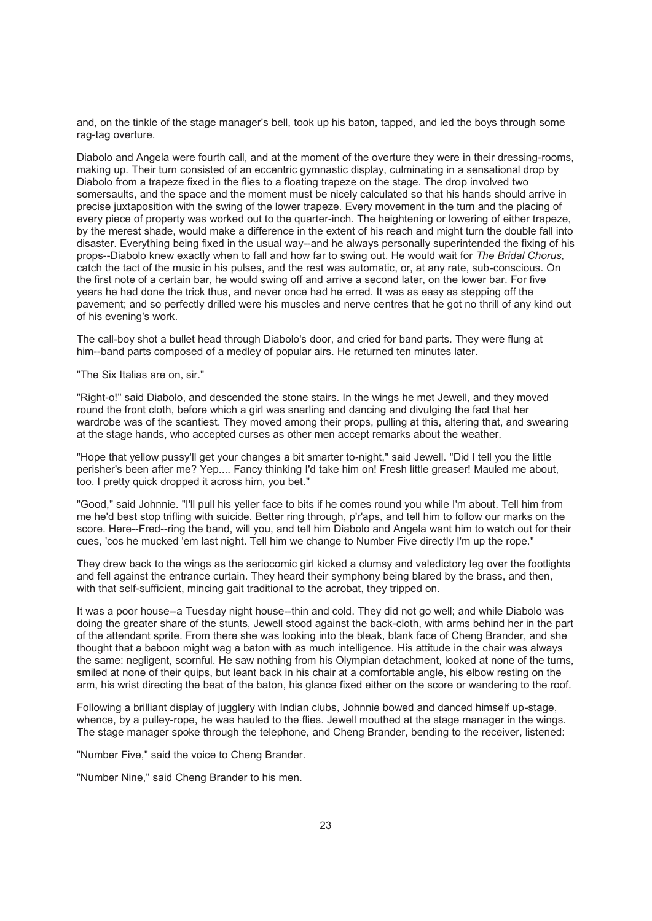and, on the tinkle of the stage manager's bell, took up his baton, tapped, and led the boys through some rag-tag overture.

Diabolo and Angela were fourth call, and at the moment of the overture they were in their dressing-rooms, making up. Their turn consisted of an eccentric gymnastic display, culminating in a sensational drop by Diabolo from a trapeze fixed in the flies to a floating trapeze on the stage. The drop involved two somersaults, and the space and the moment must be nicely calculated so that his hands should arrive in precise juxtaposition with the swing of the lower trapeze. Every movement in the turn and the placing of every piece of property was worked out to the quarter-inch. The heightening or lowering of either trapeze, by the merest shade, would make a difference in the extent of his reach and might turn the double fall into disaster. Everything being fixed in the usual way--and he always personally superintended the fixing of his props--Diabolo knew exactly when to fall and how far to swing out. He would wait for *The Bridal Chorus,* catch the tact of the music in his pulses, and the rest was automatic, or, at any rate, sub-conscious. On the first note of a certain bar, he would swing off and arrive a second later, on the lower bar. For five years he had done the trick thus, and never once had he erred. It was as easy as stepping off the pavement; and so perfectly drilled were his muscles and nerve centres that he got no thrill of any kind out of his evening's work.

The call-boy shot a bullet head through Diabolo's door, and cried for band parts. They were flung at him--band parts composed of a medley of popular airs. He returned ten minutes later.

"The Six Italias are on, sir."

"Right-o!" said Diabolo, and descended the stone stairs. In the wings he met Jewell, and they moved round the front cloth, before which a girl was snarling and dancing and divulging the fact that her wardrobe was of the scantiest. They moved among their props, pulling at this, altering that, and swearing at the stage hands, who accepted curses as other men accept remarks about the weather.

"Hope that yellow pussy'll get your changes a bit smarter to-night," said Jewell. "Did I tell you the little perisher's been after me? Yep.... Fancy thinking I'd take him on! Fresh little greaser! Mauled me about, too. I pretty quick dropped it across him, you bet."

"Good," said Johnnie. "I'll pull his yeller face to bits if he comes round you while I'm about. Tell him from me he'd best stop trifling with suicide. Better ring through, p'r'aps, and tell him to follow our marks on the score. Here--Fred--ring the band, will you, and tell him Diabolo and Angela want him to watch out for their cues, 'cos he mucked 'em last night. Tell him we change to Number Five directly I'm up the rope."

They drew back to the wings as the seriocomic girl kicked a clumsy and valedictory leg over the footlights and fell against the entrance curtain. They heard their symphony being blared by the brass, and then, with that self-sufficient, mincing gait traditional to the acrobat, they tripped on.

It was a poor house--a Tuesday night house--thin and cold. They did not go well; and while Diabolo was doing the greater share of the stunts, Jewell stood against the back-cloth, with arms behind her in the part of the attendant sprite. From there she was looking into the bleak, blank face of Cheng Brander, and she thought that a baboon might wag a baton with as much intelligence. His attitude in the chair was always the same: negligent, scornful. He saw nothing from his Olympian detachment, looked at none of the turns, smiled at none of their quips, but leant back in his chair at a comfortable angle, his elbow resting on the arm, his wrist directing the beat of the baton, his glance fixed either on the score or wandering to the roof.

Following a brilliant display of jugglery with Indian clubs, Johnnie bowed and danced himself up-stage, whence, by a pulley-rope, he was hauled to the flies. Jewell mouthed at the stage manager in the wings. The stage manager spoke through the telephone, and Cheng Brander, bending to the receiver, listened:

"Number Five," said the voice to Cheng Brander.

"Number Nine," said Cheng Brander to his men.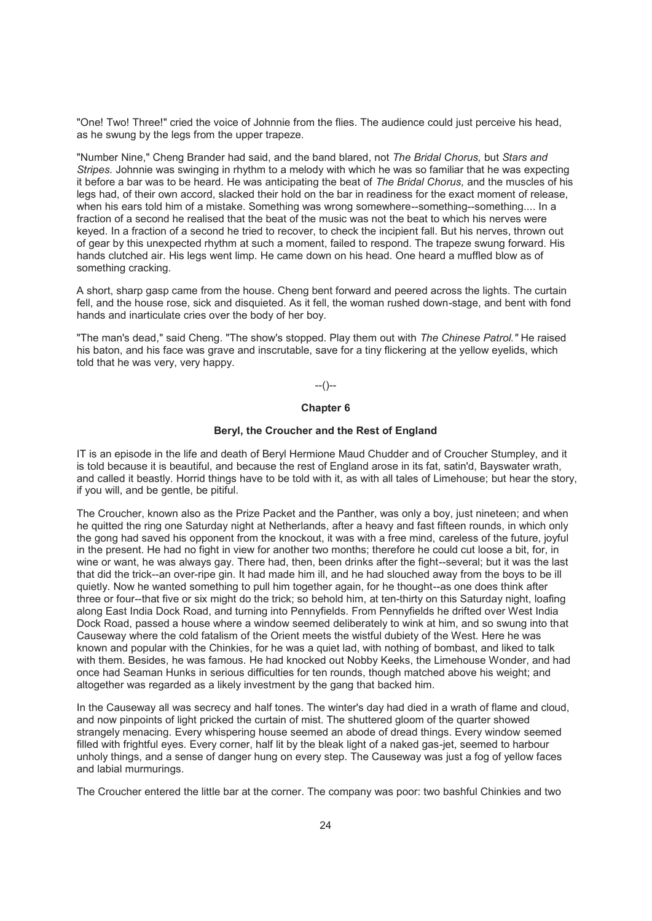"One! Two! Three!" cried the voice of Johnnie from the flies. The audience could just perceive his head, as he swung by the legs from the upper trapeze.

"Number Nine," Cheng Brander had said, and the band blared, not *The Bridal Chorus,* but *Stars and Stripes.* Johnnie was swinging in rhythm to a melody with which he was so familiar that he was expecting it before a bar was to be heard. He was anticipating the beat of *The Bridal Chorus,* and the muscles of his legs had, of their own accord, slacked their hold on the bar in readiness for the exact moment of release, when his ears told him of a mistake. Something was wrong somewhere--something--something.... In a fraction of a second he realised that the beat of the music was not the beat to which his nerves were keyed. In a fraction of a second he tried to recover, to check the incipient fall. But his nerves, thrown out of gear by this unexpected rhythm at such a moment, failed to respond. The trapeze swung forward. His hands clutched air. His legs went limp. He came down on his head. One heard a muffled blow as of something cracking.

A short, sharp gasp came from the house. Cheng bent forward and peered across the lights. The curtain fell, and the house rose, sick and disquieted. As it fell, the woman rushed down-stage, and bent with fond hands and inarticulate cries over the body of her boy.

"The man's dead," said Cheng. "The show's stopped. Play them out with *The Chinese Patrol."* He raised his baton, and his face was grave and inscrutable, save for a tiny flickering at the yellow eyelids, which told that he was very, very happy.

--()--

### **Chapter 6**

#### **Beryl, the Croucher and the Rest of England**

IT is an episode in the life and death of Beryl Hermione Maud Chudder and of Croucher Stumpley, and it is told because it is beautiful, and because the rest of England arose in its fat, satin'd, Bayswater wrath, and called it beastly. Horrid things have to be told with it, as with all tales of Limehouse; but hear the story, if you will, and be gentle, be pitiful.

The Croucher, known also as the Prize Packet and the Panther, was only a boy, just nineteen; and when he quitted the ring one Saturday night at Netherlands, after a heavy and fast fifteen rounds, in which only the gong had saved his opponent from the knockout, it was with a free mind, careless of the future, joyful in the present. He had no fight in view for another two months; therefore he could cut loose a bit, for, in wine or want, he was always gay. There had, then, been drinks after the fight--several; but it was the last that did the trick--an over-ripe gin. It had made him ill, and he had slouched away from the boys to be ill quietly. Now he wanted something to pull him together again, for he thought--as one does think after three or four--that five or six might do the trick; so behold him, at ten-thirty on this Saturday night, loafing along East India Dock Road, and turning into Pennyfields. From Pennyfields he drifted over West India Dock Road, passed a house where a window seemed deliberately to wink at him, and so swung into that Causeway where the cold fatalism of the Orient meets the wistful dubiety of the West. Here he was known and popular with the Chinkies, for he was a quiet lad, with nothing of bombast, and liked to talk with them. Besides, he was famous. He had knocked out Nobby Keeks, the Limehouse Wonder, and had once had Seaman Hunks in serious difficulties for ten rounds, though matched above his weight; and altogether was regarded as a likely investment by the gang that backed him.

In the Causeway all was secrecy and half tones. The winter's day had died in a wrath of flame and cloud, and now pinpoints of light pricked the curtain of mist. The shuttered gloom of the quarter showed strangely menacing. Every whispering house seemed an abode of dread things. Every window seemed filled with frightful eyes. Every corner, half lit by the bleak light of a naked gas-jet, seemed to harbour unholy things, and a sense of danger hung on every step. The Causeway was just a fog of yellow faces and labial murmurings.

The Croucher entered the little bar at the corner. The company was poor: two bashful Chinkies and two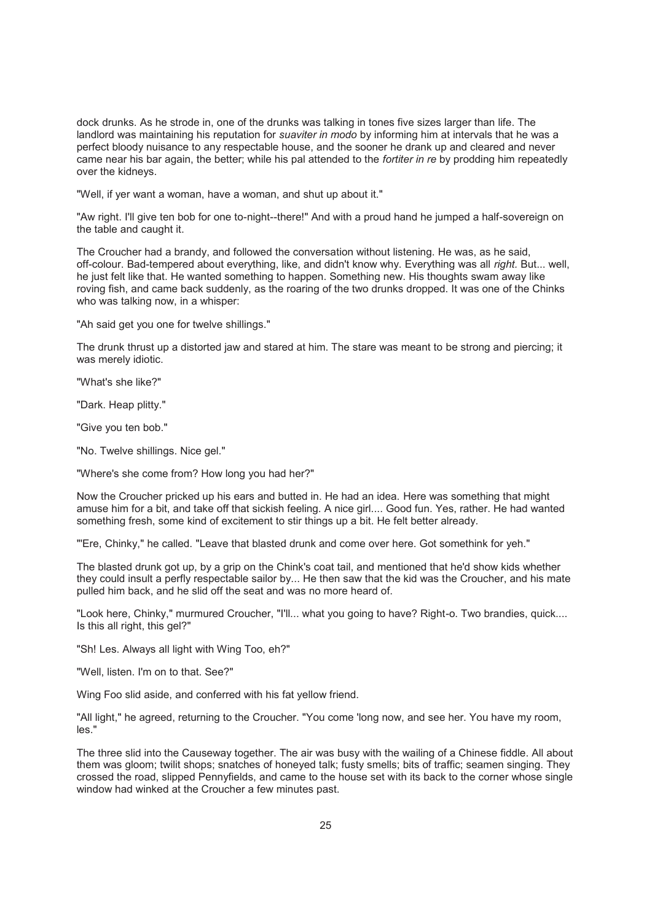dock drunks. As he strode in, one of the drunks was talking in tones five sizes larger than life. The landlord was maintaining his reputation for *suaviter in modo* by informing him at intervals that he was a perfect bloody nuisance to any respectable house, and the sooner he drank up and cleared and never came near his bar again, the better; while his pal attended to the *fortiter in re* by prodding him repeatedly over the kidneys.

"Well, if yer want a woman, have a woman, and shut up about it."

"Aw right. I'll give ten bob for one to-night--there!" And with a proud hand he jumped a half-sovereign on the table and caught it.

The Croucher had a brandy, and followed the conversation without listening. He was, as he said, off-colour. Bad-tempered about everything, like, and didn't know why. Everything was all *right.* But... well, he just felt like that. He wanted something to happen. Something new. His thoughts swam away like roving fish, and came back suddenly, as the roaring of the two drunks dropped. It was one of the Chinks who was talking now, in a whisper:

"Ah said get you one for twelve shillings."

The drunk thrust up a distorted jaw and stared at him. The stare was meant to be strong and piercing; it was merely idiotic.

"What's she like?"

"Dark. Heap plitty."

"Give you ten bob."

"No. Twelve shillings. Nice gel."

"Where's she come from? How long you had her?"

Now the Croucher pricked up his ears and butted in. He had an idea. Here was something that might amuse him for a bit, and take off that sickish feeling. A nice girl.... Good fun. Yes, rather. He had wanted something fresh, some kind of excitement to stir things up a bit. He felt better already.

"'Ere, Chinky," he called. "Leave that blasted drunk and come over here. Got somethink for yeh."

The blasted drunk got up, by a grip on the Chink's coat tail, and mentioned that he'd show kids whether they could insult a perfly respectable sailor by... He then saw that the kid was the Croucher, and his mate pulled him back, and he slid off the seat and was no more heard of.

"Look here, Chinky," murmured Croucher, "I'll... what you going to have? Right-o. Two brandies, quick.... Is this all right, this gel?"

"Sh! Les. Always all light with Wing Too, eh?"

"Well, listen. I'm on to that. See?"

Wing Foo slid aside, and conferred with his fat yellow friend.

"All light," he agreed, returning to the Croucher. "You come 'long now, and see her. You have my room, les."

The three slid into the Causeway together. The air was busy with the wailing of a Chinese fiddle. All about them was gloom; twilit shops; snatches of honeyed talk; fusty smells; bits of traffic; seamen singing. They crossed the road, slipped Pennyfields, and came to the house set with its back to the corner whose single window had winked at the Croucher a few minutes past.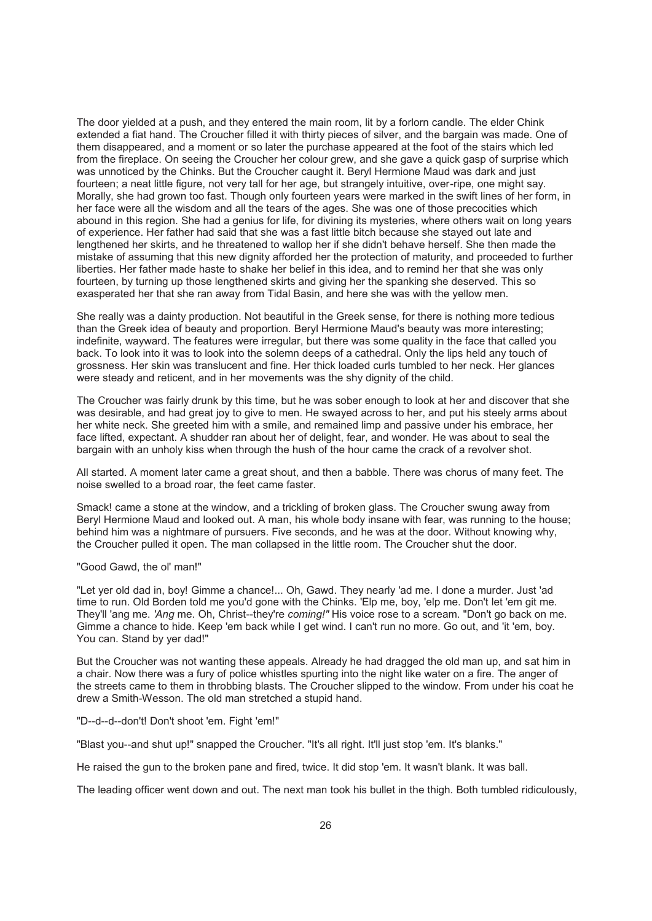The door yielded at a push, and they entered the main room, lit by a forlorn candle. The elder Chink extended a fiat hand. The Croucher filled it with thirty pieces of silver, and the bargain was made. One of them disappeared, and a moment or so later the purchase appeared at the foot of the stairs which led from the fireplace. On seeing the Croucher her colour grew, and she gave a quick gasp of surprise which was unnoticed by the Chinks. But the Croucher caught it. Beryl Hermione Maud was dark and just fourteen; a neat little figure, not very tall for her age, but strangely intuitive, over-ripe, one might say. Morally, she had grown too fast. Though only fourteen years were marked in the swift lines of her form, in her face were all the wisdom and all the tears of the ages. She was one of those precocities which abound in this region. She had a genius for life, for divining its mysteries, where others wait on long years of experience. Her father had said that she was a fast little bitch because she stayed out late and lengthened her skirts, and he threatened to wallop her if she didn't behave herself. She then made the mistake of assuming that this new dignity afforded her the protection of maturity, and proceeded to further liberties. Her father made haste to shake her belief in this idea, and to remind her that she was only fourteen, by turning up those lengthened skirts and giving her the spanking she deserved. This so exasperated her that she ran away from Tidal Basin, and here she was with the yellow men.

She really was a dainty production. Not beautiful in the Greek sense, for there is nothing more tedious than the Greek idea of beauty and proportion. Beryl Hermione Maud's beauty was more interesting; indefinite, wayward. The features were irregular, but there was some quality in the face that called you back. To look into it was to look into the solemn deeps of a cathedral. Only the lips held any touch of grossness. Her skin was translucent and fine. Her thick loaded curls tumbled to her neck. Her glances were steady and reticent, and in her movements was the shy dignity of the child.

The Croucher was fairly drunk by this time, but he was sober enough to look at her and discover that she was desirable, and had great joy to give to men. He swayed across to her, and put his steely arms about her white neck. She greeted him with a smile, and remained limp and passive under his embrace, her face lifted, expectant. A shudder ran about her of delight, fear, and wonder. He was about to seal the bargain with an unholy kiss when through the hush of the hour came the crack of a revolver shot.

All started. A moment later came a great shout, and then a babble. There was chorus of many feet. The noise swelled to a broad roar, the feet came faster.

Smack! came a stone at the window, and a trickling of broken glass. The Croucher swung away from Beryl Hermione Maud and looked out. A man, his whole body insane with fear, was running to the house; behind him was a nightmare of pursuers. Five seconds, and he was at the door. Without knowing why, the Croucher pulled it open. The man collapsed in the little room. The Croucher shut the door.

#### "Good Gawd, the ol' man!"

"Let yer old dad in, boy! Gimme a chance!... Oh, Gawd. They nearly 'ad me. I done a murder. Just 'ad time to run. Old Borden told me you'd gone with the Chinks. 'Elp me, boy, 'elp me. Don't let 'em git me. They'll 'ang me. *'Ang* me. Oh, Christ--they're *coming!"* His voice rose to a scream. "Don't go back on me. Gimme a chance to hide. Keep 'em back while I get wind. I can't run no more. Go out, and 'it 'em, boy. You can. Stand by yer dad!"

But the Croucher was not wanting these appeals. Already he had dragged the old man up, and sat him in a chair. Now there was a fury of police whistles spurting into the night like water on a fire. The anger of the streets came to them in throbbing blasts. The Croucher slipped to the window. From under his coat he drew a Smith-Wesson. The old man stretched a stupid hand.

#### "D--d--d--don't! Don't shoot 'em. Fight 'em!"

"Blast you--and shut up!" snapped the Croucher. "It's all right. It'll just stop 'em. It's blanks."

He raised the gun to the broken pane and fired, twice. It did stop 'em. It wasn't blank. It was ball.

The leading officer went down and out. The next man took his bullet in the thigh. Both tumbled ridiculously,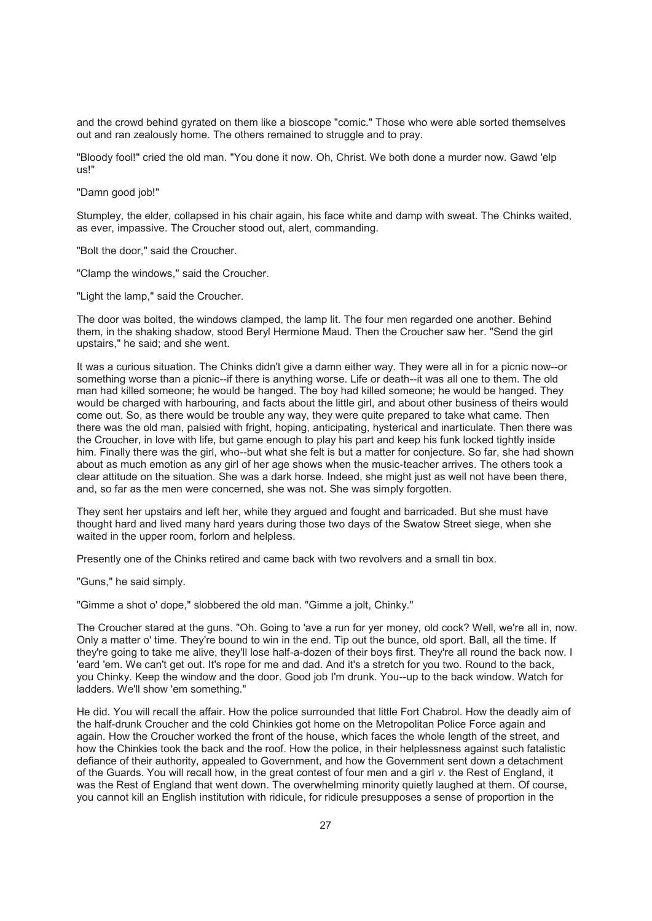and the crowd behind gyrated on them like a bioscope "comic." Those who were able sorted themselves out and ran zealously home. The others remained to struggle and to pray.

"Bloody fool!" cried the old man. "You done it now. Oh, Christ. We both done a murder now. Gawd 'elp us!"

"Damn good job!"

Stumpley, the elder, collapsed in his chair again, his face white and damp with sweat. The Chinks waited, as ever, impassive. The Croucher stood out, alert, commanding.

"Bolt the door," said the Croucher.

"Clamp the windows," said the Croucher.

"Light the lamp," said the Croucher.

The door was bolted, the windows clamped, the lamp lit. The four men regarded one another. Behind them, in the shaking shadow, stood Beryl Hermione Maud. Then the Croucher saw her. "Send the girl upstairs," he said; and she went.

It was a curious situation. The Chinks didn't give a damn either way. They were all in for a picnic now--or something worse than a picnic--if there is anything worse. Life or death--it was all one to them. The old man had killed someone; he would be hanged. The boy had killed someone; he would be hanged. They would be charged with harbouring, and facts about the little girl, and about other business of theirs would come out. So, as there would be trouble any way, they were quite prepared to take what came. Then there was the old man, palsied with fright, hoping, anticipating, hysterical and inarticulate. Then there was the Croucher, in love with life, but game enough to play his part and keep his funk locked tightly inside him. Finally there was the girl, who--but what she felt is but a matter for conjecture. So far, she had shown about as much emotion as any girl of her age shows when the music-teacher arrives. The others took a clear attitude on the situation. She was a dark horse. Indeed, she might just as well not have been there, and, so far as the men were concerned, she was not. She was simply forgotten.

They sent her upstairs and left her, while they argued and fought and barricaded. But she must have thought hard and lived many hard years during those two days of the Swatow Street siege, when she waited in the upper room, forlorn and helpless.

Presently one of the Chinks retired and came back with two revolvers and a small tin box.

"Guns," he said simply.

"Gimme a shot o' dope," slobbered the old man. "Gimme a jolt, Chinky."

The Croucher stared at the guns. "Oh. Going to 'ave a run for yer money, old cock? Well, we're all in, now. Only a matter o' time. They're bound to win in the end. Tip out the bunce, old sport. Ball, all the time. If they're going to take me alive, they'll lose half-a-dozen of their boys first. They're all round the back now. I 'eard 'em. We can't get out. It's rope for me and dad. And it's a stretch for you two. Round to the back, you Chinky. Keep the window and the door. Good job I'm drunk. You--up to the back window. Watch for ladders. We'll show 'em something."

He did. You will recall the affair. How the police surrounded that little Fort Chabrol. How the deadly aim of the half-drunk Croucher and the cold Chinkies got home on the Metropolitan Police Force again and again. How the Croucher worked the front of the house, which faces the whole length of the street, and how the Chinkies took the back and the roof. How the police, in their helplessness against such fatalistic defiance of their authority, appealed to Government, and how the Government sent down a detachment of the Guards. You will recall how, in the great contest of four men and a girl *v*. the Rest of England, it was the Rest of England that went down. The overwhelming minority quietly laughed at them. Of course, you cannot kill an English institution with ridicule, for ridicule presupposes a sense of proportion in the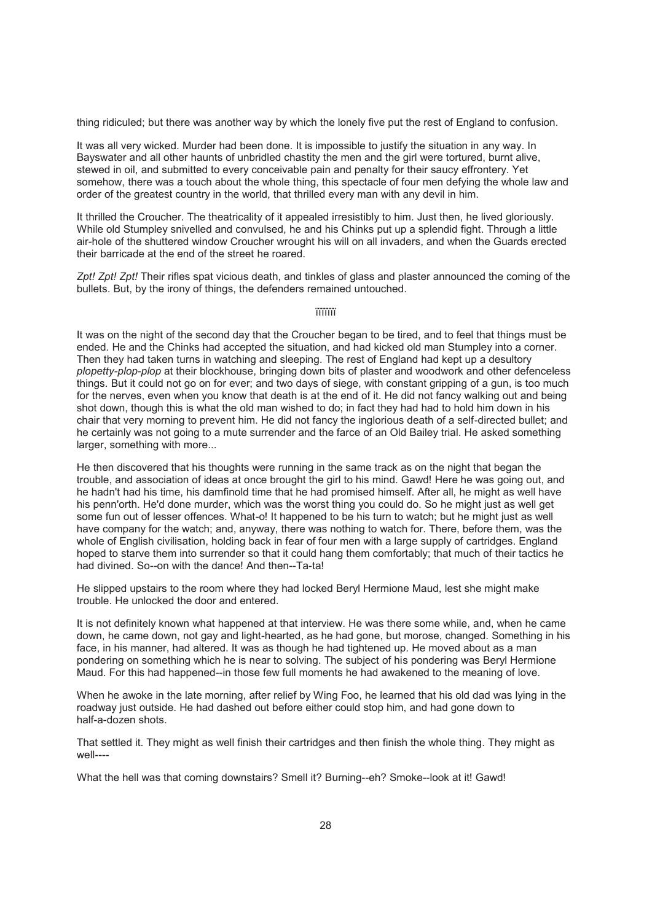thing ridiculed; but there was another way by which the lonely five put the rest of England to confusion.

It was all very wicked. Murder had been done. It is impossible to justify the situation in any way. In Bayswater and all other haunts of unbridled chastity the men and the girl were tortured, burnt alive, stewed in oil, and submitted to every conceivable pain and penalty for their saucy effrontery. Yet somehow, there was a touch about the whole thing, this spectacle of four men defying the whole law and order of the greatest country in the world, that thrilled every man with any devil in him.

It thrilled the Croucher. The theatricality of it appealed irresistibly to him. Just then, he lived gloriously. While old Stumpley snivelled and convulsed, he and his Chinks put up a splendid fight. Through a little air-hole of the shuttered window Croucher wrought his will on all invaders, and when the Guards erected their barricade at the end of the street he roared.

*Zpt! Zpt! Zpt!* Their rifles spat vicious death, and tinkles of glass and plaster announced the coming of the bullets. But, by the irony of things, the defenders remained untouched.

#### ïïïïïïï

It was on the night of the second day that the Croucher began to be tired, and to feel that things must be ended. He and the Chinks had accepted the situation, and had kicked old man Stumpley into a corner. Then they had taken turns in watching and sleeping. The rest of England had kept up a desultory *plopetty-plop-plop* at their blockhouse, bringing down bits of plaster and woodwork and other defenceless things. But it could not go on for ever; and two days of siege, with constant gripping of a gun, is too much for the nerves, even when you know that death is at the end of it. He did not fancy walking out and being shot down, though this is what the old man wished to do; in fact they had had to hold him down in his chair that very morning to prevent him. He did not fancy the inglorious death of a self-directed bullet; and he certainly was not going to a mute surrender and the farce of an Old Bailey trial. He asked something larger, something with more...

He then discovered that his thoughts were running in the same track as on the night that began the trouble, and association of ideas at once brought the girl to his mind. Gawd! Here he was going out, and he hadn't had his time, his damfinold time that he had promised himself. After all, he might as well have his penn'orth. He'd done murder, which was the worst thing you could do. So he might just as well get some fun out of lesser offences. What-o! It happened to be his turn to watch; but he might just as well have company for the watch; and, anyway, there was nothing to watch for. There, before them, was the whole of English civilisation, holding back in fear of four men with a large supply of cartridges. England hoped to starve them into surrender so that it could hang them comfortably; that much of their tactics he had divined. So--on with the dance! And then--Ta-ta!

He slipped upstairs to the room where they had locked Beryl Hermione Maud, lest she might make trouble. He unlocked the door and entered.

It is not definitely known what happened at that interview. He was there some while, and, when he came down, he came down, not gay and light-hearted, as he had gone, but morose, changed. Something in his face, in his manner, had altered. It was as though he had tightened up. He moved about as a man pondering on something which he is near to solving. The subject of his pondering was Beryl Hermione Maud. For this had happened--in those few full moments he had awakened to the meaning of love.

When he awoke in the late morning, after relief by Wing Foo, he learned that his old dad was lying in the roadway just outside. He had dashed out before either could stop him, and had gone down to half-a-dozen shots.

That settled it. They might as well finish their cartridges and then finish the whole thing. They might as well----

What the hell was that coming downstairs? Smell it? Burning--eh? Smoke--look at it! Gawd!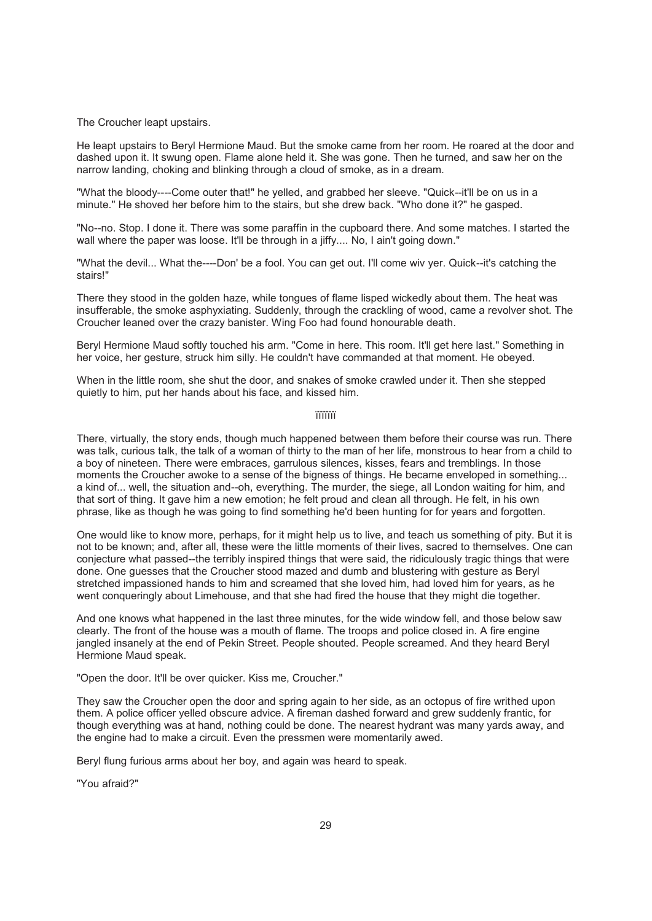The Croucher leapt upstairs.

He leapt upstairs to Beryl Hermione Maud. But the smoke came from her room. He roared at the door and dashed upon it. It swung open. Flame alone held it. She was gone. Then he turned, and saw her on the narrow landing, choking and blinking through a cloud of smoke, as in a dream.

"What the bloody----Come outer that!" he yelled, and grabbed her sleeve. "Quick--it'll be on us in a minute." He shoved her before him to the stairs, but she drew back. "Who done it?" he gasped.

"No--no. Stop. I done it. There was some paraffin in the cupboard there. And some matches. I started the wall where the paper was loose. It'll be through in a jiffy.... No, I ain't going down."

"What the devil... What the----Don' be a fool. You can get out. I'll come wiv yer. Quick--it's catching the stairs!"

There they stood in the golden haze, while tongues of flame lisped wickedly about them. The heat was insufferable, the smoke asphyxiating. Suddenly, through the crackling of wood, came a revolver shot. The Croucher leaned over the crazy banister. Wing Foo had found honourable death.

Beryl Hermione Maud softly touched his arm. "Come in here. This room. It'll get here last." Something in her voice, her gesture, struck him silly. He couldn't have commanded at that moment. He obeyed.

When in the little room, she shut the door, and snakes of smoke crawled under it. Then she stepped quietly to him, put her hands about his face, and kissed him.

ïïïïïïï

There, virtually, the story ends, though much happened between them before their course was run. There was talk, curious talk, the talk of a woman of thirty to the man of her life, monstrous to hear from a child to a boy of nineteen. There were embraces, garrulous silences, kisses, fears and tremblings. In those moments the Croucher awoke to a sense of the bigness of things. He became enveloped in something... a kind of... well, the situation and--oh, everything. The murder, the siege, all London waiting for him, and that sort of thing. It gave him a new emotion; he felt proud and clean all through. He felt, in his own phrase, like as though he was going to find something he'd been hunting for for years and forgotten.

One would like to know more, perhaps, for it might help us to live, and teach us something of pity. But it is not to be known; and, after all, these were the little moments of their lives, sacred to themselves. One can conjecture what passed--the terribly inspired things that were said, the ridiculously tragic things that were done. One guesses that the Croucher stood mazed and dumb and blustering with gesture as Beryl stretched impassioned hands to him and screamed that she loved him, had loved him for years, as he went conqueringly about Limehouse, and that she had fired the house that they might die together.

And one knows what happened in the last three minutes, for the wide window fell, and those below saw clearly. The front of the house was a mouth of flame. The troops and police closed in. A fire engine jangled insanely at the end of Pekin Street. People shouted. People screamed. And they heard Beryl Hermione Maud speak.

"Open the door. It'll be over quicker. Kiss me, Croucher."

They saw the Croucher open the door and spring again to her side, as an octopus of fire writhed upon them. A police officer yelled obscure advice. A fireman dashed forward and grew suddenly frantic, for though everything was at hand, nothing could be done. The nearest hydrant was many yards away, and the engine had to make a circuit. Even the pressmen were momentarily awed.

Beryl flung furious arms about her boy, and again was heard to speak.

"You afraid?"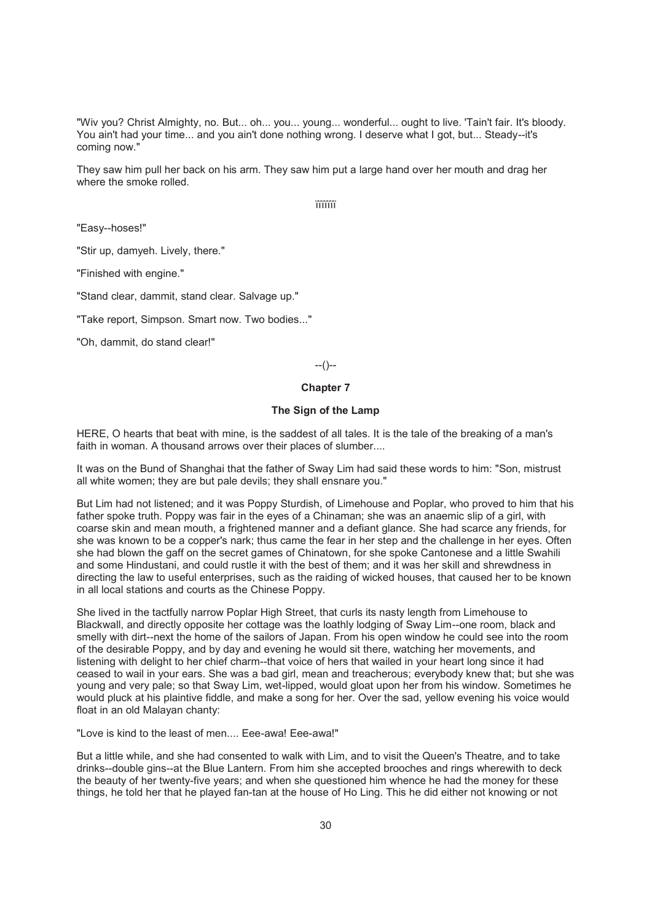"Wiv you? Christ Almighty, no. But... oh... you... young... wonderful... ought to live. 'Tain't fair. It's bloody. You ain't had your time... and you ain't done nothing wrong. I deserve what I got, but... Steady--it's coming now."

They saw him pull her back on his arm. They saw him put a large hand over her mouth and drag her where the smoke rolled.

ïïïïïïï

"Easy--hoses!"

"Stir up, damyeh. Lively, there."

"Finished with engine."

"Stand clear, dammit, stand clear. Salvage up."

"Take report, Simpson. Smart now. Two bodies..."

"Oh, dammit, do stand clear!"

--()--

#### **Chapter 7**

## **The Sign of the Lamp**

HERE, O hearts that beat with mine, is the saddest of all tales. It is the tale of the breaking of a man's faith in woman. A thousand arrows over their places of slumber....

It was on the Bund of Shanghai that the father of Sway Lim had said these words to him: "Son, mistrust all white women; they are but pale devils; they shall ensnare you."

But Lim had not listened; and it was Poppy Sturdish, of Limehouse and Poplar, who proved to him that his father spoke truth. Poppy was fair in the eyes of a Chinaman; she was an anaemic slip of a girl, with coarse skin and mean mouth, a frightened manner and a defiant glance. She had scarce any friends, for she was known to be a copper's nark; thus came the fear in her step and the challenge in her eyes. Often she had blown the gaff on the secret games of Chinatown, for she spoke Cantonese and a little Swahili and some Hindustani, and could rustle it with the best of them; and it was her skill and shrewdness in directing the law to useful enterprises, such as the raiding of wicked houses, that caused her to be known in all local stations and courts as the Chinese Poppy.

She lived in the tactfully narrow Poplar High Street, that curls its nasty length from Limehouse to Blackwall, and directly opposite her cottage was the loathly lodging of Sway Lim--one room, black and smelly with dirt--next the home of the sailors of Japan. From his open window he could see into the room of the desirable Poppy, and by day and evening he would sit there, watching her movements, and listening with delight to her chief charm--that voice of hers that wailed in your heart long since it had ceased to wail in your ears. She was a bad girl, mean and treacherous; everybody knew that; but she was young and very pale; so that Sway Lim, wet-lipped, would gloat upon her from his window. Sometimes he would pluck at his plaintive fiddle, and make a song for her. Over the sad, yellow evening his voice would float in an old Malayan chanty:

"Love is kind to the least of men.... Eee-awa! Eee-awa!"

But a little while, and she had consented to walk with Lim, and to visit the Queen's Theatre, and to take drinks--double gins--at the Blue Lantern. From him she accepted brooches and rings wherewith to deck the beauty of her twenty-five years; and when she questioned him whence he had the money for these things, he told her that he played fan-tan at the house of Ho Ling. This he did either not knowing or not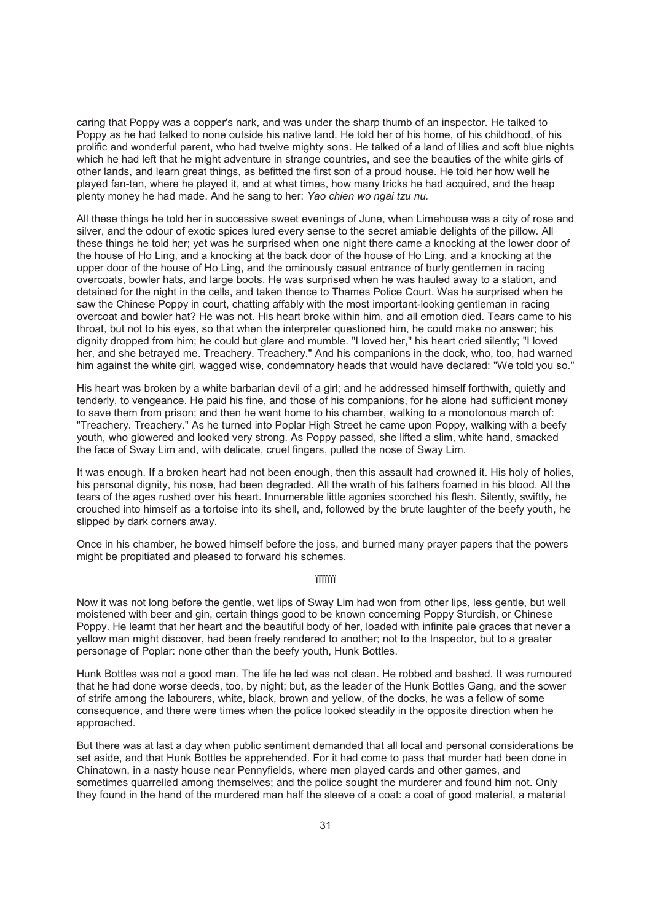caring that Poppy was a copper's nark, and was under the sharp thumb of an inspector. He talked to Poppy as he had talked to none outside his native land. He told her of his home, of his childhood, of his prolific and wonderful parent, who had twelve mighty sons. He talked of a land of lilies and soft blue nights which he had left that he might adventure in strange countries, and see the beauties of the white girls of other lands, and learn great things, as befitted the first son of a proud house. He told her how well he played fan-tan, where he played it, and at what times, how many tricks he had acquired, and the heap plenty money he had made. And he sang to her: *Yao chien wo ngai tzu nu.*

All these things he told her in successive sweet evenings of June, when Limehouse was a city of rose and silver, and the odour of exotic spices lured every sense to the secret amiable delights of the pillow. All these things he told her; yet was he surprised when one night there came a knocking at the lower door of the house of Ho Ling, and a knocking at the back door of the house of Ho Ling, and a knocking at the upper door of the house of Ho Ling, and the ominously casual entrance of burly gentlemen in racing overcoats, bowler hats, and large boots. He was surprised when he was hauled away to a station, and detained for the night in the cells, and taken thence to Thames Police Court. Was he surprised when he saw the Chinese Poppy in court, chatting affably with the most important-looking gentleman in racing overcoat and bowler hat? He was not. His heart broke within him, and all emotion died. Tears came to his throat, but not to his eyes, so that when the interpreter questioned him, he could make no answer; his dignity dropped from him; he could but glare and mumble. "I loved her," his heart cried silently; "I loved her, and she betrayed me. Treachery. Treachery." And his companions in the dock, who, too, had warned him against the white girl, wagged wise, condemnatory heads that would have declared: "We told you so."

His heart was broken by a white barbarian devil of a girl; and he addressed himself forthwith, quietly and tenderly, to vengeance. He paid his fine, and those of his companions, for he alone had sufficient money to save them from prison; and then he went home to his chamber, walking to a monotonous march of: "Treachery. Treachery." As he turned into Poplar High Street he came upon Poppy, walking with a beefy youth, who glowered and looked very strong. As Poppy passed, she lifted a slim, white hand, smacked the face of Sway Lim and, with delicate, cruel fingers, pulled the nose of Sway Lim.

It was enough. If a broken heart had not been enough, then this assault had crowned it. His holy of holies, his personal dignity, his nose, had been degraded. All the wrath of his fathers foamed in his blood. All the tears of the ages rushed over his heart. Innumerable little agonies scorched his flesh. Silently, swiftly, he crouched into himself as a tortoise into its shell, and, followed by the brute laughter of the beefy youth, he slipped by dark corners away.

Once in his chamber, he bowed himself before the joss, and burned many prayer papers that the powers might be propitiated and pleased to forward his schemes.

ïïïïïïï

Now it was not long before the gentle, wet lips of Sway Lim had won from other lips, less gentle, but well moistened with beer and gin, certain things good to be known concerning Poppy Sturdish, or Chinese Poppy. He learnt that her heart and the beautiful body of her, loaded with infinite pale graces that never a yellow man might discover, had been freely rendered to another; not to the Inspector, but to a greater personage of Poplar: none other than the beefy youth, Hunk Bottles.

Hunk Bottles was not a good man. The life he led was not clean. He robbed and bashed. It was rumoured that he had done worse deeds, too, by night; but, as the leader of the Hunk Bottles Gang, and the sower of strife among the labourers, white, black, brown and yellow, of the docks, he was a fellow of some consequence, and there were times when the police looked steadily in the opposite direction when he approached.

But there was at last a day when public sentiment demanded that all local and personal considerations be set aside, and that Hunk Bottles be apprehended. For it had come to pass that murder had been done in Chinatown, in a nasty house near Pennyfields, where men played cards and other games, and sometimes quarrelled among themselves; and the police sought the murderer and found him not. Only they found in the hand of the murdered man half the sleeve of a coat: a coat of good material, a material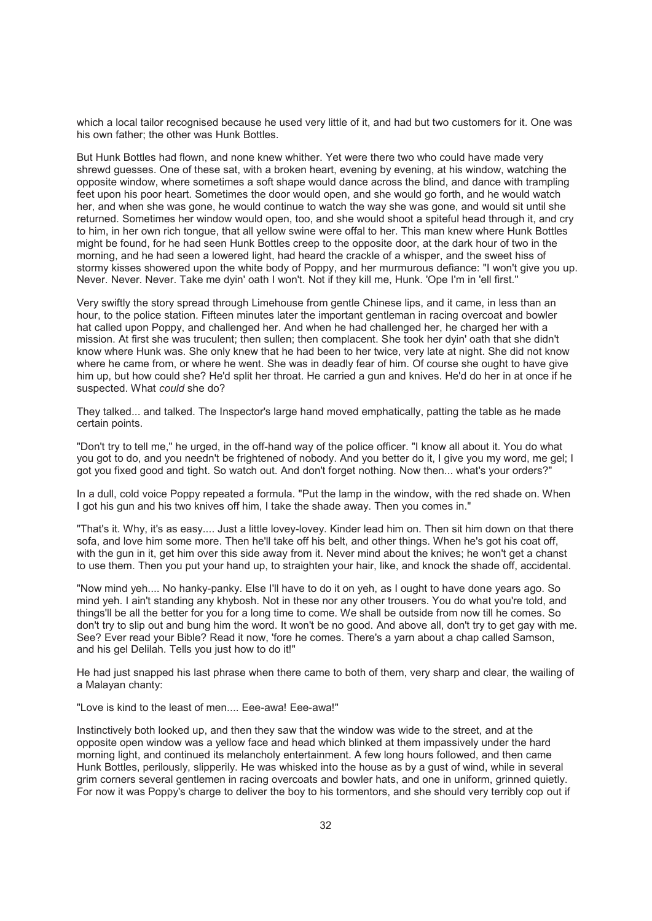which a local tailor recognised because he used very little of it, and had but two customers for it. One was his own father; the other was Hunk Bottles.

But Hunk Bottles had flown, and none knew whither. Yet were there two who could have made very shrewd guesses. One of these sat, with a broken heart, evening by evening, at his window, watching the opposite window, where sometimes a soft shape would dance across the blind, and dance with trampling feet upon his poor heart. Sometimes the door would open, and she would go forth, and he would watch her, and when she was gone, he would continue to watch the way she was gone, and would sit until she returned. Sometimes her window would open, too, and she would shoot a spiteful head through it, and cry to him, in her own rich tongue, that all yellow swine were offal to her. This man knew where Hunk Bottles might be found, for he had seen Hunk Bottles creep to the opposite door, at the dark hour of two in the morning, and he had seen a lowered light, had heard the crackle of a whisper, and the sweet hiss of stormy kisses showered upon the white body of Poppy, and her murmurous defiance: "I won't give you up. Never. Never. Never. Take me dyin' oath I won't. Not if they kill me, Hunk. 'Ope I'm in 'ell first."

Very swiftly the story spread through Limehouse from gentle Chinese lips, and it came, in less than an hour, to the police station. Fifteen minutes later the important gentleman in racing overcoat and bowler hat called upon Poppy, and challenged her. And when he had challenged her, he charged her with a mission. At first she was truculent; then sullen; then complacent. She took her dyin' oath that she didn't know where Hunk was. She only knew that he had been to her twice, very late at night. She did not know where he came from, or where he went. She was in deadly fear of him. Of course she ought to have give him up, but how could she? He'd split her throat. He carried a gun and knives. He'd do her in at once if he suspected. What *could* she do?

They talked... and talked. The Inspector's large hand moved emphatically, patting the table as he made certain points.

"Don't try to tell me," he urged, in the off-hand way of the police officer. "I know all about it. You do what you got to do, and you needn't be frightened of nobody. And you better do it, I give you my word, me gel; I got you fixed good and tight. So watch out. And don't forget nothing. Now then... what's your orders?"

In a dull, cold voice Poppy repeated a formula. "Put the lamp in the window, with the red shade on. When I got his gun and his two knives off him, I take the shade away. Then you comes in."

"That's it. Why, it's as easy.... Just a little lovey-lovey. Kinder lead him on. Then sit him down on that there sofa, and love him some more. Then he'll take off his belt, and other things. When he's got his coat off, with the gun in it, get him over this side away from it. Never mind about the knives; he won't get a chanst to use them. Then you put your hand up, to straighten your hair, like, and knock the shade off, accidental.

"Now mind yeh.... No hanky-panky. Else I'll have to do it on yeh, as I ought to have done years ago. So mind yeh. I ain't standing any khybosh. Not in these nor any other trousers. You do what you're told, and things'll be all the better for you for a long time to come. We shall be outside from now till he comes. So don't try to slip out and bung him the word. It won't be no good. And above all, don't try to get gay with me. See? Ever read your Bible? Read it now, 'fore he comes. There's a yarn about a chap called Samson, and his gel Delilah. Tells you just how to do it!"

He had just snapped his last phrase when there came to both of them, very sharp and clear, the wailing of a Malayan chanty:

"Love is kind to the least of men.... Eee-awa! Eee-awa!"

Instinctively both looked up, and then they saw that the window was wide to the street, and at the opposite open window was a yellow face and head which blinked at them impassively under the hard morning light, and continued its melancholy entertainment. A few long hours followed, and then came Hunk Bottles, perilously, slipperily. He was whisked into the house as by a gust of wind, while in several grim corners several gentlemen in racing overcoats and bowler hats, and one in uniform, grinned quietly. For now it was Poppy's charge to deliver the boy to his tormentors, and she should very terribly cop out if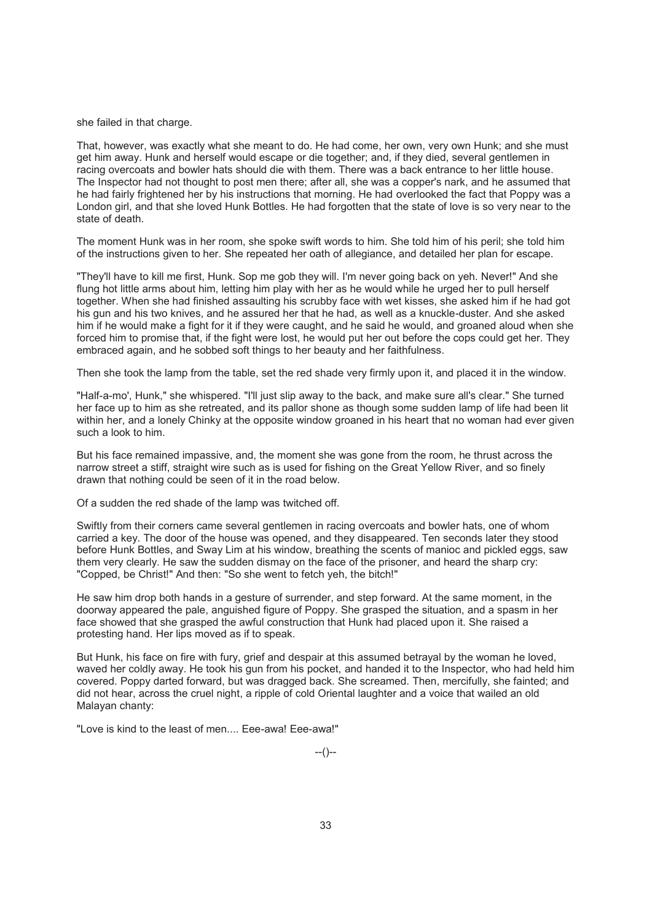she failed in that charge.

That, however, was exactly what she meant to do. He had come, her own, very own Hunk; and she must get him away. Hunk and herself would escape or die together; and, if they died, several gentlemen in racing overcoats and bowler hats should die with them. There was a back entrance to her little house. The Inspector had not thought to post men there; after all, she was a copper's nark, and he assumed that he had fairly frightened her by his instructions that morning. He had overlooked the fact that Poppy was a London girl, and that she loved Hunk Bottles. He had forgotten that the state of love is so very near to the state of death.

The moment Hunk was in her room, she spoke swift words to him. She told him of his peril; she told him of the instructions given to her. She repeated her oath of allegiance, and detailed her plan for escape.

"They'll have to kill me first, Hunk. Sop me gob they will. I'm never going back on yeh. Never!" And she flung hot little arms about him, letting him play with her as he would while he urged her to pull herself together. When she had finished assaulting his scrubby face with wet kisses, she asked him if he had got his gun and his two knives, and he assured her that he had, as well as a knuckle-duster. And she asked him if he would make a fight for it if they were caught, and he said he would, and groaned aloud when she forced him to promise that, if the fight were lost, he would put her out before the cops could get her. They embraced again, and he sobbed soft things to her beauty and her faithfulness.

Then she took the lamp from the table, set the red shade very firmly upon it, and placed it in the window.

"Half-a-mo', Hunk," she whispered. "I'll just slip away to the back, and make sure all's clear." She turned her face up to him as she retreated, and its pallor shone as though some sudden lamp of life had been lit within her, and a lonely Chinky at the opposite window groaned in his heart that no woman had ever given such a look to him.

But his face remained impassive, and, the moment she was gone from the room, he thrust across the narrow street a stiff, straight wire such as is used for fishing on the Great Yellow River, and so finely drawn that nothing could be seen of it in the road below.

Of a sudden the red shade of the lamp was twitched off.

Swiftly from their corners came several gentlemen in racing overcoats and bowler hats, one of whom carried a key. The door of the house was opened, and they disappeared. Ten seconds later they stood before Hunk Bottles, and Sway Lim at his window, breathing the scents of manioc and pickled eggs, saw them very clearly. He saw the sudden dismay on the face of the prisoner, and heard the sharp cry: "Copped, be Christ!" And then: "So she went to fetch yeh, the bitch!"

He saw him drop both hands in a gesture of surrender, and step forward. At the same moment, in the doorway appeared the pale, anguished figure of Poppy. She grasped the situation, and a spasm in her face showed that she grasped the awful construction that Hunk had placed upon it. She raised a protesting hand. Her lips moved as if to speak.

But Hunk, his face on fire with fury, grief and despair at this assumed betrayal by the woman he loved, waved her coldly away. He took his gun from his pocket, and handed it to the Inspector, who had held him covered. Poppy darted forward, but was dragged back. She screamed. Then, mercifully, she fainted; and did not hear, across the cruel night, a ripple of cold Oriental laughter and a voice that wailed an old Malayan chanty:

"Love is kind to the least of men.... Eee-awa! Eee-awa!"

--()--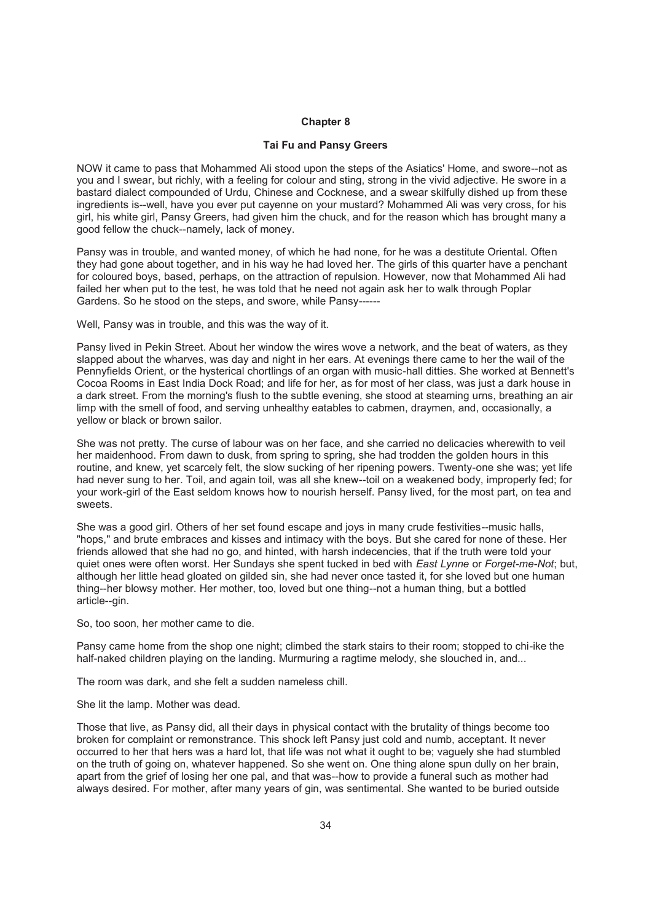#### **Chapter 8**

### **Tai Fu and Pansy Greers**

NOW it came to pass that Mohammed Ali stood upon the steps of the Asiatics' Home, and swore--not as you and I swear, but richly, with a feeling for colour and sting, strong in the vivid adjective. He swore in a bastard dialect compounded of Urdu, Chinese and Cocknese, and a swear skilfully dished up from these ingredients is--well, have you ever put cayenne on your mustard? Mohammed Ali was very cross, for his girl, his white girl, Pansy Greers, had given him the chuck, and for the reason which has brought many a good fellow the chuck--namely, lack of money.

Pansy was in trouble, and wanted money, of which he had none, for he was a destitute Oriental. Often they had gone about together, and in his way he had loved her. The girls of this quarter have a penchant for coloured boys, based, perhaps, on the attraction of repulsion. However, now that Mohammed Ali had failed her when put to the test, he was told that he need not again ask her to walk through Poplar Gardens. So he stood on the steps, and swore, while Pansy------

Well, Pansy was in trouble, and this was the way of it.

Pansy lived in Pekin Street. About her window the wires wove a network, and the beat of waters, as they slapped about the wharves, was day and night in her ears. At evenings there came to her the wail of the Pennyfields Orient, or the hysterical chortlings of an organ with music-hall ditties. She worked at Bennett's Cocoa Rooms in East India Dock Road; and life for her, as for most of her class, was just a dark house in a dark street. From the morning's flush to the subtle evening, she stood at steaming urns, breathing an air limp with the smell of food, and serving unhealthy eatables to cabmen, draymen, and, occasionally, a yellow or black or brown sailor.

She was not pretty. The curse of labour was on her face, and she carried no delicacies wherewith to veil her maidenhood. From dawn to dusk, from spring to spring, she had trodden the golden hours in this routine, and knew, yet scarcely felt, the slow sucking of her ripening powers. Twenty-one she was; yet life had never sung to her. Toil, and again toil, was all she knew--toil on a weakened body, improperly fed; for your work-girl of the East seldom knows how to nourish herself. Pansy lived, for the most part, on tea and sweets.

She was a good girl. Others of her set found escape and joys in many crude festivities--music halls, "hops," and brute embraces and kisses and intimacy with the boys. But she cared for none of these. Her friends allowed that she had no go, and hinted, with harsh indecencies, that if the truth were told your quiet ones were often worst. Her Sundays she spent tucked in bed with *East Lynne* or *Forget-me-Not*; but, although her little head gloated on gilded sin, she had never once tasted it, for she loved but one human thing--her blowsy mother. Her mother, too, loved but one thing--not a human thing, but a bottled article--gin.

So, too soon, her mother came to die.

Pansy came home from the shop one night; climbed the stark stairs to their room; stopped to chi-ike the half-naked children playing on the landing. Murmuring a ragtime melody, she slouched in, and...

The room was dark, and she felt a sudden nameless chill.

She lit the lamp. Mother was dead.

Those that live, as Pansy did, all their days in physical contact with the brutality of things become too broken for complaint or remonstrance. This shock left Pansy just cold and numb, acceptant. It never occurred to her that hers was a hard lot, that life was not what it ought to be; vaguely she had stumbled on the truth of going on, whatever happened. So she went on. One thing alone spun dully on her brain, apart from the grief of losing her one pal, and that was--how to provide a funeral such as mother had always desired. For mother, after many years of gin, was sentimental. She wanted to be buried outside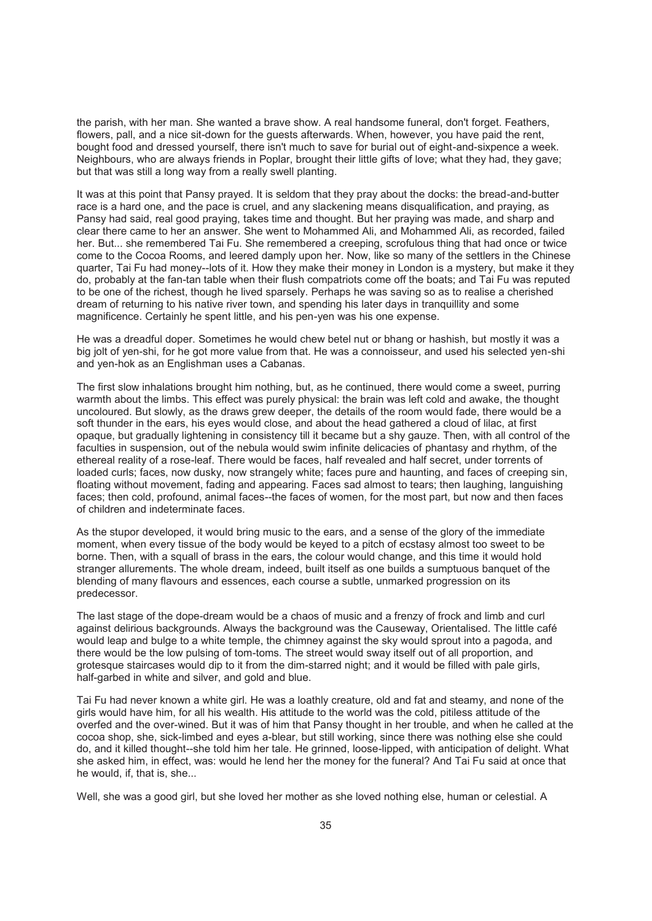the parish, with her man. She wanted a brave show. A real handsome funeral, don't forget. Feathers, flowers, pall, and a nice sit-down for the guests afterwards. When, however, you have paid the rent, bought food and dressed yourself, there isn't much to save for burial out of eight-and-sixpence a week. Neighbours, who are always friends in Poplar, brought their little gifts of love; what they had, they gave; but that was still a long way from a really swell planting.

It was at this point that Pansy prayed. It is seldom that they pray about the docks: the bread-and-butter race is a hard one, and the pace is cruel, and any slackening means disqualification, and praying, as Pansy had said, real good praying, takes time and thought. But her praying was made, and sharp and clear there came to her an answer. She went to Mohammed Ali, and Mohammed Ali, as recorded, failed her. But... she remembered Tai Fu. She remembered a creeping, scrofulous thing that had once or twice come to the Cocoa Rooms, and leered damply upon her. Now, like so many of the settlers in the Chinese quarter, Tai Fu had money--lots of it. How they make their money in London is a mystery, but make it they do, probably at the fan-tan table when their flush compatriots come off the boats; and Tai Fu was reputed to be one of the richest, though he lived sparsely. Perhaps he was saving so as to realise a cherished dream of returning to his native river town, and spending his later days in tranquillity and some magnificence. Certainly he spent little, and his pen-yen was his one expense.

He was a dreadful doper. Sometimes he would chew betel nut or bhang or hashish, but mostly it was a big jolt of yen-shi, for he got more value from that. He was a connoisseur, and used his selected yen-shi and yen-hok as an Englishman uses a Cabanas.

The first slow inhalations brought him nothing, but, as he continued, there would come a sweet, purring warmth about the limbs. This effect was purely physical: the brain was left cold and awake, the thought uncoloured. But slowly, as the draws grew deeper, the details of the room would fade, there would be a soft thunder in the ears, his eyes would close, and about the head gathered a cloud of lilac, at first opaque, but gradually lightening in consistency till it became but a shy gauze. Then, with all control of the faculties in suspension, out of the nebula would swim infinite delicacies of phantasy and rhythm, of the ethereal reality of a rose-leaf. There would be faces, half revealed and half secret, under torrents of loaded curls; faces, now dusky, now strangely white; faces pure and haunting, and faces of creeping sin, floating without movement, fading and appearing. Faces sad almost to tears; then laughing, languishing faces; then cold, profound, animal faces--the faces of women, for the most part, but now and then faces of children and indeterminate faces.

As the stupor developed, it would bring music to the ears, and a sense of the glory of the immediate moment, when every tissue of the body would be keyed to a pitch of ecstasy almost too sweet to be borne. Then, with a squall of brass in the ears, the colour would change, and this time it would hold stranger allurements. The whole dream, indeed, built itself as one builds a sumptuous banquet of the blending of many flavours and essences, each course a subtle, unmarked progression on its predecessor.

The last stage of the dope-dream would be a chaos of music and a frenzy of frock and limb and curl against delirious backgrounds. Always the background was the Causeway, Orientalised. The little café would leap and bulge to a white temple, the chimney against the sky would sprout into a pagoda, and there would be the low pulsing of tom-toms. The street would sway itself out of all proportion, and grotesque staircases would dip to it from the dim-starred night; and it would be filled with pale girls, half-garbed in white and silver, and gold and blue.

Tai Fu had never known a white girl. He was a loathly creature, old and fat and steamy, and none of the girls would have him, for all his wealth. His attitude to the world was the cold, pitiless attitude of the overfed and the over-wined. But it was of him that Pansy thought in her trouble, and when he called at the cocoa shop, she, sick-limbed and eyes a-blear, but still working, since there was nothing else she could do, and it killed thought--she told him her tale. He grinned, loose-lipped, with anticipation of delight. What she asked him, in effect, was: would he lend her the money for the funeral? And Tai Fu said at once that he would, if, that is, she...

Well, she was a good girl, but she loved her mother as she loved nothing else, human or celestial. A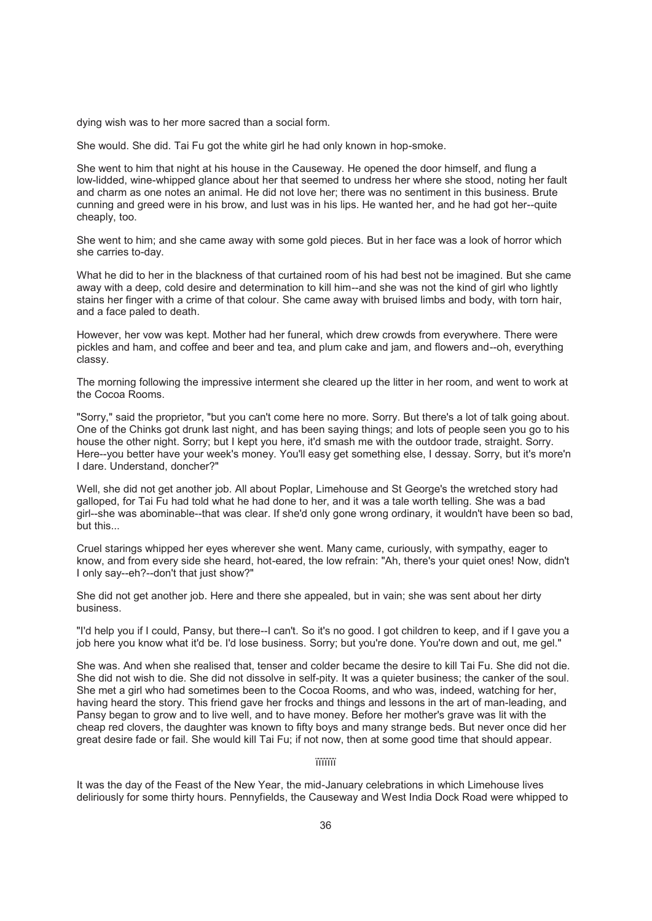dying wish was to her more sacred than a social form.

She would. She did. Tai Fu got the white girl he had only known in hop-smoke.

She went to him that night at his house in the Causeway. He opened the door himself, and flung a low-lidded, wine-whipped glance about her that seemed to undress her where she stood, noting her fault and charm as one notes an animal. He did not love her; there was no sentiment in this business. Brute cunning and greed were in his brow, and lust was in his lips. He wanted her, and he had got her--quite cheaply, too.

She went to him; and she came away with some gold pieces. But in her face was a look of horror which she carries to-day.

What he did to her in the blackness of that curtained room of his had best not be imagined. But she came away with a deep, cold desire and determination to kill him--and she was not the kind of girl who lightly stains her finger with a crime of that colour. She came away with bruised limbs and body, with torn hair, and a face paled to death.

However, her vow was kept. Mother had her funeral, which drew crowds from everywhere. There were pickles and ham, and coffee and beer and tea, and plum cake and jam, and flowers and--oh, everything classy.

The morning following the impressive interment she cleared up the litter in her room, and went to work at the Cocoa Rooms.

"Sorry," said the proprietor, "but you can't come here no more. Sorry. But there's a lot of talk going about. One of the Chinks got drunk last night, and has been saying things; and lots of people seen you go to his house the other night. Sorry; but I kept you here, it'd smash me with the outdoor trade, straight. Sorry. Here--you better have your week's money. You'll easy get something else, I dessay. Sorry, but it's more'n I dare. Understand, doncher?"

Well, she did not get another job. All about Poplar, Limehouse and St George's the wretched story had galloped, for Tai Fu had told what he had done to her, and it was a tale worth telling. She was a bad girl--she was abominable--that was clear. If she'd only gone wrong ordinary, it wouldn't have been so bad, but this...

Cruel starings whipped her eyes wherever she went. Many came, curiously, with sympathy, eager to know, and from every side she heard, hot-eared, the low refrain: "Ah, there's your quiet ones! Now, didn't I only say--eh?--don't that just show?"

She did not get another job. Here and there she appealed, but in vain; she was sent about her dirty business.

"I'd help you if I could, Pansy, but there--I can't. So it's no good. I got children to keep, and if I gave you a job here you know what it'd be. I'd lose business. Sorry; but you're done. You're down and out, me gel."

She was. And when she realised that, tenser and colder became the desire to kill Tai Fu. She did not die. She did not wish to die. She did not dissolve in self-pity. It was a quieter business; the canker of the soul. She met a girl who had sometimes been to the Cocoa Rooms, and who was, indeed, watching for her, having heard the story. This friend gave her frocks and things and lessons in the art of man-leading, and Pansy began to grow and to live well, and to have money. Before her mother's grave was lit with the cheap red clovers, the daughter was known to fifty boys and many strange beds. But never once did her great desire fade or fail. She would kill Tai Fu; if not now, then at some good time that should appear.

ïïïïïïï

It was the day of the Feast of the New Year, the mid-January celebrations in which Limehouse lives deliriously for some thirty hours. Pennyfields, the Causeway and West India Dock Road were whipped to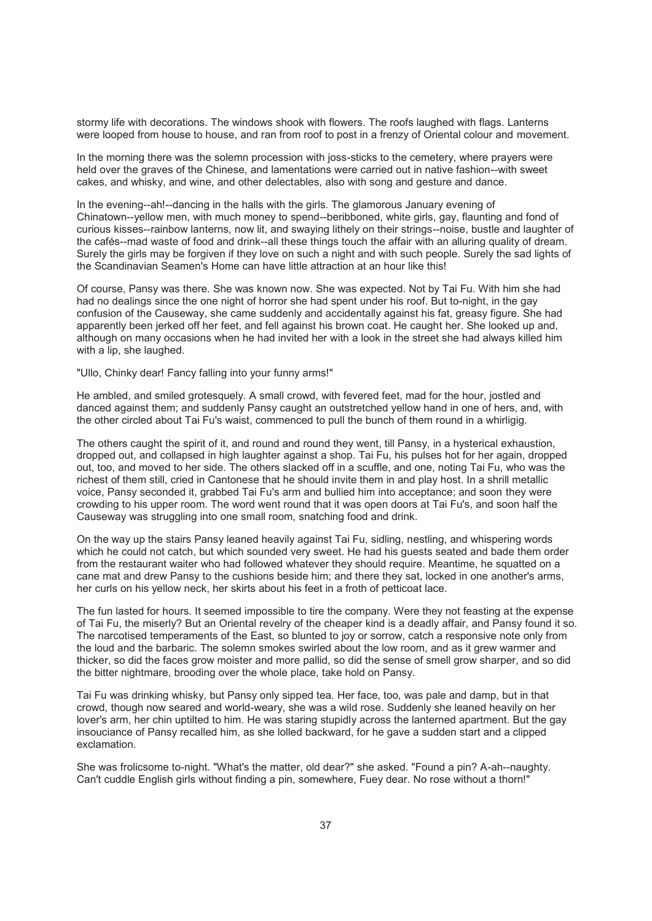stormy life with decorations. The windows shook with flowers. The roofs laughed with flags. Lanterns were looped from house to house, and ran from roof to post in a frenzy of Oriental colour and movement.

In the morning there was the solemn procession with joss-sticks to the cemetery, where prayers were held over the graves of the Chinese, and lamentations were carried out in native fashion--with sweet cakes, and whisky, and wine, and other delectables, also with song and gesture and dance.

In the evening--ah!--dancing in the halls with the girls. The glamorous January evening of Chinatown--yellow men, with much money to spend--beribboned, white girls, gay, flaunting and fond of curious kisses--rainbow lanterns, now lit, and swaying lithely on their strings--noise, bustle and laughter of the cafés--mad waste of food and drink--all these things touch the affair with an alluring quality of dream. Surely the girls may be forgiven if they love on such a night and with such people. Surely the sad lights of the Scandinavian Seamen's Home can have little attraction at an hour like this!

Of course, Pansy was there. She was known now. She was expected. Not by Tai Fu. With him she had had no dealings since the one night of horror she had spent under his roof. But to-night, in the gay confusion of the Causeway, she came suddenly and accidentally against his fat, greasy figure. She had apparently been jerked off her feet, and fell against his brown coat. He caught her. She looked up and, although on many occasions when he had invited her with a look in the street she had always killed him with a lip, she laughed.

"Ullo, Chinky dear! Fancy falling into your funny arms!"

He ambled, and smiled grotesquely. A small crowd, with fevered feet, mad for the hour, jostled and danced against them; and suddenly Pansy caught an outstretched yellow hand in one of hers, and, with the other circled about Tai Fu's waist, commenced to pull the bunch of them round in a whirligig.

The others caught the spirit of it, and round and round they went, till Pansy, in a hysterical exhaustion, dropped out, and collapsed in high laughter against a shop. Tai Fu, his pulses hot for her again, dropped out, too, and moved to her side. The others slacked off in a scuffle, and one, noting Tai Fu, who was the richest of them still, cried in Cantonese that he should invite them in and play host. In a shrill metallic voice, Pansy seconded it, grabbed Tai Fu's arm and bullied him into acceptance; and soon they were crowding to his upper room. The word went round that it was open doors at Tai Fu's, and soon half the Causeway was struggling into one small room, snatching food and drink.

On the way up the stairs Pansy leaned heavily against Tai Fu, sidling, nestling, and whispering words which he could not catch, but which sounded very sweet. He had his guests seated and bade them order from the restaurant waiter who had followed whatever they should require. Meantime, he squatted on a cane mat and drew Pansy to the cushions beside him; and there they sat, locked in one another's arms, her curls on his yellow neck, her skirts about his feet in a froth of petticoat lace.

The fun lasted for hours. It seemed impossible to tire the company. Were they not feasting at the expense of Tai Fu, the miserly? But an Oriental revelry of the cheaper kind is a deadly affair, and Pansy found it so. The narcotised temperaments of the East, so blunted to joy or sorrow, catch a responsive note only from the loud and the barbaric. The solemn smokes swirled about the low room, and as it grew warmer and thicker, so did the faces grow moister and more pallid, so did the sense of smell grow sharper, and so did the bitter nightmare, brooding over the whole place, take hold on Pansy.

Tai Fu was drinking whisky, but Pansy only sipped tea. Her face, too, was pale and damp, but in that crowd, though now seared and world-weary, she was a wild rose. Suddenly she leaned heavily on her lover's arm, her chin uptilted to him. He was staring stupidly across the lanterned apartment. But the gay insouciance of Pansy recalled him, as she lolled backward, for he gave a sudden start and a clipped exclamation.

She was frolicsome to-night. "What's the matter, old dear?" she asked. "Found a pin? A-ah--naughty. Can't cuddle English girls without finding a pin, somewhere, Fuey dear. No rose without a thorn!"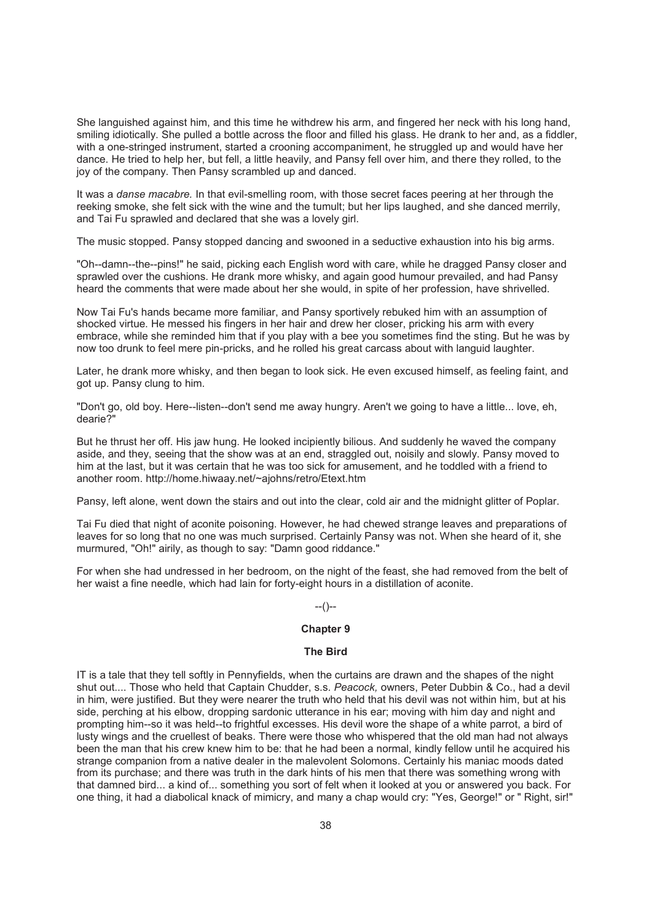She languished against him, and this time he withdrew his arm, and fingered her neck with his long hand, smiling idiotically. She pulled a bottle across the floor and filled his glass. He drank to her and, as a fiddler, with a one-stringed instrument, started a crooning accompaniment, he struggled up and would have her dance. He tried to help her, but fell, a little heavily, and Pansy fell over him, and there they rolled, to the joy of the company. Then Pansy scrambled up and danced.

It was a *danse macabre.* In that evil-smelling room, with those secret faces peering at her through the reeking smoke, she felt sick with the wine and the tumult; but her lips laughed, and she danced merrily, and Tai Fu sprawled and declared that she was a lovely girl.

The music stopped. Pansy stopped dancing and swooned in a seductive exhaustion into his big arms.

"Oh--damn--the--pins!" he said, picking each English word with care, while he dragged Pansy closer and sprawled over the cushions. He drank more whisky, and again good humour prevailed, and had Pansy heard the comments that were made about her she would, in spite of her profession, have shrivelled.

Now Tai Fu's hands became more familiar, and Pansy sportively rebuked him with an assumption of shocked virtue. He messed his fingers in her hair and drew her closer, pricking his arm with every embrace, while she reminded him that if you play with a bee you sometimes find the sting. But he was by now too drunk to feel mere pin-pricks, and he rolled his great carcass about with languid laughter.

Later, he drank more whisky, and then began to look sick. He even excused himself, as feeling faint, and got up. Pansy clung to him.

"Don't go, old boy. Here--listen--don't send me away hungry. Aren't we going to have a little... love, eh, dearie?"

But he thrust her off. His jaw hung. He looked incipiently bilious. And suddenly he waved the company aside, and they, seeing that the show was at an end, straggled out, noisily and slowly. Pansy moved to him at the last, but it was certain that he was too sick for amusement, and he toddled with a friend to another room. http://home.hiwaay.net/~ajohns/retro/Etext.htm

Pansy, left alone, went down the stairs and out into the clear, cold air and the midnight glitter of Poplar.

Tai Fu died that night of aconite poisoning. However, he had chewed strange leaves and preparations of leaves for so long that no one was much surprised. Certainly Pansy was not. When she heard of it, she murmured, "Oh!" airily, as though to say: "Damn good riddance."

For when she had undressed in her bedroom, on the night of the feast, she had removed from the belt of her waist a fine needle, which had lain for forty-eight hours in a distillation of aconite.

### $-(-)$

## **Chapter 9**

## **The Bird**

IT is a tale that they tell softly in Pennyfields, when the curtains are drawn and the shapes of the night shut out.... Those who held that Captain Chudder, s.s. *Peacock,* owners, Peter Dubbin & Co., had a devil in him, were justified. But they were nearer the truth who held that his devil was not within him, but at his side, perching at his elbow, dropping sardonic utterance in his ear; moving with him day and night and prompting him--so it was held--to frightful excesses. His devil wore the shape of a white parrot, a bird of lusty wings and the cruellest of beaks. There were those who whispered that the old man had not always been the man that his crew knew him to be: that he had been a normal, kindly fellow until he acquired his strange companion from a native dealer in the malevolent Solomons. Certainly his maniac moods dated from its purchase; and there was truth in the dark hints of his men that there was something wrong with that damned bird... a kind of... something you sort of felt when it looked at you or answered you back. For one thing, it had a diabolical knack of mimicry, and many a chap would cry: "Yes, George!" or " Right, sir!"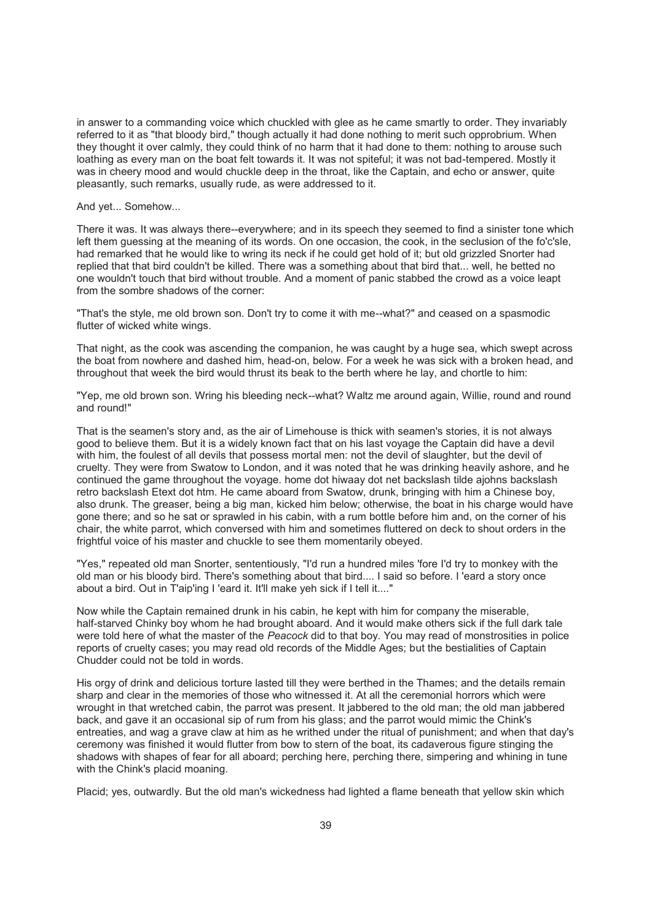in answer to a commanding voice which chuckled with glee as he came smartly to order. They invariably referred to it as "that bloody bird," though actually it had done nothing to merit such opprobrium. When they thought it over calmly, they could think of no harm that it had done to them: nothing to arouse such loathing as every man on the boat felt towards it. It was not spiteful; it was not bad-tempered. Mostly it was in cheery mood and would chuckle deep in the throat, like the Captain, and echo or answer, quite pleasantly, such remarks, usually rude, as were addressed to it.

#### And yet... Somehow...

There it was. It was always there--everywhere; and in its speech they seemed to find a sinister tone which left them guessing at the meaning of its words. On one occasion, the cook, in the seclusion of the fo'c'sle, had remarked that he would like to wring its neck if he could get hold of it; but old grizzled Snorter had replied that that bird couldn't be killed. There was a something about that bird that... well, he betted no one wouldn't touch that bird without trouble. And a moment of panic stabbed the crowd as a voice leapt from the sombre shadows of the corner:

"That's the style, me old brown son. Don't try to come it with me--what?" and ceased on a spasmodic flutter of wicked white wings.

That night, as the cook was ascending the companion, he was caught by a huge sea, which swept across the boat from nowhere and dashed him, head-on, below. For a week he was sick with a broken head, and throughout that week the bird would thrust its beak to the berth where he lay, and chortle to him:

"Yep, me old brown son. Wring his bleeding neck--what? Waltz me around again, Willie, round and round and round!"

That is the seamen's story and, as the air of Limehouse is thick with seamen's stories, it is not always good to believe them. But it is a widely known fact that on his last voyage the Captain did have a devil with him, the foulest of all devils that possess mortal men: not the devil of slaughter, but the devil of cruelty. They were from Swatow to London, and it was noted that he was drinking heavily ashore, and he continued the game throughout the voyage. home dot hiwaay dot net backslash tilde ajohns backslash retro backslash Etext dot htm. He came aboard from Swatow, drunk, bringing with him a Chinese boy, also drunk. The greaser, being a big man, kicked him below; otherwise, the boat in his charge would have gone there; and so he sat or sprawled in his cabin, with a rum bottle before him and, on the corner of his chair, the white parrot, which conversed with him and sometimes fluttered on deck to shout orders in the frightful voice of his master and chuckle to see them momentarily obeyed.

"Yes," repeated old man Snorter, sententiously, "I'd run a hundred miles 'fore I'd try to monkey with the old man or his bloody bird. There's something about that bird.... I said so before. I 'eard a story once about a bird. Out in T'aip'ing I 'eard it. It'll make yeh sick if I tell it...."

Now while the Captain remained drunk in his cabin, he kept with him for company the miserable, half-starved Chinky boy whom he had brought aboard. And it would make others sick if the full dark tale were told here of what the master of the *Peacock* did to that boy. You may read of monstrosities in police reports of cruelty cases; you may read old records of the Middle Ages; but the bestialities of Captain Chudder could not be told in words.

His orgy of drink and delicious torture lasted till they were berthed in the Thames; and the details remain sharp and clear in the memories of those who witnessed it. At all the ceremonial horrors which were wrought in that wretched cabin, the parrot was present. It jabbered to the old man; the old man jabbered back, and gave it an occasional sip of rum from his glass; and the parrot would mimic the Chink's entreaties, and wag a grave claw at him as he writhed under the ritual of punishment; and when that day's ceremony was finished it would flutter from bow to stern of the boat, its cadaverous figure stinging the shadows with shapes of fear for all aboard; perching here, perching there, simpering and whining in tune with the Chink's placid moaning.

Placid; yes, outwardly. But the old man's wickedness had lighted a flame beneath that yellow skin which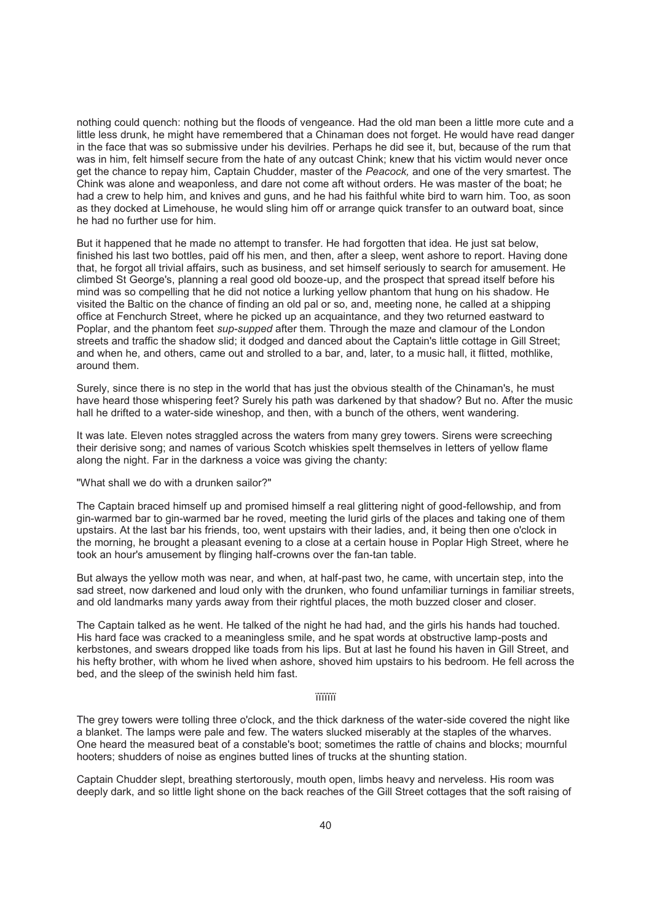nothing could quench: nothing but the floods of vengeance. Had the old man been a little more cute and a little less drunk, he might have remembered that a Chinaman does not forget. He would have read danger in the face that was so submissive under his devilries. Perhaps he did see it, but, because of the rum that was in him, felt himself secure from the hate of any outcast Chink; knew that his victim would never once get the chance to repay him, Captain Chudder, master of the *Peacock,* and one of the very smartest. The Chink was alone and weaponless, and dare not come aft without orders. He was master of the boat; he had a crew to help him, and knives and guns, and he had his faithful white bird to warn him. Too, as soon as they docked at Limehouse, he would sling him off or arrange quick transfer to an outward boat, since he had no further use for him.

But it happened that he made no attempt to transfer. He had forgotten that idea. He just sat below, finished his last two bottles, paid off his men, and then, after a sleep, went ashore to report. Having done that, he forgot all trivial affairs, such as business, and set himself seriously to search for amusement. He climbed St George's, planning a real good old booze-up, and the prospect that spread itself before his mind was so compelling that he did not notice a lurking yellow phantom that hung on his shadow. He visited the Baltic on the chance of finding an old pal or so, and, meeting none, he called at a shipping office at Fenchurch Street, where he picked up an acquaintance, and they two returned eastward to Poplar, and the phantom feet *sup-supped* after them. Through the maze and clamour of the London streets and traffic the shadow slid; it dodged and danced about the Captain's little cottage in Gill Street; and when he, and others, came out and strolled to a bar, and, later, to a music hall, it flitted, mothlike, around them.

Surely, since there is no step in the world that has just the obvious stealth of the Chinaman's, he must have heard those whispering feet? Surely his path was darkened by that shadow? But no. After the music hall he drifted to a water-side wineshop, and then, with a bunch of the others, went wandering.

It was late. Eleven notes straggled across the waters from many grey towers. Sirens were screeching their derisive song; and names of various Scotch whiskies spelt themselves in letters of yellow flame along the night. Far in the darkness a voice was giving the chanty:

"What shall we do with a drunken sailor?"

The Captain braced himself up and promised himself a real glittering night of good-fellowship, and from gin-warmed bar to gin-warmed bar he roved, meeting the lurid girls of the places and taking one of them upstairs. At the last bar his friends, too, went upstairs with their ladies, and, it being then one o'clock in the morning, he brought a pleasant evening to a close at a certain house in Poplar High Street, where he took an hour's amusement by flinging half-crowns over the fan-tan table.

But always the yellow moth was near, and when, at half-past two, he came, with uncertain step, into the sad street, now darkened and loud only with the drunken, who found unfamiliar turnings in familiar streets, and old landmarks many yards away from their rightful places, the moth buzzed closer and closer.

The Captain talked as he went. He talked of the night he had had, and the girls his hands had touched. His hard face was cracked to a meaningless smile, and he spat words at obstructive lamp-posts and kerbstones, and swears dropped like toads from his lips. But at last he found his haven in Gill Street, and his hefty brother, with whom he lived when ashore, shoved him upstairs to his bedroom. He fell across the bed, and the sleep of the swinish held him fast.

#### ïïïïïïï

The grey towers were tolling three o'clock, and the thick darkness of the water-side covered the night like a blanket. The lamps were pale and few. The waters slucked miserably at the staples of the wharves. One heard the measured beat of a constable's boot; sometimes the rattle of chains and blocks; mournful hooters; shudders of noise as engines butted lines of trucks at the shunting station.

Captain Chudder slept, breathing stertorously, mouth open, limbs heavy and nerveless. His room was deeply dark, and so little light shone on the back reaches of the Gill Street cottages that the soft raising of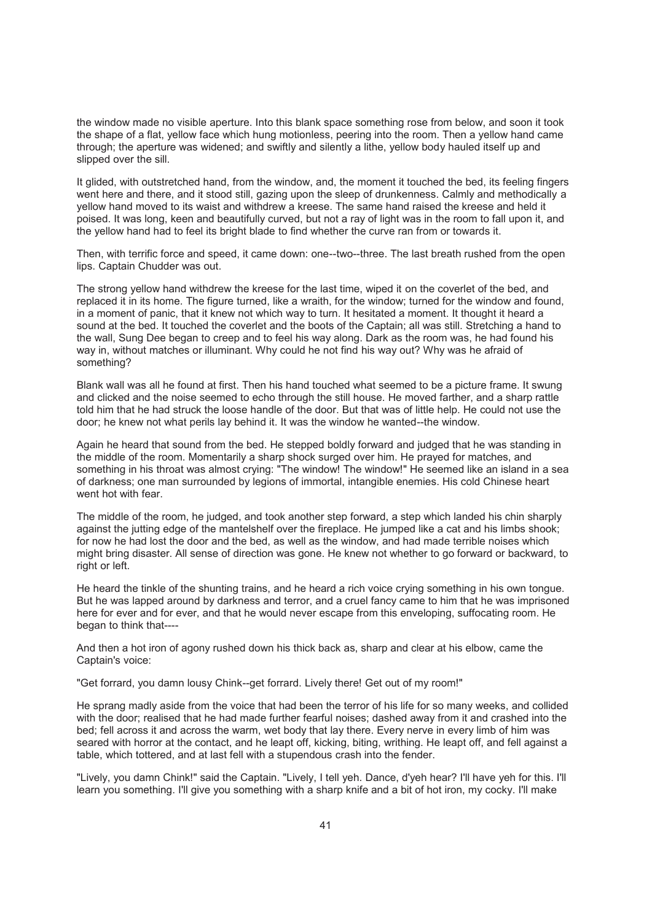the window made no visible aperture. Into this blank space something rose from below, and soon it took the shape of a flat, yellow face which hung motionless, peering into the room. Then a yellow hand came through; the aperture was widened; and swiftly and silently a lithe, yellow body hauled itself up and slipped over the sill.

It glided, with outstretched hand, from the window, and, the moment it touched the bed, its feeling fingers went here and there, and it stood still, gazing upon the sleep of drunkenness. Calmly and methodically a yellow hand moved to its waist and withdrew a kreese. The same hand raised the kreese and held it poised. It was long, keen and beautifully curved, but not a ray of light was in the room to fall upon it, and the yellow hand had to feel its bright blade to find whether the curve ran from or towards it.

Then, with terrific force and speed, it came down: one--two--three. The last breath rushed from the open lips. Captain Chudder was out.

The strong yellow hand withdrew the kreese for the last time, wiped it on the coverlet of the bed, and replaced it in its home. The figure turned, like a wraith, for the window; turned for the window and found, in a moment of panic, that it knew not which way to turn. It hesitated a moment. It thought it heard a sound at the bed. It touched the coverlet and the boots of the Captain; all was still. Stretching a hand to the wall, Sung Dee began to creep and to feel his way along. Dark as the room was, he had found his way in, without matches or illuminant. Why could he not find his way out? Why was he afraid of something?

Blank wall was all he found at first. Then his hand touched what seemed to be a picture frame. It swung and clicked and the noise seemed to echo through the still house. He moved farther, and a sharp rattle told him that he had struck the loose handle of the door. But that was of little help. He could not use the door; he knew not what perils lay behind it. It was the window he wanted--the window.

Again he heard that sound from the bed. He stepped boldly forward and judged that he was standing in the middle of the room. Momentarily a sharp shock surged over him. He prayed for matches, and something in his throat was almost crying: "The window! The window!" He seemed like an island in a sea of darkness; one man surrounded by legions of immortal, intangible enemies. His cold Chinese heart went hot with fear.

The middle of the room, he judged, and took another step forward, a step which landed his chin sharply against the jutting edge of the mantelshelf over the fireplace. He jumped like a cat and his limbs shook; for now he had lost the door and the bed, as well as the window, and had made terrible noises which might bring disaster. All sense of direction was gone. He knew not whether to go forward or backward, to right or left.

He heard the tinkle of the shunting trains, and he heard a rich voice crying something in his own tongue. But he was lapped around by darkness and terror, and a cruel fancy came to him that he was imprisoned here for ever and for ever, and that he would never escape from this enveloping, suffocating room. He began to think that----

And then a hot iron of agony rushed down his thick back as, sharp and clear at his elbow, came the Captain's voice:

"Get forrard, you damn lousy Chink--get forrard. Lively there! Get out of my room!"

He sprang madly aside from the voice that had been the terror of his life for so many weeks, and collided with the door; realised that he had made further fearful noises; dashed away from it and crashed into the bed; fell across it and across the warm, wet body that lay there. Every nerve in every limb of him was seared with horror at the contact, and he leapt off, kicking, biting, writhing. He leapt off, and fell against a table, which tottered, and at last fell with a stupendous crash into the fender.

"Lively, you damn Chink!" said the Captain. "Lively, I tell yeh. Dance, d'yeh hear? I'll have yeh for this. I'll learn you something. I'll give you something with a sharp knife and a bit of hot iron, my cocky. I'll make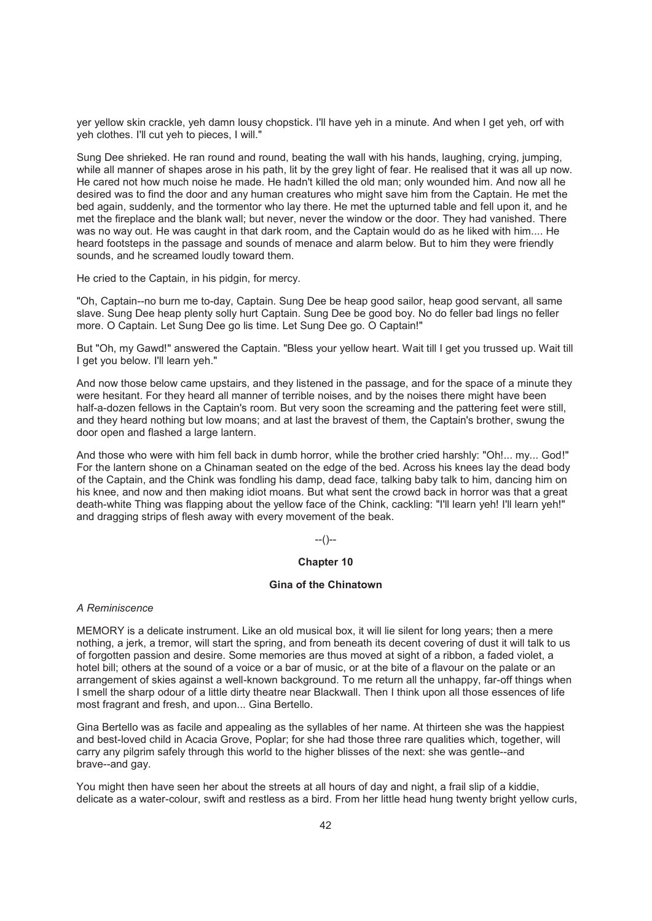yer yellow skin crackle, yeh damn lousy chopstick. I'll have yeh in a minute. And when I get yeh, orf with yeh clothes. I'll cut yeh to pieces, I will."

Sung Dee shrieked. He ran round and round, beating the wall with his hands, laughing, crying, jumping, while all manner of shapes arose in his path, lit by the grey light of fear. He realised that it was all up now. He cared not how much noise he made. He hadn't killed the old man; only wounded him. And now all he desired was to find the door and any human creatures who might save him from the Captain. He met the bed again, suddenly, and the tormentor who lay there. He met the upturned table and fell upon it, and he met the fireplace and the blank wall; but never, never the window or the door. They had vanished. There was no way out. He was caught in that dark room, and the Captain would do as he liked with him.... He heard footsteps in the passage and sounds of menace and alarm below. But to him they were friendly sounds, and he screamed loudly toward them.

He cried to the Captain, in his pidgin, for mercy.

"Oh, Captain--no burn me to-day, Captain. Sung Dee be heap good sailor, heap good servant, all same slave. Sung Dee heap plenty solly hurt Captain. Sung Dee be good boy. No do feller bad lings no feller more. O Captain. Let Sung Dee go lis time. Let Sung Dee go. O Captain!"

But "Oh, my Gawd!" answered the Captain. "Bless your yellow heart. Wait till I get you trussed up. Wait till I get you below. I'll learn yeh."

And now those below came upstairs, and they listened in the passage, and for the space of a minute they were hesitant. For they heard all manner of terrible noises, and by the noises there might have been half-a-dozen fellows in the Captain's room. But very soon the screaming and the pattering feet were still, and they heard nothing but low moans; and at last the bravest of them, the Captain's brother, swung the door open and flashed a large lantern.

And those who were with him fell back in dumb horror, while the brother cried harshly: "Oh!... my... God!" For the lantern shone on a Chinaman seated on the edge of the bed. Across his knees lay the dead body of the Captain, and the Chink was fondling his damp, dead face, talking baby talk to him, dancing him on his knee, and now and then making idiot moans. But what sent the crowd back in horror was that a great death-white Thing was flapping about the yellow face of the Chink, cackling: "I'll learn yeh! I'll learn yeh!" and dragging strips of flesh away with every movement of the beak.

#### --()--

## **Chapter 10**

### **Gina of the Chinatown**

### *A Reminiscence*

MEMORY is a delicate instrument. Like an old musical box, it will lie silent for long years; then a mere nothing, a jerk, a tremor, will start the spring, and from beneath its decent covering of dust it will talk to us of forgotten passion and desire. Some memories are thus moved at sight of a ribbon, a faded violet, a hotel bill; others at the sound of a voice or a bar of music, or at the bite of a flavour on the palate or an arrangement of skies against a well-known background. To me return all the unhappy, far-off things when I smell the sharp odour of a little dirty theatre near Blackwall. Then I think upon all those essences of life most fragrant and fresh, and upon... Gina Bertello.

Gina Bertello was as facile and appealing as the syllables of her name. At thirteen she was the happiest and best-loved child in Acacia Grove, Poplar; for she had those three rare qualities which, together, will carry any pilgrim safely through this world to the higher blisses of the next: she was gentle--and brave--and gay.

You might then have seen her about the streets at all hours of day and night, a frail slip of a kiddie, delicate as a water-colour, swift and restless as a bird. From her little head hung twenty bright yellow curls,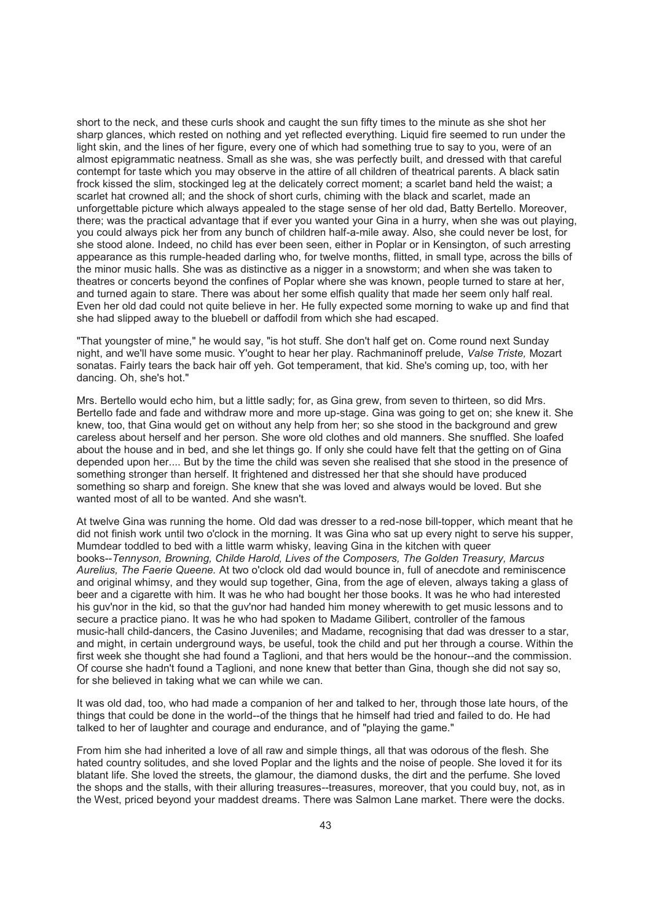short to the neck, and these curls shook and caught the sun fifty times to the minute as she shot her sharp glances, which rested on nothing and yet reflected everything. Liquid fire seemed to run under the light skin, and the lines of her figure, every one of which had something true to say to you, were of an almost epigrammatic neatness. Small as she was, she was perfectly built, and dressed with that careful contempt for taste which you may observe in the attire of all children of theatrical parents. A black satin frock kissed the slim, stockinged leg at the delicately correct moment; a scarlet band held the waist; a scarlet hat crowned all; and the shock of short curls, chiming with the black and scarlet, made an unforgettable picture which always appealed to the stage sense of her old dad, Batty Bertello. Moreover, there; was the practical advantage that if ever you wanted your Gina in a hurry, when she was out playing, you could always pick her from any bunch of children half-a-mile away. Also, she could never be lost, for she stood alone. Indeed, no child has ever been seen, either in Poplar or in Kensington, of such arresting appearance as this rumple-headed darling who, for twelve months, flitted, in small type, across the bills of the minor music halls. She was as distinctive as a nigger in a snowstorm; and when she was taken to theatres or concerts beyond the confines of Poplar where she was known, people turned to stare at her, and turned again to stare. There was about her some elfish quality that made her seem only half real. Even her old dad could not quite believe in her. He fully expected some morning to wake up and find that she had slipped away to the bluebell or daffodil from which she had escaped.

"That youngster of mine," he would say, "is hot stuff. She don't half get on. Come round next Sunday night, and we'll have some music. Y'ought to hear her play. Rachmaninoff prelude, *Valse Triste,* Mozart sonatas. Fairly tears the back hair off yeh. Got temperament, that kid. She's coming up, too, with her dancing. Oh, she's hot."

Mrs. Bertello would echo him, but a little sadly; for, as Gina grew, from seven to thirteen, so did Mrs. Bertello fade and fade and withdraw more and more up-stage. Gina was going to get on; she knew it. She knew, too, that Gina would get on without any help from her; so she stood in the background and grew careless about herself and her person. She wore old clothes and old manners. She snuffled. She loafed about the house and in bed, and she let things go. If only she could have felt that the getting on of Gina depended upon her.... But by the time the child was seven she realised that she stood in the presence of something stronger than herself. It frightened and distressed her that she should have produced something so sharp and foreign. She knew that she was loved and always would be loved. But she wanted most of all to be wanted. And she wasn't.

At twelve Gina was running the home. Old dad was dresser to a red-nose bill-topper, which meant that he did not finish work until two o'clock in the morning. It was Gina who sat up every night to serve his supper, Mumdear toddled to bed with a little warm whisky, leaving Gina in the kitchen with queer books--*Tennyson, Browning, Childe Harold, Lives of the Composers, The Golden Treasury, Marcus Aurelius, The Faerie Queene.* At two o'clock old dad would bounce in, full of anecdote and reminiscence and original whimsy, and they would sup together, Gina, from the age of eleven, always taking a glass of beer and a cigarette with him. It was he who had bought her those books. It was he who had interested his guv'nor in the kid, so that the guv'nor had handed him money wherewith to get music lessons and to secure a practice piano. It was he who had spoken to Madame Gilibert, controller of the famous music-hall child-dancers, the Casino Juveniles; and Madame, recognising that dad was dresser to a star, and might, in certain underground ways, be useful, took the child and put her through a course. Within the first week she thought she had found a Taglioni, and that hers would be the honour--and the commission. Of course she hadn't found a Taglioni, and none knew that better than Gina, though she did not say so, for she believed in taking what we can while we can.

It was old dad, too, who had made a companion of her and talked to her, through those late hours, of the things that could be done in the world--of the things that he himself had tried and failed to do. He had talked to her of laughter and courage and endurance, and of "playing the game."

From him she had inherited a love of all raw and simple things, all that was odorous of the flesh. She hated country solitudes, and she loved Poplar and the lights and the noise of people. She loved it for its blatant life. She loved the streets, the glamour, the diamond dusks, the dirt and the perfume. She loved the shops and the stalls, with their alluring treasures--treasures, moreover, that you could buy, not, as in the West, priced beyond your maddest dreams. There was Salmon Lane market. There were the docks.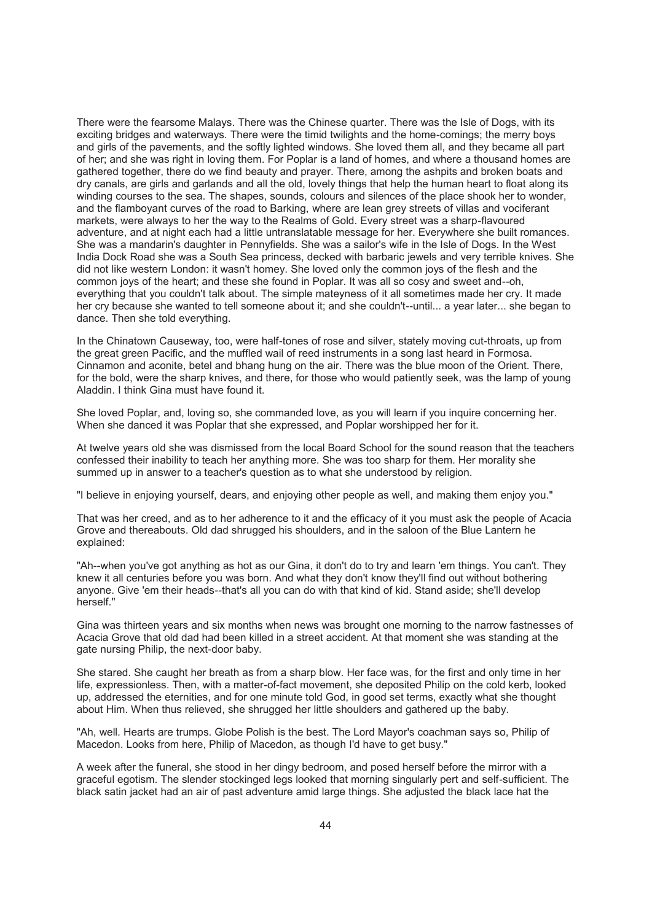There were the fearsome Malays. There was the Chinese quarter. There was the Isle of Dogs, with its exciting bridges and waterways. There were the timid twilights and the home-comings; the merry boys and girls of the pavements, and the softly lighted windows. She loved them all, and they became all part of her; and she was right in loving them. For Poplar is a land of homes, and where a thousand homes are gathered together, there do we find beauty and prayer. There, among the ashpits and broken boats and dry canals, are girls and garlands and all the old, lovely things that help the human heart to float along its winding courses to the sea. The shapes, sounds, colours and silences of the place shook her to wonder, and the flamboyant curves of the road to Barking, where are lean grey streets of villas and vociferant markets, were always to her the way to the Realms of Gold. Every street was a sharp-flavoured adventure, and at night each had a little untranslatable message for her. Everywhere she built romances. She was a mandarin's daughter in Pennyfields. She was a sailor's wife in the Isle of Dogs. In the West India Dock Road she was a South Sea princess, decked with barbaric jewels and very terrible knives. She did not like western London: it wasn't homey. She loved only the common joys of the flesh and the common joys of the heart; and these she found in Poplar. It was all so cosy and sweet and--oh, everything that you couldn't talk about. The simple mateyness of it all sometimes made her cry. It made her cry because she wanted to tell someone about it; and she couldn't--until... a year later... she began to dance. Then she told everything.

In the Chinatown Causeway, too, were half-tones of rose and silver, stately moving cut-throats, up from the great green Pacific, and the muffled wail of reed instruments in a song last heard in Formosa. Cinnamon and aconite, betel and bhang hung on the air. There was the blue moon of the Orient. There, for the bold, were the sharp knives, and there, for those who would patiently seek, was the lamp of young Aladdin. I think Gina must have found it.

She loved Poplar, and, loving so, she commanded love, as you will learn if you inquire concerning her. When she danced it was Poplar that she expressed, and Poplar worshipped her for it.

At twelve years old she was dismissed from the local Board School for the sound reason that the teachers confessed their inability to teach her anything more. She was too sharp for them. Her morality she summed up in answer to a teacher's question as to what she understood by religion.

"I believe in enjoying yourself, dears, and enjoying other people as well, and making them enjoy you."

That was her creed, and as to her adherence to it and the efficacy of it you must ask the people of Acacia Grove and thereabouts. Old dad shrugged his shoulders, and in the saloon of the Blue Lantern he explained:

"Ah--when you've got anything as hot as our Gina, it don't do to try and learn 'em things. You can't. They knew it all centuries before you was born. And what they don't know they'll find out without bothering anyone. Give 'em their heads--that's all you can do with that kind of kid. Stand aside; she'll develop herself."

Gina was thirteen years and six months when news was brought one morning to the narrow fastnesses of Acacia Grove that old dad had been killed in a street accident. At that moment she was standing at the gate nursing Philip, the next-door baby.

She stared. She caught her breath as from a sharp blow. Her face was, for the first and only time in her life, expressionless. Then, with a matter-of-fact movement, she deposited Philip on the cold kerb, looked up, addressed the eternities, and for one minute told God, in good set terms, exactly what she thought about Him. When thus relieved, she shrugged her little shoulders and gathered up the baby.

"Ah, well. Hearts are trumps. Globe Polish is the best. The Lord Mayor's coachman says so, Philip of Macedon. Looks from here, Philip of Macedon, as though I'd have to get busy."

A week after the funeral, she stood in her dingy bedroom, and posed herself before the mirror with a graceful egotism. The slender stockinged legs looked that morning singularly pert and self-sufficient. The black satin jacket had an air of past adventure amid large things. She adjusted the black lace hat the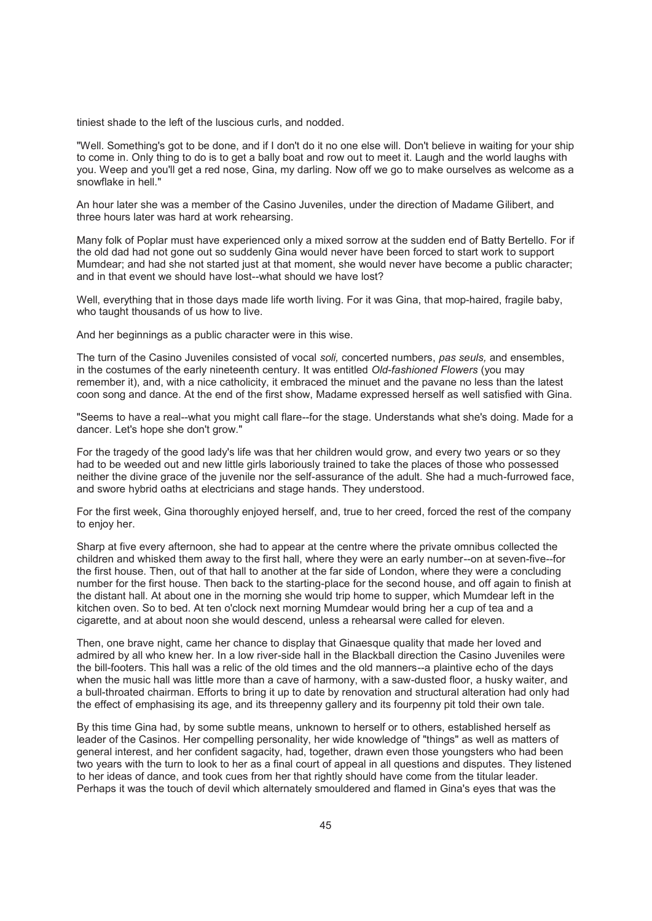tiniest shade to the left of the luscious curls, and nodded.

"Well. Something's got to be done, and if I don't do it no one else will. Don't believe in waiting for your ship to come in. Only thing to do is to get a bally boat and row out to meet it. Laugh and the world laughs with you. Weep and you'll get a red nose, Gina, my darling. Now off we go to make ourselves as welcome as a snowflake in hell."

An hour later she was a member of the Casino Juveniles, under the direction of Madame Gilibert, and three hours later was hard at work rehearsing.

Many folk of Poplar must have experienced only a mixed sorrow at the sudden end of Batty Bertello. For if the old dad had not gone out so suddenly Gina would never have been forced to start work to support Mumdear; and had she not started just at that moment, she would never have become a public character; and in that event we should have lost--what should we have lost?

Well, everything that in those days made life worth living. For it was Gina, that mop-haired, fragile baby, who taught thousands of us how to live.

And her beginnings as a public character were in this wise.

The turn of the Casino Juveniles consisted of vocal *soli,* concerted numbers, *pas seuls,* and ensembles, in the costumes of the early nineteenth century. It was entitled *Old-fashioned Flowers* (you may remember it), and, with a nice catholicity, it embraced the minuet and the pavane no less than the latest coon song and dance. At the end of the first show, Madame expressed herself as well satisfied with Gina.

"Seems to have a real--what you might call flare--for the stage. Understands what she's doing. Made for a dancer. Let's hope she don't grow."

For the tragedy of the good lady's life was that her children would grow, and every two years or so they had to be weeded out and new little girls laboriously trained to take the places of those who possessed neither the divine grace of the juvenile nor the self-assurance of the adult. She had a much-furrowed face, and swore hybrid oaths at electricians and stage hands. They understood.

For the first week, Gina thoroughly enjoyed herself, and, true to her creed, forced the rest of the company to enjoy her.

Sharp at five every afternoon, she had to appear at the centre where the private omnibus collected the children and whisked them away to the first hall, where they were an early number--on at seven-five--for the first house. Then, out of that hall to another at the far side of London, where they were a concluding number for the first house. Then back to the starting-place for the second house, and off again to finish at the distant hall. At about one in the morning she would trip home to supper, which Mumdear left in the kitchen oven. So to bed. At ten o'clock next morning Mumdear would bring her a cup of tea and a cigarette, and at about noon she would descend, unless a rehearsal were called for eleven.

Then, one brave night, came her chance to display that Ginaesque quality that made her loved and admired by all who knew her. In a low river-side hall in the Blackball direction the Casino Juveniles were the bill-footers. This hall was a relic of the old times and the old manners--a plaintive echo of the days when the music hall was little more than a cave of harmony, with a saw-dusted floor, a husky waiter, and a bull-throated chairman. Efforts to bring it up to date by renovation and structural alteration had only had the effect of emphasising its age, and its threepenny gallery and its fourpenny pit told their own tale.

By this time Gina had, by some subtle means, unknown to herself or to others, established herself as leader of the Casinos. Her compelling personality, her wide knowledge of "things" as well as matters of general interest, and her confident sagacity, had, together, drawn even those youngsters who had been two years with the turn to look to her as a final court of appeal in all questions and disputes. They listened to her ideas of dance, and took cues from her that rightly should have come from the titular leader. Perhaps it was the touch of devil which alternately smouldered and flamed in Gina's eyes that was the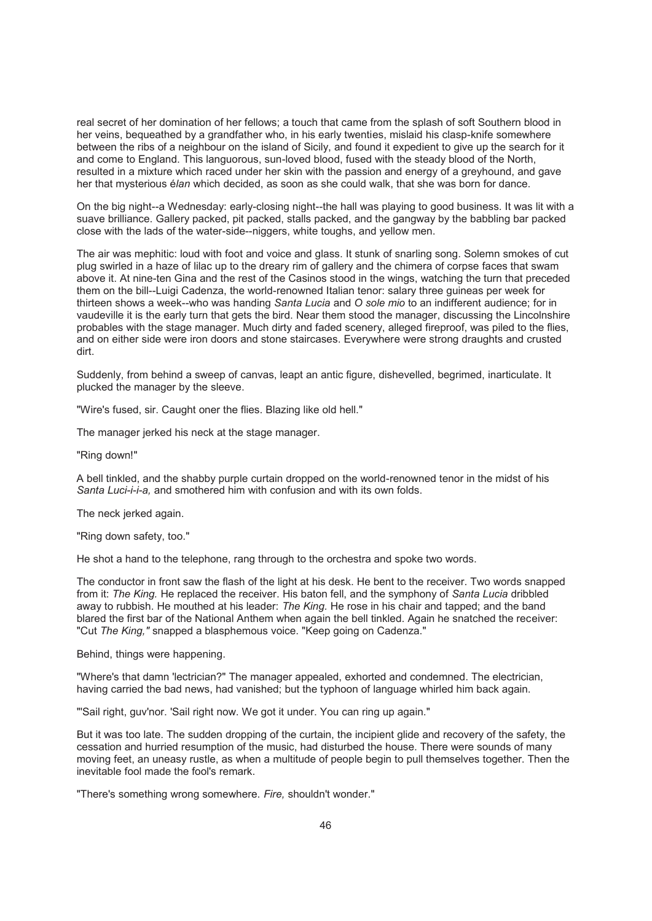real secret of her domination of her fellows; a touch that came from the splash of soft Southern blood in her veins, bequeathed by a grandfather who, in his early twenties, mislaid his clasp-knife somewhere between the ribs of a neighbour on the island of Sicily, and found it expedient to give up the search for it and come to England. This languorous, sun-loved blood, fused with the steady blood of the North, resulted in a mixture which raced under her skin with the passion and energy of a greyhound, and gave her that mysterious é*lan* which decided, as soon as she could walk, that she was born for dance.

On the big night--a Wednesday: early-closing night--the hall was playing to good business. It was lit with a suave brilliance. Gallery packed, pit packed, stalls packed, and the gangway by the babbling bar packed close with the lads of the water-side--niggers, white toughs, and yellow men.

The air was mephitic: loud with foot and voice and glass. It stunk of snarling song. Solemn smokes of cut plug swirled in a haze of lilac up to the dreary rim of gallery and the chimera of corpse faces that swam above it. At nine-ten Gina and the rest of the Casinos stood in the wings, watching the turn that preceded them on the bill--Luigi Cadenza, the world-renowned Italian tenor: salary three guineas per week for thirteen shows a week--who was handing *Santa Lucia* and *O sole mio* to an indifferent audience; for in vaudeville it is the early turn that gets the bird. Near them stood the manager, discussing the Lincolnshire probables with the stage manager. Much dirty and faded scenery, alleged fireproof, was piled to the flies, and on either side were iron doors and stone staircases. Everywhere were strong draughts and crusted dirt.

Suddenly, from behind a sweep of canvas, leapt an antic figure, dishevelled, begrimed, inarticulate. It plucked the manager by the sleeve.

"Wire's fused, sir. Caught oner the flies. Blazing like old hell."

The manager jerked his neck at the stage manager.

"Ring down!"

A bell tinkled, and the shabby purple curtain dropped on the world-renowned tenor in the midst of his *Santa Luci-i-i-a,* and smothered him with confusion and with its own folds.

The neck jerked again.

"Ring down safety, too."

He shot a hand to the telephone, rang through to the orchestra and spoke two words.

The conductor in front saw the flash of the light at his desk. He bent to the receiver. Two words snapped from it: *The King.* He replaced the receiver. His baton fell, and the symphony of *Santa Lucia* dribbled away to rubbish. He mouthed at his leader: *The King.* He rose in his chair and tapped; and the band blared the first bar of the National Anthem when again the bell tinkled. Again he snatched the receiver: "Cut *The King,"* snapped a blasphemous voice. "Keep going on Cadenza."

Behind, things were happening.

"Where's that damn 'lectrician?" The manager appealed, exhorted and condemned. The electrician, having carried the bad news, had vanished; but the typhoon of language whirled him back again.

"'Sail right, guv'nor. 'Sail right now. We got it under. You can ring up again."

But it was too late. The sudden dropping of the curtain, the incipient glide and recovery of the safety, the cessation and hurried resumption of the music, had disturbed the house. There were sounds of many moving feet, an uneasy rustle, as when a multitude of people begin to pull themselves together. Then the inevitable fool made the fool's remark.

"There's something wrong somewhere. *Fire,* shouldn't wonder."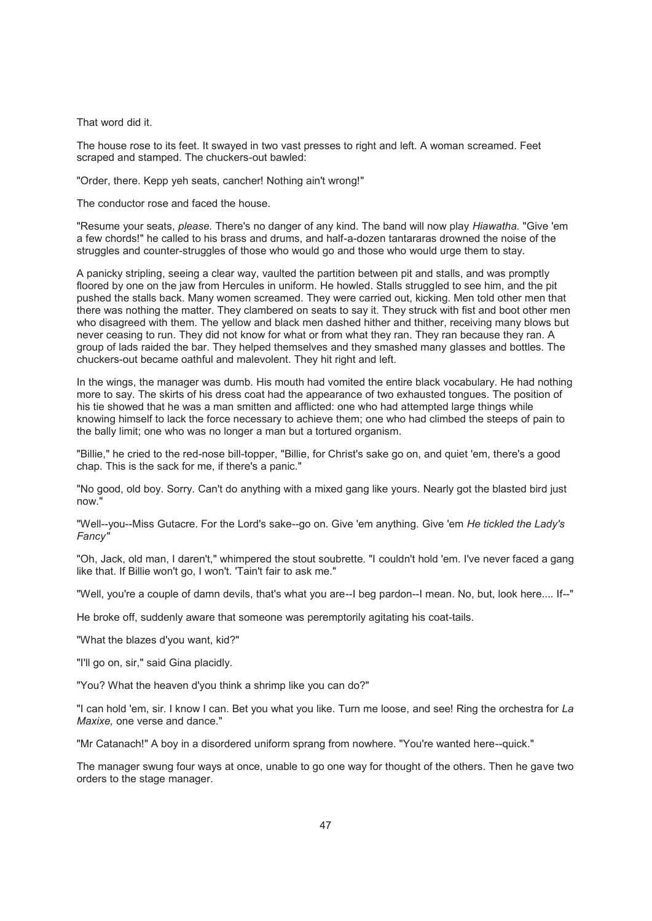That word did it.

The house rose to its feet. It swayed in two vast presses to right and left. A woman screamed. Feet scraped and stamped. The chuckers-out bawled:

"Order, there. Kepp yeh seats, cancher! Nothing ain't wrong!"

The conductor rose and faced the house.

"Resume your seats, *please.* There's no danger of any kind. The band will now play *Hiawatha.* "Give 'em a few chords!" he called to his brass and drums, and half-a-dozen tantararas drowned the noise of the struggles and counter-struggles of those who would go and those who would urge them to stay.

A panicky stripling, seeing a clear way, vaulted the partition between pit and stalls, and was promptly floored by one on the jaw from Hercules in uniform. He howled. Stalls struggled to see him, and the pit pushed the stalls back. Many women screamed. They were carried out, kicking. Men told other men that there was nothing the matter. They clambered on seats to say it. They struck with fist and boot other men who disagreed with them. The yellow and black men dashed hither and thither, receiving many blows but never ceasing to run. They did not know for what or from what they ran. They ran because they ran. A group of lads raided the bar. They helped themselves and they smashed many glasses and bottles. The chuckers-out became oathful and malevolent. They hit right and left.

In the wings, the manager was dumb. His mouth had vomited the entire black vocabulary. He had nothing more to say. The skirts of his dress coat had the appearance of two exhausted tongues. The position of his tie showed that he was a man smitten and afflicted: one who had attempted large things while knowing himself to lack the force necessary to achieve them; one who had climbed the steeps of pain to the bally limit; one who was no longer a man but a tortured organism.

"Billie," he cried to the red-nose bill-topper, "Billie, for Christ's sake go on, and quiet 'em, there's a good chap. This is the sack for me, if there's a panic."

"No good, old boy. Sorry. Can't do anything with a mixed gang like yours. Nearly got the blasted bird just now."

"Well--you--Miss Gutacre. For the Lord's sake--go on. Give 'em anything. Give 'em *He tickled the Lady's Fancy"*

"Oh, Jack, old man, I daren't," whimpered the stout soubrette. "I couldn't hold 'em. I've never faced a gang like that. If Billie won't go, I won't. 'Tain't fair to ask me."

"Well, you're a couple of damn devils, that's what you are--I beg pardon--I mean. No, but, look here.... If--"

He broke off, suddenly aware that someone was peremptorily agitating his coat-tails.

"What the blazes d'you want, kid?"

"I'll go on, sir," said Gina placidly.

"You? What the heaven d'you think a shrimp like you can do?"

"I can hold 'em, sir. I know I can. Bet you what you like. Turn me loose, and see! Ring the orchestra for *La Maxixe,* one verse and dance."

"Mr Catanach!" A boy in a disordered uniform sprang from nowhere. "You're wanted here--quick."

The manager swung four ways at once, unable to go one way for thought of the others. Then he gave two orders to the stage manager.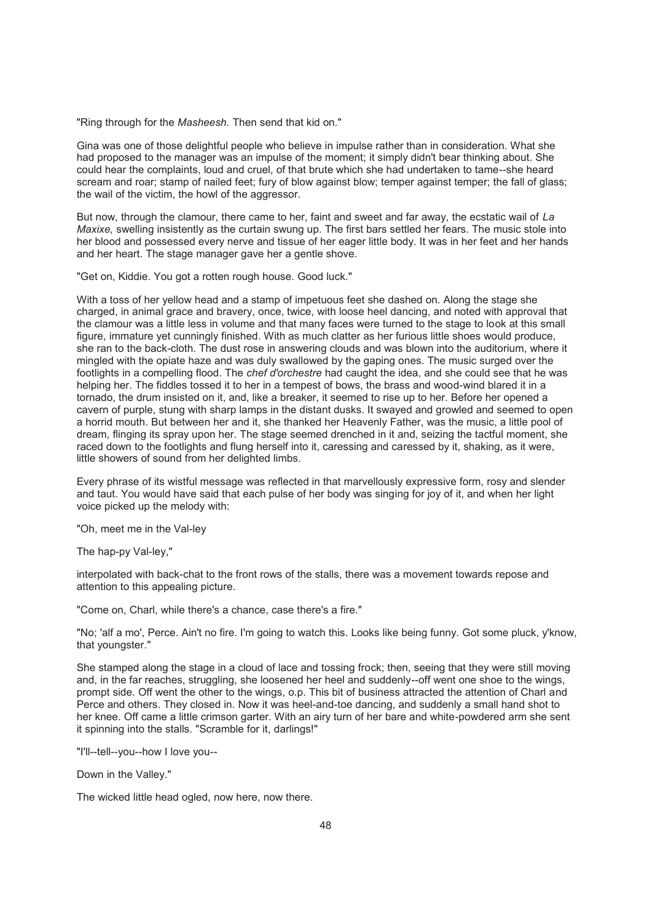"Ring through for the *Masheesh.* Then send that kid on."

Gina was one of those delightful people who believe in impulse rather than in consideration. What she had proposed to the manager was an impulse of the moment; it simply didn't bear thinking about. She could hear the complaints, loud and cruel, of that brute which she had undertaken to tame--she heard scream and roar; stamp of nailed feet; fury of blow against blow; temper against temper; the fall of glass; the wail of the victim, the howl of the aggressor.

But now, through the clamour, there came to her, faint and sweet and far away, the ecstatic wail of *La Maxixe,* swelling insistently as the curtain swung up. The first bars settled her fears. The music stole into her blood and possessed every nerve and tissue of her eager little body. It was in her feet and her hands and her heart. The stage manager gave her a gentle shove.

"Get on, Kiddie. You got a rotten rough house. Good luck."

With a toss of her yellow head and a stamp of impetuous feet she dashed on. Along the stage she charged, in animal grace and bravery, once, twice, with loose heel dancing, and noted with approval that the clamour was a little less in volume and that many faces were turned to the stage to look at this small figure, immature yet cunningly finished. With as much clatter as her furious little shoes would produce, she ran to the back-cloth. The dust rose in answering clouds and was blown into the auditorium, where it mingled with the opiate haze and was duly swallowed by the gaping ones. The music surged over the footlights in a compelling flood. The *chef d'orchestre* had caught the idea, and she could see that he was helping her. The fiddles tossed it to her in a tempest of bows, the brass and wood-wind blared it in a tornado, the drum insisted on it, and, like a breaker, it seemed to rise up to her. Before her opened a cavern of purple, stung with sharp lamps in the distant dusks. It swayed and growled and seemed to open a horrid mouth. But between her and it, she thanked her Heavenly Father, was the music, a little pool of dream, flinging its spray upon her. The stage seemed drenched in it and, seizing the tactful moment, she raced down to the footlights and flung herself into it, caressing and caressed by it, shaking, as it were, little showers of sound from her delighted limbs.

Every phrase of its wistful message was reflected in that marvellously expressive form, rosy and slender and taut. You would have said that each pulse of her body was singing for joy of it, and when her light voice picked up the melody with:

"Oh, meet me in the Val-ley

The hap-py Val-ley,"

interpolated with back-chat to the front rows of the stalls, there was a movement towards repose and attention to this appealing picture.

"Come on, Charl, while there's a chance, case there's a fire."

"No; 'alf a mo', Perce. Ain't no fire. I'm going to watch this. Looks like being funny. Got some pluck, y'know, that youngster."

She stamped along the stage in a cloud of lace and tossing frock; then, seeing that they were still moving and, in the far reaches, struggling, she loosened her heel and suddenly--off went one shoe to the wings, prompt side. Off went the other to the wings, o.p. This bit of business attracted the attention of Charl and Perce and others. They closed in. Now it was heel-and-toe dancing, and suddenly a small hand shot to her knee. Off came a little crimson garter. With an airy turn of her bare and white-powdered arm she sent it spinning into the stalls. "Scramble for it, darlings!"

"I'll--tell--you--how I love you--

Down in the Valley."

The wicked little head ogled, now here, now there.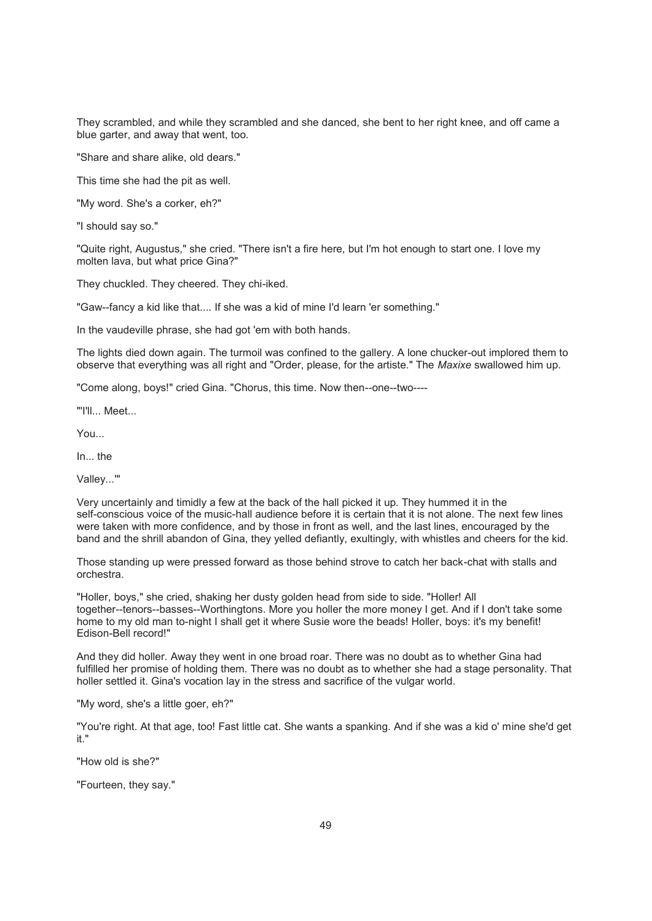They scrambled, and while they scrambled and she danced, she bent to her right knee, and off came a blue garter, and away that went, too.

"Share and share alike, old dears."

This time she had the pit as well.

"My word. She's a corker, eh?"

"I should say so."

"Quite right, Augustus," she cried. "There isn't a fire here, but I'm hot enough to start one. I love my molten lava, but what price Gina?"

They chuckled. They cheered. They chi-iked.

"Gaw--fancy a kid like that.... If she was a kid of mine I'd learn 'er something."

In the vaudeville phrase, she had got 'em with both hands.

The lights died down again. The turmoil was confined to the gallery. A lone chucker-out implored them to observe that everything was all right and "Order, please, for the artiste." The *Maxixe* swallowed him up.

"Come along, boys!" cried Gina. "Chorus, this time. Now then--one--two----

"'I'll... Meet...

You...

In... the

Valley...'"

Very uncertainly and timidly a few at the back of the hall picked it up. They hummed it in the self-conscious voice of the music-hall audience before it is certain that it is not alone. The next few lines were taken with more confidence, and by those in front as well, and the last lines, encouraged by the band and the shrill abandon of Gina, they yelled defiantly, exultingly, with whistles and cheers for the kid.

Those standing up were pressed forward as those behind strove to catch her back-chat with stalls and orchestra.

"Holler, boys," she cried, shaking her dusty golden head from side to side. "Holler! All together--tenors--basses--Worthingtons. More you holler the more money I get. And if I don't take some home to my old man to-night I shall get it where Susie wore the beads! Holler, boys: it's my benefit! Edison-Bell record!"

And they did holler. Away they went in one broad roar. There was no doubt as to whether Gina had fulfilled her promise of holding them. There was no doubt as to whether she had a stage personality. That holler settled it. Gina's vocation lay in the stress and sacrifice of the vulgar world.

"My word, she's a little goer, eh?"

"You're right. At that age, too! Fast little cat. She wants a spanking. And if she was a kid o' mine she'd get it."

"How old is she?"

"Fourteen, they say."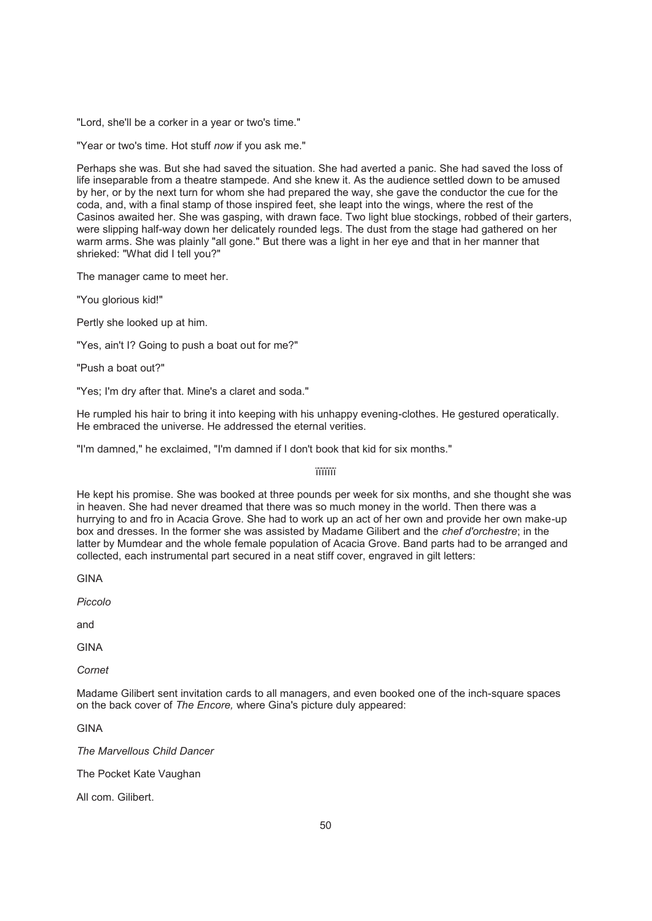"Lord, she'll be a corker in a year or two's time."

"Year or two's time. Hot stuff *now* if you ask me."

Perhaps she was. But she had saved the situation. She had averted a panic. She had saved the loss of life inseparable from a theatre stampede. And she knew it. As the audience settled down to be amused by her, or by the next turn for whom she had prepared the way, she gave the conductor the cue for the coda, and, with a final stamp of those inspired feet, she leapt into the wings, where the rest of the Casinos awaited her. She was gasping, with drawn face. Two light blue stockings, robbed of their garters, were slipping half-way down her delicately rounded legs. The dust from the stage had gathered on her warm arms. She was plainly "all gone." But there was a light in her eye and that in her manner that shrieked: "What did I tell you?"

The manager came to meet her.

"You glorious kid!"

Pertly she looked up at him.

"Yes, ain't I? Going to push a boat out for me?"

"Push a boat out?"

"Yes; I'm dry after that. Mine's a claret and soda."

He rumpled his hair to bring it into keeping with his unhappy evening-clothes. He gestured operatically. He embraced the universe. He addressed the eternal verities.

"I'm damned," he exclaimed, "I'm damned if I don't book that kid for six months."

ïïïïïïï

He kept his promise. She was booked at three pounds per week for six months, and she thought she was in heaven. She had never dreamed that there was so much money in the world. Then there was a hurrying to and fro in Acacia Grove. She had to work up an act of her own and provide her own make-up box and dresses. In the former she was assisted by Madame Gilibert and the *chef d'orchestre*; in the latter by Mumdear and the whole female population of Acacia Grove. Band parts had to be arranged and collected, each instrumental part secured in a neat stiff cover, engraved in gilt letters:

GINA

*Piccolo*

and

GINA

*Cornet*

Madame Gilibert sent invitation cards to all managers, and even booked one of the inch-square spaces on the back cover of *The Encore,* where Gina's picture duly appeared:

GINA

*The Marvellous Child Dancer*

The Pocket Kate Vaughan

All com. Gilibert.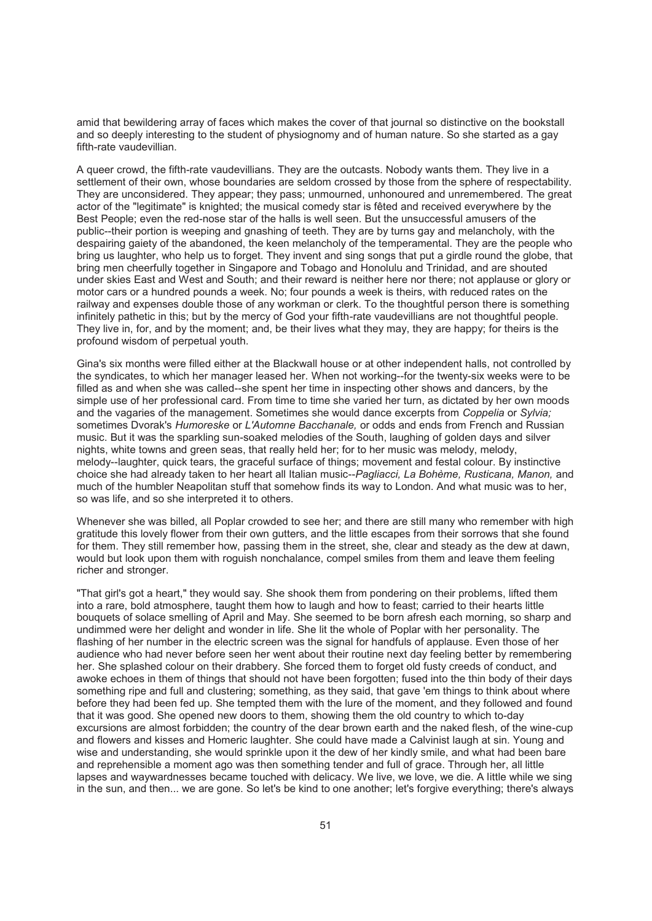amid that bewildering array of faces which makes the cover of that journal so distinctive on the bookstall and so deeply interesting to the student of physiognomy and of human nature. So she started as a gay fifth-rate vaudevillian.

A queer crowd, the fifth-rate vaudevillians. They are the outcasts. Nobody wants them. They live in a settlement of their own, whose boundaries are seldom crossed by those from the sphere of respectability. They are unconsidered. They appear; they pass; unmourned, unhonoured and unremembered. The great actor of the "legitimate" is knighted; the musical comedy star is fêted and received everywhere by the Best People; even the red-nose star of the halls is well seen. But the unsuccessful amusers of the public--their portion is weeping and gnashing of teeth. They are by turns gay and melancholy, with the despairing gaiety of the abandoned, the keen melancholy of the temperamental. They are the people who bring us laughter, who help us to forget. They invent and sing songs that put a girdle round the globe, that bring men cheerfully together in Singapore and Tobago and Honolulu and Trinidad, and are shouted under skies East and West and South; and their reward is neither here nor there; not applause or glory or motor cars or a hundred pounds a week. No; four pounds a week is theirs, with reduced rates on the railway and expenses double those of any workman or clerk. To the thoughtful person there is something infinitely pathetic in this; but by the mercy of God your fifth-rate vaudevillians are not thoughtful people. They live in, for, and by the moment; and, be their lives what they may, they are happy; for theirs is the profound wisdom of perpetual youth.

Gina's six months were filled either at the Blackwall house or at other independent halls, not controlled by the syndicates, to which her manager leased her. When not working--for the twenty-six weeks were to be filled as and when she was called--she spent her time in inspecting other shows and dancers, by the simple use of her professional card. From time to time she varied her turn, as dictated by her own moods and the vagaries of the management. Sometimes she would dance excerpts from *Coppelia* or *Sylvia;* sometimes Dvorak's *Humoreske* or *L'Automne Bacchanale,* or odds and ends from French and Russian music. But it was the sparkling sun-soaked melodies of the South, laughing of golden days and silver nights, white towns and green seas, that really held her; for to her music was melody, melody, melody--laughter, quick tears, the graceful surface of things; movement and festal colour. By instinctive choice she had already taken to her heart all Italian music--*Pagliacci, La Bohème, Rusticana, Manon,* and much of the humbler Neapolitan stuff that somehow finds its way to London. And what music was to her, so was life, and so she interpreted it to others.

Whenever she was billed, all Poplar crowded to see her; and there are still many who remember with high gratitude this lovely flower from their own gutters, and the little escapes from their sorrows that she found for them. They still remember how, passing them in the street, she, clear and steady as the dew at dawn, would but look upon them with roguish nonchalance, compel smiles from them and leave them feeling richer and stronger.

"That girl's got a heart," they would say. She shook them from pondering on their problems, lifted them into a rare, bold atmosphere, taught them how to laugh and how to feast; carried to their hearts little bouquets of solace smelling of April and May. She seemed to be born afresh each morning, so sharp and undimmed were her delight and wonder in life. She lit the whole of Poplar with her personality. The flashing of her number in the electric screen was the signal for handfuls of applause. Even those of her audience who had never before seen her went about their routine next day feeling better by remembering her. She splashed colour on their drabbery. She forced them to forget old fusty creeds of conduct, and awoke echoes in them of things that should not have been forgotten; fused into the thin body of their days something ripe and full and clustering; something, as they said, that gave 'em things to think about where before they had been fed up. She tempted them with the lure of the moment, and they followed and found that it was good. She opened new doors to them, showing them the old country to which to-day excursions are almost forbidden; the country of the dear brown earth and the naked flesh, of the wine-cup and flowers and kisses and Homeric laughter. She could have made a Calvinist laugh at sin. Young and wise and understanding, she would sprinkle upon it the dew of her kindly smile, and what had been bare and reprehensible a moment ago was then something tender and full of grace. Through her, all little lapses and waywardnesses became touched with delicacy. We live, we love, we die. A little while we sing in the sun, and then... we are gone. So let's be kind to one another; let's forgive everything; there's always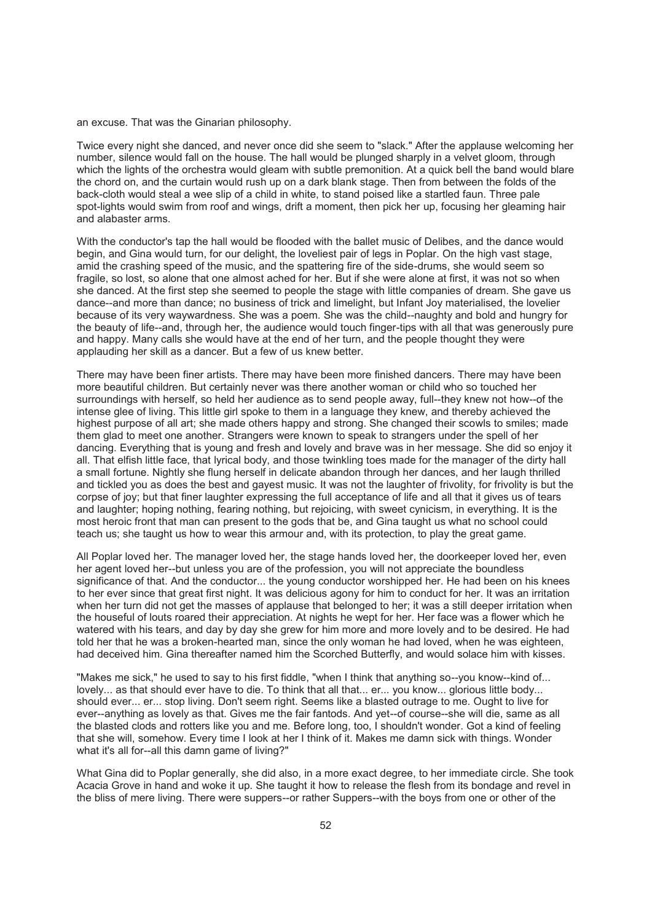an excuse. That was the Ginarian philosophy.

Twice every night she danced, and never once did she seem to "slack." After the applause welcoming her number, silence would fall on the house. The hall would be plunged sharply in a velvet gloom, through which the lights of the orchestra would gleam with subtle premonition. At a quick bell the band would blare the chord on, and the curtain would rush up on a dark blank stage. Then from between the folds of the back-cloth would steal a wee slip of a child in white, to stand poised like a startled faun. Three pale spot-lights would swim from roof and wings, drift a moment, then pick her up, focusing her gleaming hair and alabaster arms.

With the conductor's tap the hall would be flooded with the ballet music of Delibes, and the dance would begin, and Gina would turn, for our delight, the loveliest pair of legs in Poplar. On the high vast stage, amid the crashing speed of the music, and the spattering fire of the side-drums, she would seem so fragile, so lost, so alone that one almost ached for her. But if she were alone at first, it was not so when she danced. At the first step she seemed to people the stage with little companies of dream. She gave us dance--and more than dance; no business of trick and limelight, but Infant Joy materialised, the lovelier because of its very waywardness. She was a poem. She was the child--naughty and bold and hungry for the beauty of life--and, through her, the audience would touch finger-tips with all that was generously pure and happy. Many calls she would have at the end of her turn, and the people thought they were applauding her skill as a dancer. But a few of us knew better.

There may have been finer artists. There may have been more finished dancers. There may have been more beautiful children. But certainly never was there another woman or child who so touched her surroundings with herself, so held her audience as to send people away, full--they knew not how--of the intense glee of living. This little girl spoke to them in a language they knew, and thereby achieved the highest purpose of all art; she made others happy and strong. She changed their scowls to smiles; made them glad to meet one another. Strangers were known to speak to strangers under the spell of her dancing. Everything that is young and fresh and lovely and brave was in her message. She did so enjoy it all. That elfish little face, that lyrical body, and those twinkling toes made for the manager of the dirty hall a small fortune. Nightly she flung herself in delicate abandon through her dances, and her laugh thrilled and tickled you as does the best and gayest music. It was not the laughter of frivolity, for frivolity is but the corpse of joy; but that finer laughter expressing the full acceptance of life and all that it gives us of tears and laughter; hoping nothing, fearing nothing, but rejoicing, with sweet cynicism, in everything. It is the most heroic front that man can present to the gods that be, and Gina taught us what no school could teach us; she taught us how to wear this armour and, with its protection, to play the great game.

All Poplar loved her. The manager loved her, the stage hands loved her, the doorkeeper loved her, even her agent loved her--but unless you are of the profession, you will not appreciate the boundless significance of that. And the conductor... the young conductor worshipped her. He had been on his knees to her ever since that great first night. It was delicious agony for him to conduct for her. It was an irritation when her turn did not get the masses of applause that belonged to her; it was a still deeper irritation when the houseful of louts roared their appreciation. At nights he wept for her. Her face was a flower which he watered with his tears, and day by day she grew for him more and more lovely and to be desired. He had told her that he was a broken-hearted man, since the only woman he had loved, when he was eighteen, had deceived him. Gina thereafter named him the Scorched Butterfly, and would solace him with kisses.

"Makes me sick," he used to say to his first fiddle, "when I think that anything so--you know--kind of... lovely... as that should ever have to die. To think that all that... er... you know... glorious little body... should ever... er... stop living. Don't seem right. Seems like a blasted outrage to me. Ought to live for ever--anything as lovely as that. Gives me the fair fantods. And yet--of course--she will die, same as all the blasted clods and rotters like you and me. Before long, too, I shouldn't wonder. Got a kind of feeling that she will, somehow. Every time I look at her I think of it. Makes me damn sick with things. Wonder what it's all for--all this damn game of living?"

What Gina did to Poplar generally, she did also, in a more exact degree, to her immediate circle. She took Acacia Grove in hand and woke it up. She taught it how to release the flesh from its bondage and revel in the bliss of mere living. There were suppers--or rather Suppers--with the boys from one or other of the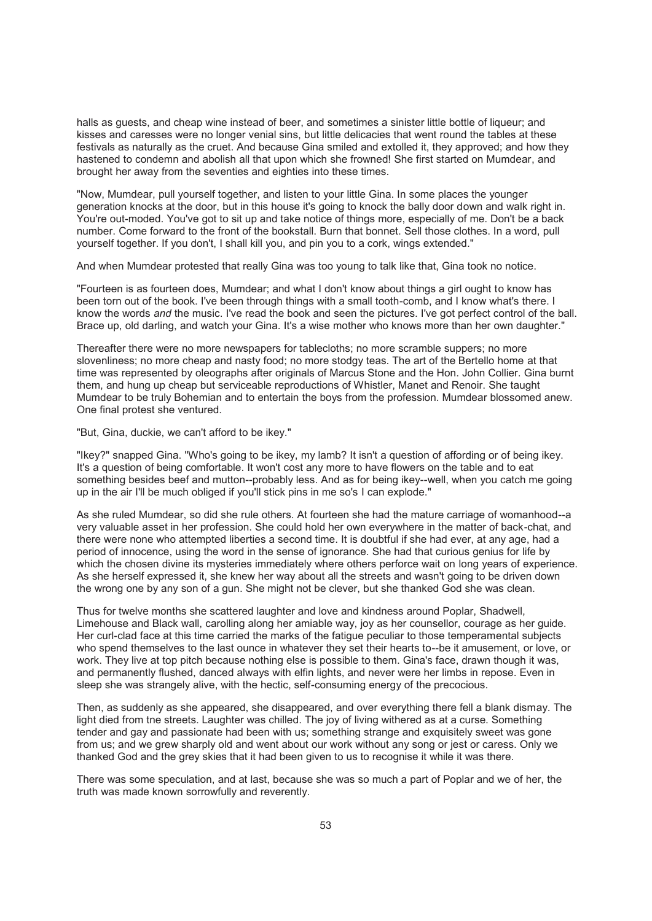halls as guests, and cheap wine instead of beer, and sometimes a sinister little bottle of liqueur; and kisses and caresses were no longer venial sins, but little delicacies that went round the tables at these festivals as naturally as the cruet. And because Gina smiled and extolled it, they approved; and how they hastened to condemn and abolish all that upon which she frowned! She first started on Mumdear, and brought her away from the seventies and eighties into these times.

"Now, Mumdear, pull yourself together, and listen to your little Gina. In some places the younger generation knocks at the door, but in this house it's going to knock the bally door down and walk right in. You're out-moded. You've got to sit up and take notice of things more, especially of me. Don't be a back number. Come forward to the front of the bookstall. Burn that bonnet. Sell those clothes. In a word, pull yourself together. If you don't, I shall kill you, and pin you to a cork, wings extended."

And when Mumdear protested that really Gina was too young to talk like that, Gina took no notice.

"Fourteen is as fourteen does, Mumdear; and what I don't know about things a girl ought to know has been torn out of the book. I've been through things with a small tooth-comb, and I know what's there. I know the words *and* the music. I've read the book and seen the pictures. I've got perfect control of the ball. Brace up, old darling, and watch your Gina. It's a wise mother who knows more than her own daughter."

Thereafter there were no more newspapers for tablecloths; no more scramble suppers; no more slovenliness; no more cheap and nasty food; no more stodgy teas. The art of the Bertello home at that time was represented by oleographs after originals of Marcus Stone and the Hon. John Collier. Gina burnt them, and hung up cheap but serviceable reproductions of Whistler, Manet and Renoir. She taught Mumdear to be truly Bohemian and to entertain the boys from the profession. Mumdear blossomed anew. One final protest she ventured.

"But, Gina, duckie, we can't afford to be ikey."

"Ikey?" snapped Gina. "Who's going to be ikey, my lamb? It isn't a question of affording or of being ikey. It's a question of being comfortable. It won't cost any more to have flowers on the table and to eat something besides beef and mutton--probably less. And as for being ikey--well, when you catch me going up in the air I'll be much obliged if you'll stick pins in me so's I can explode."

As she ruled Mumdear, so did she rule others. At fourteen she had the mature carriage of womanhood--a very valuable asset in her profession. She could hold her own everywhere in the matter of back-chat, and there were none who attempted liberties a second time. It is doubtful if she had ever, at any age, had a period of innocence, using the word in the sense of ignorance. She had that curious genius for life by which the chosen divine its mysteries immediately where others perforce wait on long years of experience. As she herself expressed it, she knew her way about all the streets and wasn't going to be driven down the wrong one by any son of a gun. She might not be clever, but she thanked God she was clean.

Thus for twelve months she scattered laughter and love and kindness around Poplar, Shadwell, Limehouse and Black wall, carolling along her amiable way, joy as her counsellor, courage as her guide. Her curl-clad face at this time carried the marks of the fatigue peculiar to those temperamental subjects who spend themselves to the last ounce in whatever they set their hearts to--be it amusement, or love, or work. They live at top pitch because nothing else is possible to them. Gina's face, drawn though it was, and permanently flushed, danced always with elfin lights, and never were her limbs in repose. Even in sleep she was strangely alive, with the hectic, self-consuming energy of the precocious.

Then, as suddenly as she appeared, she disappeared, and over everything there fell a blank dismay. The light died from tne streets. Laughter was chilled. The joy of living withered as at a curse. Something tender and gay and passionate had been with us; something strange and exquisitely sweet was gone from us; and we grew sharply old and went about our work without any song or jest or caress. Only we thanked God and the grey skies that it had been given to us to recognise it while it was there.

There was some speculation, and at last, because she was so much a part of Poplar and we of her, the truth was made known sorrowfully and reverently.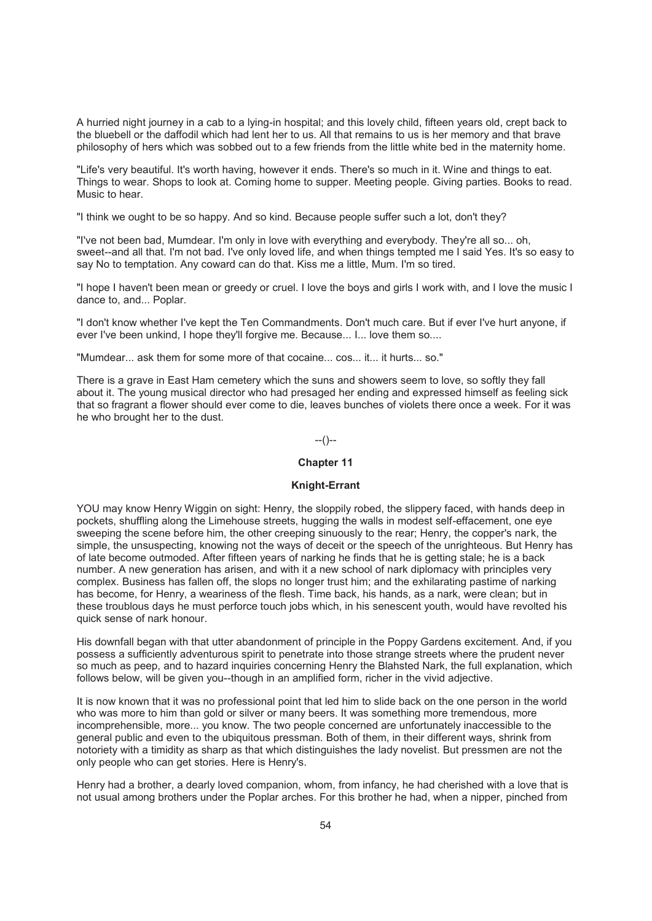A hurried night journey in a cab to a lying-in hospital; and this lovely child, fifteen years old, crept back to the bluebell or the daffodil which had lent her to us. All that remains to us is her memory and that brave philosophy of hers which was sobbed out to a few friends from the little white bed in the maternity home.

"Life's very beautiful. It's worth having, however it ends. There's so much in it. Wine and things to eat. Things to wear. Shops to look at. Coming home to supper. Meeting people. Giving parties. Books to read. Music to hear.

"I think we ought to be so happy. And so kind. Because people suffer such a lot, don't they?

"I've not been bad, Mumdear. I'm only in love with everything and everybody. They're all so... oh, sweet--and all that. I'm not bad. I've only loved life, and when things tempted me I said Yes. It's so easy to say No to temptation. Any coward can do that. Kiss me a little, Mum. I'm so tired.

"I hope I haven't been mean or greedy or cruel. I love the boys and girls I work with, and I love the music I dance to, and... Poplar.

"I don't know whether I've kept the Ten Commandments. Don't much care. But if ever I've hurt anyone, if ever I've been unkind, I hope they'll forgive me. Because... I... love them so....

"Mumdear... ask them for some more of that cocaine... cos... it... it hurts... so."

There is a grave in East Ham cemetery which the suns and showers seem to love, so softly they fall about it. The young musical director who had presaged her ending and expressed himself as feeling sick that so fragrant a flower should ever come to die, leaves bunches of violets there once a week. For it was he who brought her to the dust.

--()--

## **Chapter 11**

### **Knight-Errant**

YOU may know Henry Wiggin on sight: Henry, the sloppily robed, the slippery faced, with hands deep in pockets, shuffling along the Limehouse streets, hugging the walls in modest self-effacement, one eye sweeping the scene before him, the other creeping sinuously to the rear; Henry, the copper's nark, the simple, the unsuspecting, knowing not the ways of deceit or the speech of the unrighteous. But Henry has of late become outmoded. After fifteen years of narking he finds that he is getting stale; he is a back number. A new generation has arisen, and with it a new school of nark diplomacy with principles very complex. Business has fallen off, the slops no longer trust him; and the exhilarating pastime of narking has become, for Henry, a weariness of the flesh. Time back, his hands, as a nark, were clean; but in these troublous days he must perforce touch jobs which, in his senescent youth, would have revolted his quick sense of nark honour.

His downfall began with that utter abandonment of principle in the Poppy Gardens excitement. And, if you possess a sufficiently adventurous spirit to penetrate into those strange streets where the prudent never so much as peep, and to hazard inquiries concerning Henry the Blahsted Nark, the full explanation, which follows below, will be given you--though in an amplified form, richer in the vivid adjective.

It is now known that it was no professional point that led him to slide back on the one person in the world who was more to him than gold or silver or many beers. It was something more tremendous, more incomprehensible, more... you know. The two people concerned are unfortunately inaccessible to the general public and even to the ubiquitous pressman. Both of them, in their different ways, shrink from notoriety with a timidity as sharp as that which distinguishes the lady novelist. But pressmen are not the only people who can get stories. Here is Henry's.

Henry had a brother, a dearly loved companion, whom, from infancy, he had cherished with a love that is not usual among brothers under the Poplar arches. For this brother he had, when a nipper, pinched from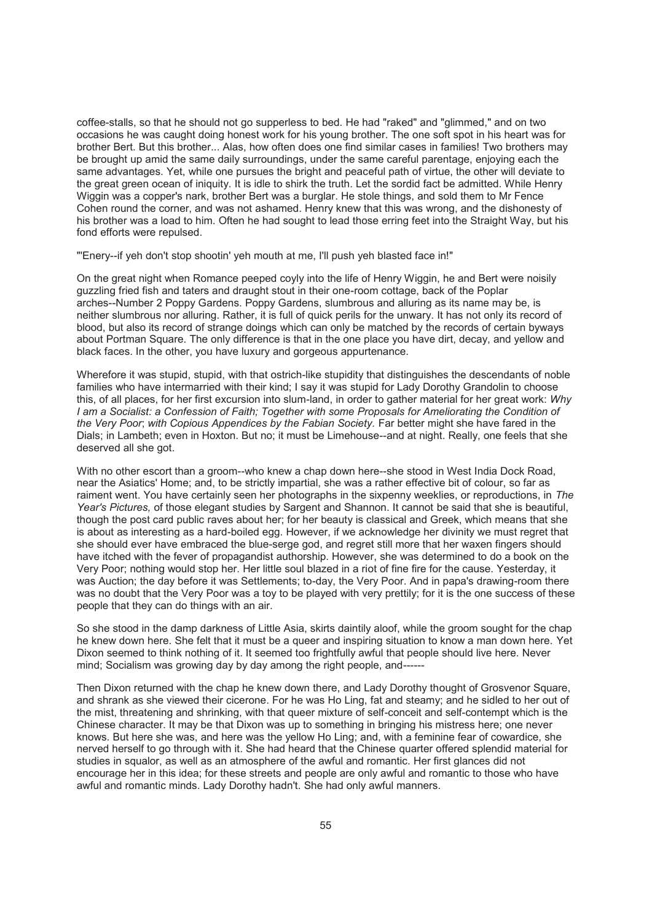coffee-stalls, so that he should not go supperless to bed. He had "raked" and "glimmed," and on two occasions he was caught doing honest work for his young brother. The one soft spot in his heart was for brother Bert. But this brother... Alas, how often does one find similar cases in families! Two brothers may be brought up amid the same daily surroundings, under the same careful parentage, enjoying each the same advantages. Yet, while one pursues the bright and peaceful path of virtue, the other will deviate to the great green ocean of iniquity. It is idle to shirk the truth. Let the sordid fact be admitted. While Henry Wiggin was a copper's nark, brother Bert was a burglar. He stole things, and sold them to Mr Fence Cohen round the corner, and was not ashamed. Henry knew that this was wrong, and the dishonesty of his brother was a load to him. Often he had sought to lead those erring feet into the Straight Way, but his fond efforts were repulsed.

"'Enery--if yeh don't stop shootin' yeh mouth at me, I'll push yeh blasted face in!"

On the great night when Romance peeped coyly into the life of Henry Wiggin, he and Bert were noisily guzzling fried fish and taters and draught stout in their one-room cottage, back of the Poplar arches--Number 2 Poppy Gardens. Poppy Gardens, slumbrous and alluring as its name may be, is neither slumbrous nor alluring. Rather, it is full of quick perils for the unwary. It has not only its record of blood, but also its record of strange doings which can only be matched by the records of certain byways about Portman Square. The only difference is that in the one place you have dirt, decay, and yellow and black faces. In the other, you have luxury and gorgeous appurtenance.

Wherefore it was stupid, stupid, with that ostrich-like stupidity that distinguishes the descendants of noble families who have intermarried with their kind; I say it was stupid for Lady Dorothy Grandolin to choose this, of all places, for her first excursion into slum-land, in order to gather material for her great work: *Why I am a Socialist: a Confession of Faith; Together with some Proposals for Ameliorating the Condition of the Very Poor*; *with Copious Appendices by the Fabian Society.* Far better might she have fared in the Dials; in Lambeth; even in Hoxton. But no; it must be Limehouse--and at night. Really, one feels that she deserved all she got.

With no other escort than a groom--who knew a chap down here--she stood in West India Dock Road, near the Asiatics' Home; and, to be strictly impartial, she was a rather effective bit of colour, so far as raiment went. You have certainly seen her photographs in the sixpenny weeklies, or reproductions, in *The Year's Pictures,* of those elegant studies by Sargent and Shannon. It cannot be said that she is beautiful, though the post card public raves about her; for her beauty is classical and Greek, which means that she is about as interesting as a hard-boiled egg. However, if we acknowledge her divinity we must regret that she should ever have embraced the blue-serge god, and regret still more that her waxen fingers should have itched with the fever of propagandist authorship. However, she was determined to do a book on the Very Poor; nothing would stop her. Her little soul blazed in a riot of fine fire for the cause. Yesterday, it was Auction; the day before it was Settlements; to-day, the Very Poor. And in papa's drawing-room there was no doubt that the Very Poor was a toy to be played with very prettily; for it is the one success of these people that they can do things with an air.

So she stood in the damp darkness of Little Asia, skirts daintily aloof, while the groom sought for the chap he knew down here. She felt that it must be a queer and inspiring situation to know a man down here. Yet Dixon seemed to think nothing of it. It seemed too frightfully awful that people should live here. Never mind: Socialism was growing day by day among the right people, and------

Then Dixon returned with the chap he knew down there, and Lady Dorothy thought of Grosvenor Square, and shrank as she viewed their cicerone. For he was Ho Ling, fat and steamy; and he sidled to her out of the mist, threatening and shrinking, with that queer mixture of self-conceit and self-contempt which is the Chinese character. It may be that Dixon was up to something in bringing his mistress here; one never knows. But here she was, and here was the yellow Ho Ling; and, with a feminine fear of cowardice, she nerved herself to go through with it. She had heard that the Chinese quarter offered splendid material for studies in squalor, as well as an atmosphere of the awful and romantic. Her first glances did not encourage her in this idea; for these streets and people are only awful and romantic to those who have awful and romantic minds. Lady Dorothy hadn't. She had only awful manners.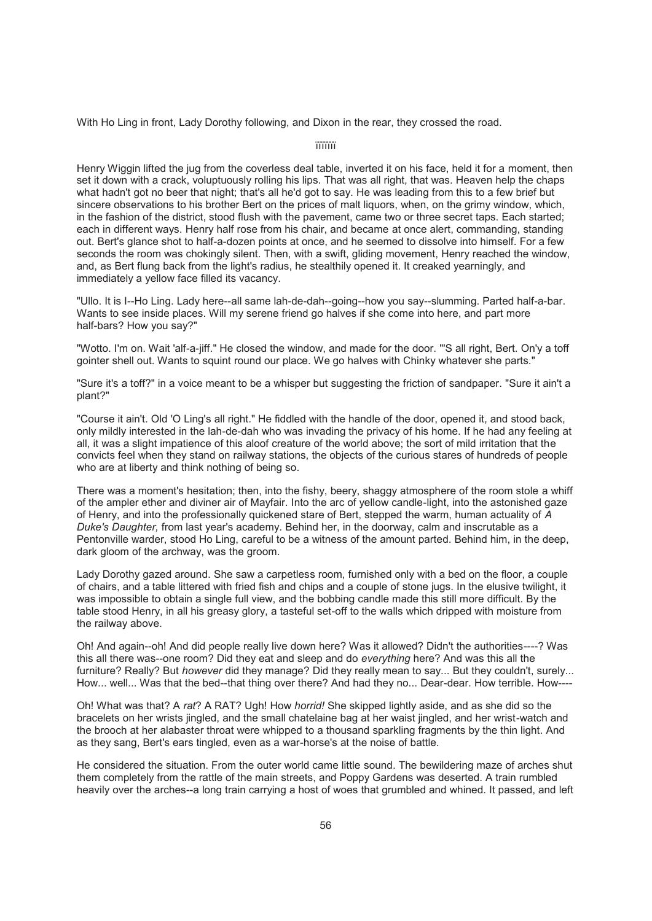With Ho Ling in front, Lady Dorothy following, and Dixon in the rear, they crossed the road.

ïïïïïïï

Henry Wiggin lifted the jug from the coverless deal table, inverted it on his face, held it for a moment, then set it down with a crack, voluptuously rolling his lips. That was all right, that was. Heaven help the chaps what hadn't got no beer that night; that's all he'd got to say. He was leading from this to a few brief but sincere observations to his brother Bert on the prices of malt liquors, when, on the grimy window, which, in the fashion of the district, stood flush with the pavement, came two or three secret taps. Each started; each in different ways. Henry half rose from his chair, and became at once alert, commanding, standing out. Bert's glance shot to half-a-dozen points at once, and he seemed to dissolve into himself. For a few seconds the room was chokingly silent. Then, with a swift, gliding movement, Henry reached the window, and, as Bert flung back from the light's radius, he stealthily opened it. It creaked yearningly, and immediately a yellow face filled its vacancy.

"Ullo. It is I--Ho Ling. Lady here--all same lah-de-dah--going--how you say--slumming. Parted half-a-bar. Wants to see inside places. Will my serene friend go halves if she come into here, and part more half-bars? How you say?"

"Wotto. I'm on. Wait 'alf-a-jiff." He closed the window, and made for the door. "'S all right, Bert. On'y a toff gointer shell out. Wants to squint round our place. We go halves with Chinky whatever she parts."

"Sure it's a toff?" in a voice meant to be a whisper but suggesting the friction of sandpaper. "Sure it ain't a plant?"

"Course it ain't. Old 'O Ling's all right." He fiddled with the handle of the door, opened it, and stood back, only mildly interested in the lah-de-dah who was invading the privacy of his home. If he had any feeling at all, it was a slight impatience of this aloof creature of the world above; the sort of mild irritation that the convicts feel when they stand on railway stations, the objects of the curious stares of hundreds of people who are at liberty and think nothing of being so.

There was a moment's hesitation; then, into the fishy, beery, shaggy atmosphere of the room stole a whiff of the ampler ether and diviner air of Mayfair. Into the arc of yellow candle-light, into the astonished gaze of Henry, and into the professionally quickened stare of Bert, stepped the warm, human actuality of *A Duke's Daughter,* from last year's academy. Behind her, in the doorway, calm and inscrutable as a Pentonville warder, stood Ho Ling, careful to be a witness of the amount parted. Behind him, in the deep, dark gloom of the archway, was the groom.

Lady Dorothy gazed around. She saw a carpetless room, furnished only with a bed on the floor, a couple of chairs, and a table littered with fried fish and chips and a couple of stone jugs. In the elusive twilight, it was impossible to obtain a single full view, and the bobbing candle made this still more difficult. By the table stood Henry, in all his greasy glory, a tasteful set-off to the walls which dripped with moisture from the railway above.

Oh! And again--oh! And did people really live down here? Was it allowed? Didn't the authorities----? Was this all there was--one room? Did they eat and sleep and do *everything* here? And was this all the furniture? Really? But *however* did they manage? Did they really mean to say... But they couldn't, surely... How... well... Was that the bed--that thing over there? And had they no... Dear-dear. How terrible. How----

Oh! What was that? A *rat*? A RAT? Ugh! How *horrid!* She skipped lightly aside, and as she did so the bracelets on her wrists jingled, and the small chatelaine bag at her waist jingled, and her wrist-watch and the brooch at her alabaster throat were whipped to a thousand sparkling fragments by the thin light. And as they sang, Bert's ears tingled, even as a war-horse's at the noise of battle.

He considered the situation. From the outer world came little sound. The bewildering maze of arches shut them completely from the rattle of the main streets, and Poppy Gardens was deserted. A train rumbled heavily over the arches--a long train carrying a host of woes that grumbled and whined. It passed, and left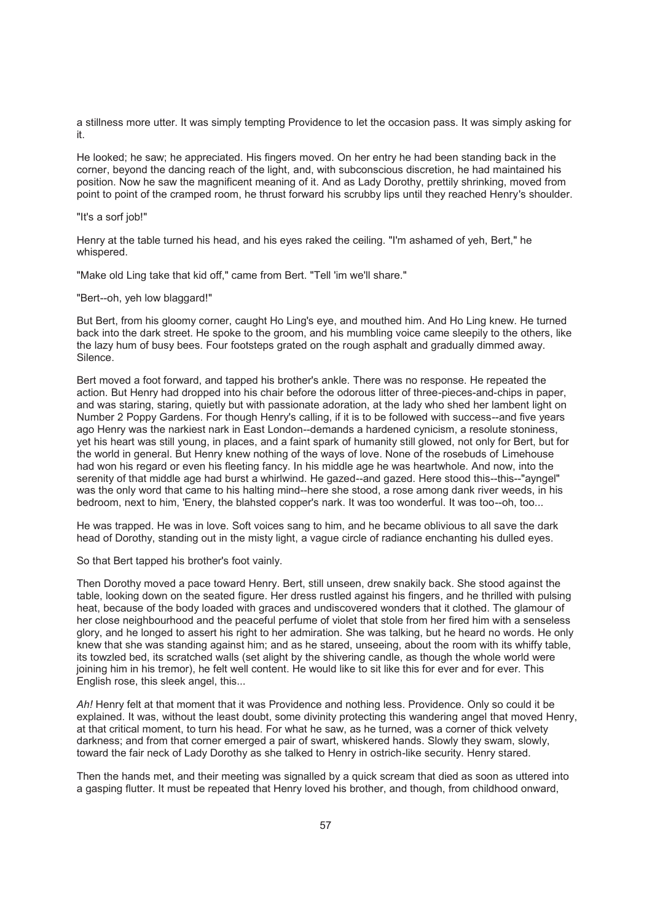a stillness more utter. It was simply tempting Providence to let the occasion pass. It was simply asking for it.

He looked; he saw; he appreciated. His fingers moved. On her entry he had been standing back in the corner, beyond the dancing reach of the light, and, with subconscious discretion, he had maintained his position. Now he saw the magnificent meaning of it. And as Lady Dorothy, prettily shrinking, moved from point to point of the cramped room, he thrust forward his scrubby lips until they reached Henry's shoulder.

#### "It's a sorf job!"

Henry at the table turned his head, and his eyes raked the ceiling. "I'm ashamed of yeh, Bert," he whispered.

"Make old Ling take that kid off," came from Bert. "Tell 'im we'll share."

"Bert--oh, yeh low blaggard!"

But Bert, from his gloomy corner, caught Ho Ling's eye, and mouthed him. And Ho Ling knew. He turned back into the dark street. He spoke to the groom, and his mumbling voice came sleepily to the others, like the lazy hum of busy bees. Four footsteps grated on the rough asphalt and gradually dimmed away. Silence.

Bert moved a foot forward, and tapped his brother's ankle. There was no response. He repeated the action. But Henry had dropped into his chair before the odorous litter of three-pieces-and-chips in paper, and was staring, staring, quietly but with passionate adoration, at the lady who shed her lambent light on Number 2 Poppy Gardens. For though Henry's calling, if it is to be followed with success--and five years ago Henry was the narkiest nark in East London--demands a hardened cynicism, a resolute stoniness, yet his heart was still young, in places, and a faint spark of humanity still glowed, not only for Bert, but for the world in general. But Henry knew nothing of the ways of love. None of the rosebuds of Limehouse had won his regard or even his fleeting fancy. In his middle age he was heartwhole. And now, into the serenity of that middle age had burst a whirlwind. He gazed--and gazed. Here stood this--this--"ayngel" was the only word that came to his halting mind--here she stood, a rose among dank river weeds, in his bedroom, next to him, 'Enery, the blahsted copper's nark. It was too wonderful. It was too--oh, too...

He was trapped. He was in love. Soft voices sang to him, and he became oblivious to all save the dark head of Dorothy, standing out in the misty light, a vague circle of radiance enchanting his dulled eyes.

So that Bert tapped his brother's foot vainly.

Then Dorothy moved a pace toward Henry. Bert, still unseen, drew snakily back. She stood against the table, looking down on the seated figure. Her dress rustled against his fingers, and he thrilled with pulsing heat, because of the body loaded with graces and undiscovered wonders that it clothed. The glamour of her close neighbourhood and the peaceful perfume of violet that stole from her fired him with a senseless glory, and he longed to assert his right to her admiration. She was talking, but he heard no words. He only knew that she was standing against him; and as he stared, unseeing, about the room with its whiffy table, its towzled bed, its scratched walls (set alight by the shivering candle, as though the whole world were joining him in his tremor), he felt well content. He would like to sit like this for ever and for ever. This English rose, this sleek angel, this...

*Ah!* Henry felt at that moment that it was Providence and nothing less. Providence. Only so could it be explained. It was, without the least doubt, some divinity protecting this wandering angel that moved Henry, at that critical moment, to turn his head. For what he saw, as he turned, was a corner of thick velvety darkness; and from that corner emerged a pair of swart, whiskered hands. Slowly they swam, slowly, toward the fair neck of Lady Dorothy as she talked to Henry in ostrich-like security. Henry stared.

Then the hands met, and their meeting was signalled by a quick scream that died as soon as uttered into a gasping flutter. It must be repeated that Henry loved his brother, and though, from childhood onward,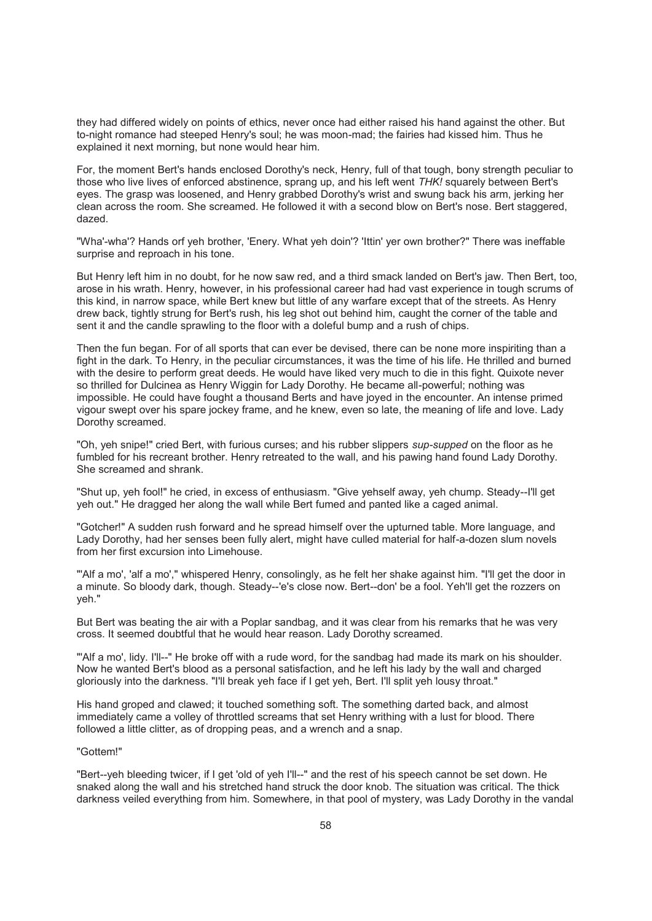they had differed widely on points of ethics, never once had either raised his hand against the other. But to-night romance had steeped Henry's soul; he was moon-mad; the fairies had kissed him. Thus he explained it next morning, but none would hear him.

For, the moment Bert's hands enclosed Dorothy's neck, Henry, full of that tough, bony strength peculiar to those who live lives of enforced abstinence, sprang up, and his left went *THK!* squarely between Bert's eyes. The grasp was loosened, and Henry grabbed Dorothy's wrist and swung back his arm, jerking her clean across the room. She screamed. He followed it with a second blow on Bert's nose. Bert staggered, dazed.

"Wha'-wha'? Hands orf yeh brother, 'Enery. What yeh doin'? 'Ittin' yer own brother?" There was ineffable surprise and reproach in his tone.

But Henry left him in no doubt, for he now saw red, and a third smack landed on Bert's jaw. Then Bert, too, arose in his wrath. Henry, however, in his professional career had had vast experience in tough scrums of this kind, in narrow space, while Bert knew but little of any warfare except that of the streets. As Henry drew back, tightly strung for Bert's rush, his leg shot out behind him, caught the corner of the table and sent it and the candle sprawling to the floor with a doleful bump and a rush of chips.

Then the fun began. For of all sports that can ever be devised, there can be none more inspiriting than a fight in the dark. To Henry, in the peculiar circumstances, it was the time of his life. He thrilled and burned with the desire to perform great deeds. He would have liked very much to die in this fight. Quixote never so thrilled for Dulcinea as Henry Wiggin for Lady Dorothy. He became all-powerful; nothing was impossible. He could have fought a thousand Berts and have joyed in the encounter. An intense primed vigour swept over his spare jockey frame, and he knew, even so late, the meaning of life and love. Lady Dorothy screamed.

"Oh, yeh snipe!" cried Bert, with furious curses; and his rubber slippers *sup-supped* on the floor as he fumbled for his recreant brother. Henry retreated to the wall, and his pawing hand found Lady Dorothy. She screamed and shrank.

"Shut up, yeh fool!" he cried, in excess of enthusiasm. "Give yehself away, yeh chump. Steady--I'll get yeh out." He dragged her along the wall while Bert fumed and panted like a caged animal.

"Gotcher!" A sudden rush forward and he spread himself over the upturned table. More language, and Lady Dorothy, had her senses been fully alert, might have culled material for half-a-dozen slum novels from her first excursion into Limehouse.

"'Alf a mo', 'alf a mo'," whispered Henry, consolingly, as he felt her shake against him. "I'll get the door in a minute. So bloody dark, though. Steady--'e's close now. Bert--don' be a fool. Yeh'll get the rozzers on yeh."

But Bert was beating the air with a Poplar sandbag, and it was clear from his remarks that he was very cross. It seemed doubtful that he would hear reason. Lady Dorothy screamed.

"'Alf a mo', lidy. I'll--" He broke off with a rude word, for the sandbag had made its mark on his shoulder. Now he wanted Bert's blood as a personal satisfaction, and he left his lady by the wall and charged gloriously into the darkness. "I'll break yeh face if I get yeh, Bert. I'll split yeh lousy throat."

His hand groped and clawed; it touched something soft. The something darted back, and almost immediately came a volley of throttled screams that set Henry writhing with a lust for blood. There followed a little clitter, as of dropping peas, and a wrench and a snap.

### "Gottem!"

"Bert--yeh bleeding twicer, if I get 'old of yeh I'll--" and the rest of his speech cannot be set down. He snaked along the wall and his stretched hand struck the door knob. The situation was critical. The thick darkness veiled everything from him. Somewhere, in that pool of mystery, was Lady Dorothy in the vandal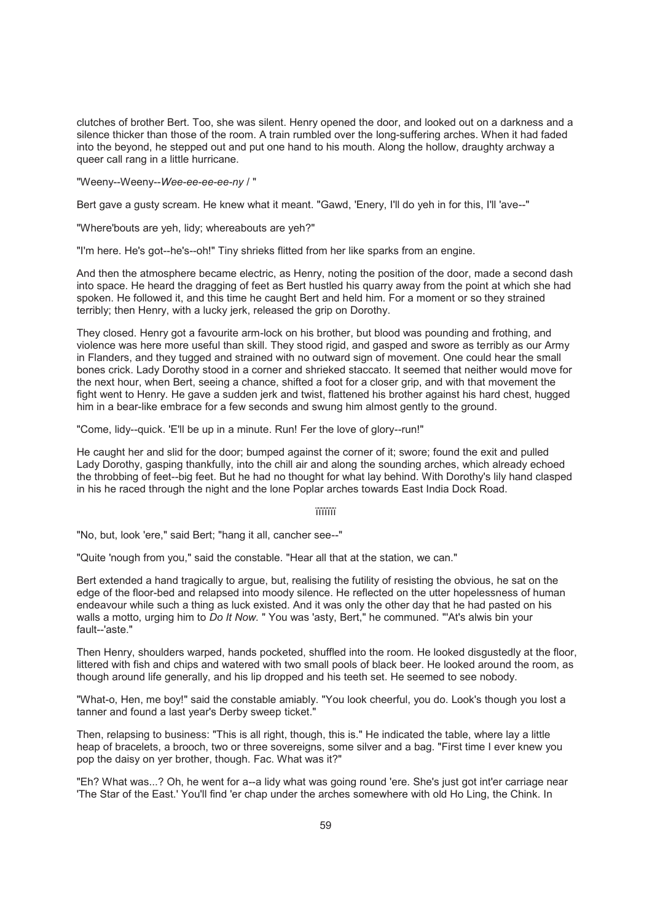clutches of brother Bert. Too, she was silent. Henry opened the door, and looked out on a darkness and a silence thicker than those of the room. A train rumbled over the long-suffering arches. When it had faded into the beyond, he stepped out and put one hand to his mouth. Along the hollow, draughty archway a queer call rang in a little hurricane.

"Weeny--Weeny--*Wee-ee-ee-ee-ny* / "

Bert gave a gusty scream. He knew what it meant. "Gawd, 'Enery, I'll do yeh in for this, I'll 'ave--"

"Where'bouts are yeh, lidy; whereabouts are yeh?"

"I'm here. He's got--he's--oh!" Tiny shrieks flitted from her like sparks from an engine.

And then the atmosphere became electric, as Henry, noting the position of the door, made a second dash into space. He heard the dragging of feet as Bert hustled his quarry away from the point at which she had spoken. He followed it, and this time he caught Bert and held him. For a moment or so they strained terribly; then Henry, with a lucky jerk, released the grip on Dorothy.

They closed. Henry got a favourite arm-lock on his brother, but blood was pounding and frothing, and violence was here more useful than skill. They stood rigid, and gasped and swore as terribly as our Army in Flanders, and they tugged and strained with no outward sign of movement. One could hear the small bones crick. Lady Dorothy stood in a corner and shrieked staccato. It seemed that neither would move for the next hour, when Bert, seeing a chance, shifted a foot for a closer grip, and with that movement the fight went to Henry. He gave a sudden jerk and twist, flattened his brother against his hard chest, hugged him in a bear-like embrace for a few seconds and swung him almost gently to the ground.

"Come, lidy--quick. 'E'll be up in a minute. Run! Fer the love of glory--run!"

He caught her and slid for the door; bumped against the corner of it; swore; found the exit and pulled Lady Dorothy, gasping thankfully, into the chill air and along the sounding arches, which already echoed the throbbing of feet--big feet. But he had no thought for what lay behind. With Dorothy's lily hand clasped in his he raced through the night and the lone Poplar arches towards East India Dock Road.

ïïïïïïï

"No, but, look 'ere," said Bert; "hang it all, cancher see--"

"Quite 'nough from you," said the constable. "Hear all that at the station, we can."

Bert extended a hand tragically to argue, but, realising the futility of resisting the obvious, he sat on the edge of the floor-bed and relapsed into moody silence. He reflected on the utter hopelessness of human endeavour while such a thing as luck existed. And it was only the other day that he had pasted on his walls a motto, urging him to *Do It Now.* " You was 'asty, Bert," he communed. "'At's alwis bin your fault--'aste."

Then Henry, shoulders warped, hands pocketed, shuffled into the room. He looked disgustedly at the floor, littered with fish and chips and watered with two small pools of black beer. He looked around the room, as though around life generally, and his lip dropped and his teeth set. He seemed to see nobody.

"What-o, Hen, me boy!" said the constable amiably. "You look cheerful, you do. Look's though you lost a tanner and found a last year's Derby sweep ticket."

Then, relapsing to business: "This is all right, though, this is." He indicated the table, where lay a little heap of bracelets, a brooch, two or three sovereigns, some silver and a bag. "First time I ever knew you pop the daisy on yer brother, though. Fac. What was it?"

"Eh? What was...? Oh, he went for a--a lidy what was going round 'ere. She's just got int'er carriage near 'The Star of the East.' You'll find 'er chap under the arches somewhere with old Ho Ling, the Chink. In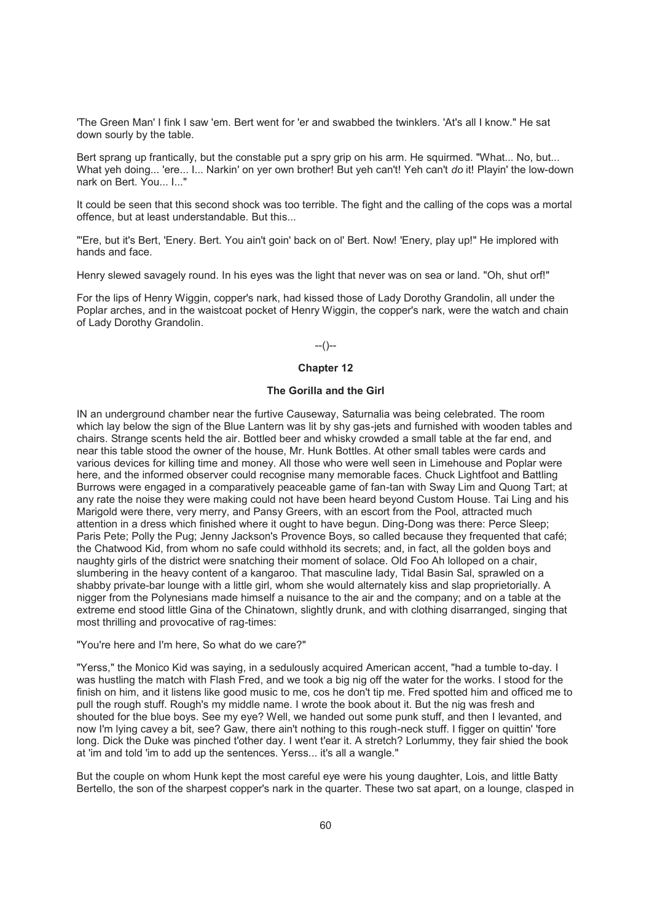'The Green Man' I fink I saw 'em. Bert went for 'er and swabbed the twinklers. 'At's all I know." He sat down sourly by the table.

Bert sprang up frantically, but the constable put a spry grip on his arm. He squirmed. "What... No, but... What yeh doing... 'ere... I... Narkin' on yer own brother! But yeh can't! Yeh can't *do* it! Playin' the low-down nark on Bert. You... I..."

It could be seen that this second shock was too terrible. The fight and the calling of the cops was a mortal offence, but at least understandable. But this...

"'Ere, but it's Bert, 'Enery. Bert. You ain't goin' back on ol' Bert. Now! 'Enery, play up!" He implored with hands and face.

Henry slewed savagely round. In his eyes was the light that never was on sea or land. "Oh, shut orf!"

For the lips of Henry Wiggin, copper's nark, had kissed those of Lady Dorothy Grandolin, all under the Poplar arches, and in the waistcoat pocket of Henry Wiggin, the copper's nark, were the watch and chain of Lady Dorothy Grandolin.

#### --()--

### **Chapter 12**

## **The Gorilla and the Girl**

IN an underground chamber near the furtive Causeway, Saturnalia was being celebrated. The room which lay below the sign of the Blue Lantern was lit by shy gas-jets and furnished with wooden tables and chairs. Strange scents held the air. Bottled beer and whisky crowded a small table at the far end, and near this table stood the owner of the house, Mr. Hunk Bottles. At other small tables were cards and various devices for killing time and money. All those who were well seen in Limehouse and Poplar were here, and the informed observer could recognise many memorable faces. Chuck Lightfoot and Battling Burrows were engaged in a comparatively peaceable game of fan-tan with Sway Lim and Quong Tart; at any rate the noise they were making could not have been heard beyond Custom House. Tai Ling and his Marigold were there, very merry, and Pansy Greers, with an escort from the Pool, attracted much attention in a dress which finished where it ought to have begun. Ding-Dong was there: Perce Sleep; Paris Pete; Polly the Pug; Jenny Jackson's Provence Boys, so called because they frequented that café; the Chatwood Kid, from whom no safe could withhold its secrets; and, in fact, all the golden boys and naughty girls of the district were snatching their moment of solace. Old Foo Ah lolloped on a chair, slumbering in the heavy content of a kangaroo. That masculine lady, Tidal Basin Sal, sprawled on a shabby private-bar lounge with a little girl, whom she would alternately kiss and slap proprietorially. A nigger from the Polynesians made himself a nuisance to the air and the company; and on a table at the extreme end stood little Gina of the Chinatown, slightly drunk, and with clothing disarranged, singing that most thrilling and provocative of rag-times:

"You're here and I'm here, So what do we care?"

"Yerss," the Monico Kid was saying, in a sedulously acquired American accent, "had a tumble to-day. I was hustling the match with Flash Fred, and we took a big nig off the water for the works. I stood for the finish on him, and it listens like good music to me, cos he don't tip me. Fred spotted him and officed me to pull the rough stuff. Rough's my middle name. I wrote the book about it. But the nig was fresh and shouted for the blue boys. See my eye? Well, we handed out some punk stuff, and then I levanted, and now I'm lying cavey a bit, see? Gaw, there ain't nothing to this rough-neck stuff. I figger on quittin' 'fore long. Dick the Duke was pinched t'other day. I went t'ear it. A stretch? Lorlummy, they fair shied the book at 'im and told 'im to add up the sentences. Yerss... it's all a wangle."

But the couple on whom Hunk kept the most careful eye were his young daughter, Lois, and little Batty Bertello, the son of the sharpest copper's nark in the quarter. These two sat apart, on a lounge, clasped in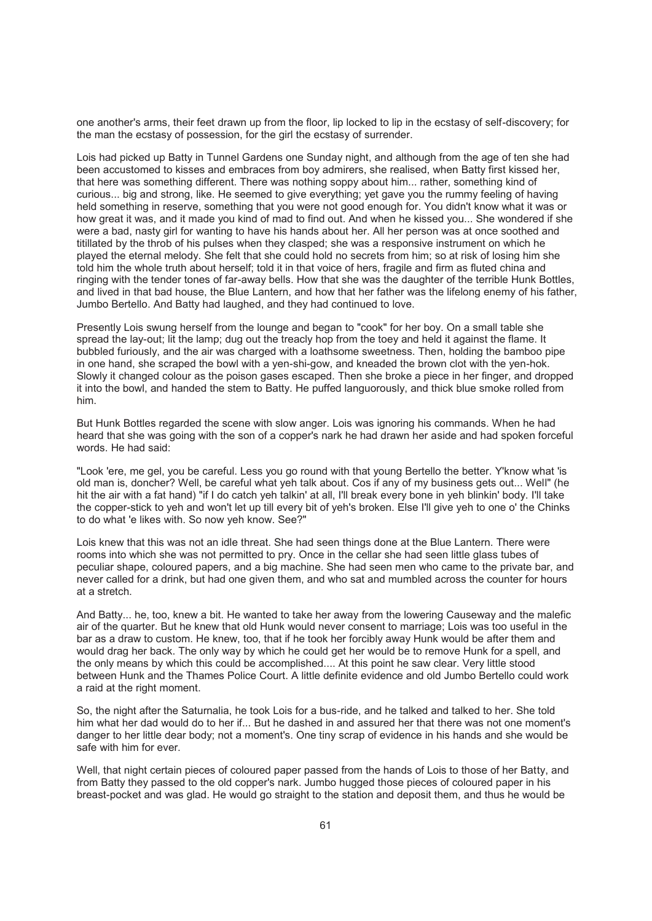one another's arms, their feet drawn up from the floor, lip locked to lip in the ecstasy of self-discovery; for the man the ecstasy of possession, for the girl the ecstasy of surrender.

Lois had picked up Batty in Tunnel Gardens one Sunday night, and although from the age of ten she had been accustomed to kisses and embraces from boy admirers, she realised, when Batty first kissed her, that here was something different. There was nothing soppy about him... rather, something kind of curious... big and strong, like. He seemed to give everything; yet gave you the rummy feeling of having held something in reserve, something that you were not good enough for. You didn't know what it was or how great it was, and it made you kind of mad to find out. And when he kissed you... She wondered if she were a bad, nasty girl for wanting to have his hands about her. All her person was at once soothed and titillated by the throb of his pulses when they clasped; she was a responsive instrument on which he played the eternal melody. She felt that she could hold no secrets from him; so at risk of losing him she told him the whole truth about herself; told it in that voice of hers, fragile and firm as fluted china and ringing with the tender tones of far-away bells. How that she was the daughter of the terrible Hunk Bottles, and lived in that bad house, the Blue Lantern, and how that her father was the lifelong enemy of his father, Jumbo Bertello. And Batty had laughed, and they had continued to love.

Presently Lois swung herself from the lounge and began to "cook" for her boy. On a small table she spread the lay-out; lit the lamp; dug out the treacly hop from the toey and held it against the flame. It bubbled furiously, and the air was charged with a loathsome sweetness. Then, holding the bamboo pipe in one hand, she scraped the bowl with a yen-shi-gow, and kneaded the brown clot with the yen-hok. Slowly it changed colour as the poison gases escaped. Then she broke a piece in her finger, and dropped it into the bowl, and handed the stem to Batty. He puffed languorously, and thick blue smoke rolled from him.

But Hunk Bottles regarded the scene with slow anger. Lois was ignoring his commands. When he had heard that she was going with the son of a copper's nark he had drawn her aside and had spoken forceful words. He had said:

"Look 'ere, me gel, you be careful. Less you go round with that young Bertello the better. Y'know what 'is old man is, doncher? Well, be careful what yeh talk about. Cos if any of my business gets out... Well" (he hit the air with a fat hand) "if I do catch yeh talkin' at all, I'll break every bone in yeh blinkin' body. I'll take the copper-stick to yeh and won't let up till every bit of yeh's broken. Else I'll give yeh to one o' the Chinks to do what 'e likes with. So now yeh know. See?"

Lois knew that this was not an idle threat. She had seen things done at the Blue Lantern. There were rooms into which she was not permitted to pry. Once in the cellar she had seen little glass tubes of peculiar shape, coloured papers, and a big machine. She had seen men who came to the private bar, and never called for a drink, but had one given them, and who sat and mumbled across the counter for hours at a stretch.

And Batty... he, too, knew a bit. He wanted to take her away from the lowering Causeway and the malefic air of the quarter. But he knew that old Hunk would never consent to marriage; Lois was too useful in the bar as a draw to custom. He knew, too, that if he took her forcibly away Hunk would be after them and would drag her back. The only way by which he could get her would be to remove Hunk for a spell, and the only means by which this could be accomplished.... At this point he saw clear. Very little stood between Hunk and the Thames Police Court. A little definite evidence and old Jumbo Bertello could work a raid at the right moment.

So, the night after the Saturnalia, he took Lois for a bus-ride, and he talked and talked to her. She told him what her dad would do to her if... But he dashed in and assured her that there was not one moment's danger to her little dear body; not a moment's. One tiny scrap of evidence in his hands and she would be safe with him for ever.

Well, that night certain pieces of coloured paper passed from the hands of Lois to those of her Batty, and from Batty they passed to the old copper's nark. Jumbo hugged those pieces of coloured paper in his breast-pocket and was glad. He would go straight to the station and deposit them, and thus he would be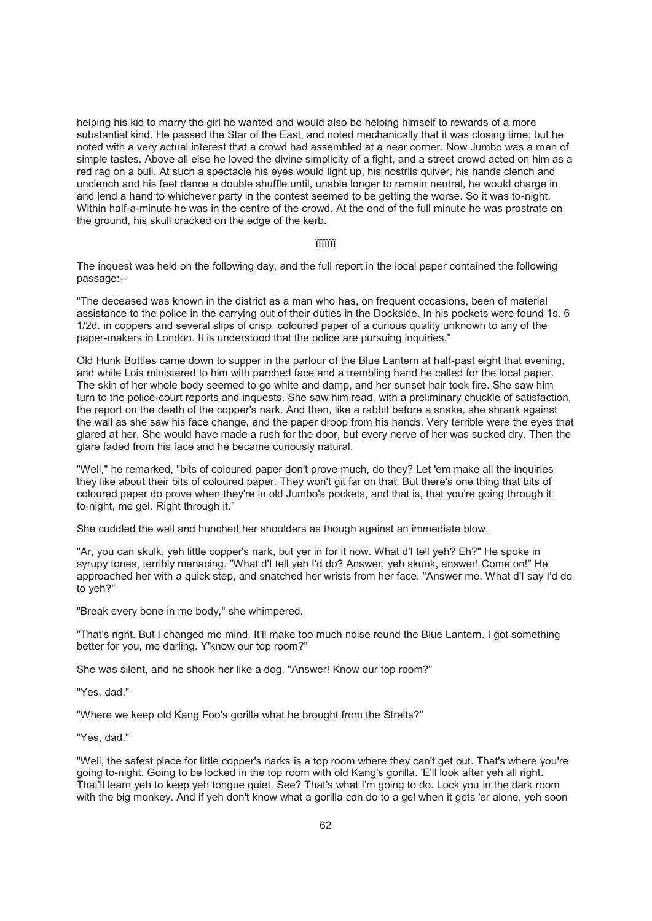helping his kid to marry the girl he wanted and would also be helping himself to rewards of a more substantial kind. He passed the Star of the East, and noted mechanically that it was closing time; but he noted with a very actual interest that a crowd had assembled at a near corner. Now Jumbo was a man of simple tastes. Above all else he loved the divine simplicity of a fight, and a street crowd acted on him as a red rag on a bull. At such a spectacle his eyes would light up, his nostrils quiver, his hands clench and unclench and his feet dance a double shuffle until, unable longer to remain neutral, he would charge in and lend a hand to whichever party in the contest seemed to be getting the worse. So it was to-night. Within half-a-minute he was in the centre of the crowd. At the end of the full minute he was prostrate on the ground, his skull cracked on the edge of the kerb.

#### ïïïïïïï

The inquest was held on the following day, and the full report in the local paper contained the following passage:--

"The deceased was known in the district as a man who has, on frequent occasions, been of material assistance to the police in the carrying out of their duties in the Dockside. In his pockets were found 1s. 6 1/2d. in coppers and several slips of crisp, coloured paper of a curious quality unknown to any of the paper-makers in London. It is understood that the police are pursuing inquiries."

Old Hunk Bottles came down to supper in the parlour of the Blue Lantern at half-past eight that evening, and while Lois ministered to him with parched face and a trembling hand he called for the local paper. The skin of her whole body seemed to go white and damp, and her sunset hair took fire. She saw him turn to the police-court reports and inquests. She saw him read, with a preliminary chuckle of satisfaction, the report on the death of the copper's nark. And then, like a rabbit before a snake, she shrank against the wall as she saw his face change, and the paper droop from his hands. Very terrible were the eyes that glared at her. She would have made a rush for the door, but every nerve of her was sucked dry. Then the glare faded from his face and he became curiously natural.

"Well," he remarked, "bits of coloured paper don't prove much, do they? Let 'em make all the inquiries they like about their bits of coloured paper. They won't git far on that. But there's one thing that bits of coloured paper do prove when they're in old Jumbo's pockets, and that is, that you're going through it to-night, me gel. Right through it."

She cuddled the wall and hunched her shoulders as though against an immediate blow.

"Ar, you can skulk, yeh little copper's nark, but yer in for it now. What d'I tell yeh? Eh?" He spoke in syrupy tones, terribly menacing. "What d'I tell yeh I'd do? Answer, yeh skunk, answer! Come on!" He approached her with a quick step, and snatched her wrists from her face. "Answer me. What d'I say I'd do to yeh?"

"Break every bone in me body," she whimpered.

"That's right. But I changed me mind. It'll make too much noise round the Blue Lantern. I got something better for you, me darling. Y'know our top room?"

She was silent, and he shook her like a dog. "Answer! Know our top room?"

"Yes, dad."

"Where we keep old Kang Foo's gorilla what he brought from the Straits?"

"Yes, dad."

"Well, the safest place for little copper's narks is a top room where they can't get out. That's where you're going to-night. Going to be locked in the top room with old Kang's gorilla. 'E'll look after yeh all right. That'll learn yeh to keep yeh tongue quiet. See? That's what I'm going to do. Lock you in the dark room with the big monkey. And if yeh don't know what a gorilla can do to a gel when it gets 'er alone, yeh soon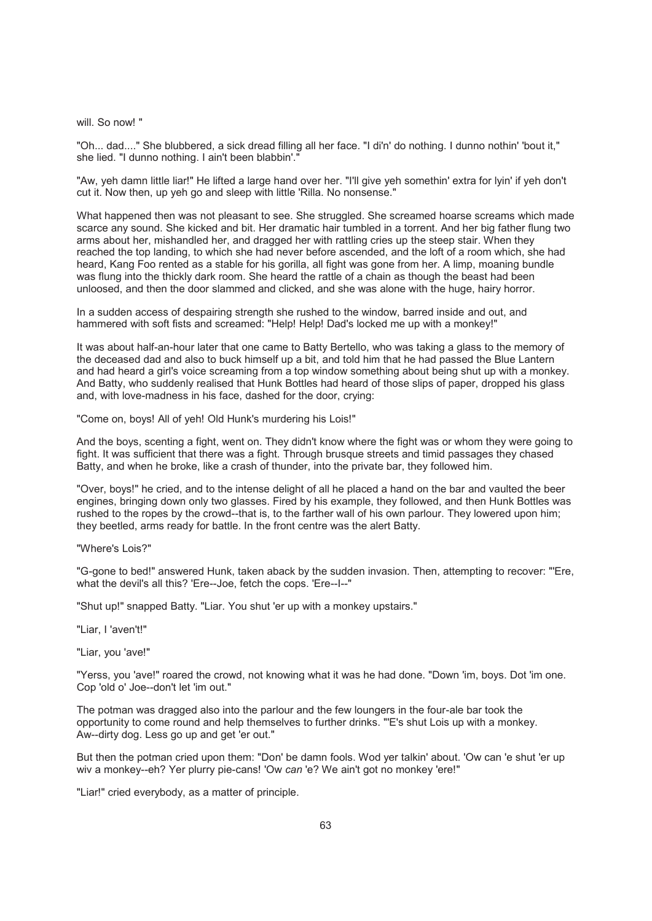#### will. So now! "

"Oh... dad...." She blubbered, a sick dread filling all her face. "I di'n' do nothing. I dunno nothin' 'bout it," she lied. "I dunno nothing. I ain't been blabbin'."

"Aw, yeh damn little liar!" He lifted a large hand over her. "I'll give yeh somethin' extra for lyin' if yeh don't cut it. Now then, up yeh go and sleep with little 'Rilla. No nonsense."

What happened then was not pleasant to see. She struggled. She screamed hoarse screams which made scarce any sound. She kicked and bit. Her dramatic hair tumbled in a torrent. And her big father flung two arms about her, mishandled her, and dragged her with rattling cries up the steep stair. When they reached the top landing, to which she had never before ascended, and the loft of a room which, she had heard, Kang Foo rented as a stable for his gorilla, all fight was gone from her. A limp, moaning bundle was flung into the thickly dark room. She heard the rattle of a chain as though the beast had been unloosed, and then the door slammed and clicked, and she was alone with the huge, hairy horror.

In a sudden access of despairing strength she rushed to the window, barred inside and out, and hammered with soft fists and screamed: "Help! Help! Dad's locked me up with a monkey!"

It was about half-an-hour later that one came to Batty Bertello, who was taking a glass to the memory of the deceased dad and also to buck himself up a bit, and told him that he had passed the Blue Lantern and had heard a girl's voice screaming from a top window something about being shut up with a monkey. And Batty, who suddenly realised that Hunk Bottles had heard of those slips of paper, dropped his glass and, with love-madness in his face, dashed for the door, crying:

"Come on, boys! All of yeh! Old Hunk's murdering his Lois!"

And the boys, scenting a fight, went on. They didn't know where the fight was or whom they were going to fight. It was sufficient that there was a fight. Through brusque streets and timid passages they chased Batty, and when he broke, like a crash of thunder, into the private bar, they followed him.

"Over, boys!" he cried, and to the intense delight of all he placed a hand on the bar and vaulted the beer engines, bringing down only two glasses. Fired by his example, they followed, and then Hunk Bottles was rushed to the ropes by the crowd--that is, to the farther wall of his own parlour. They lowered upon him; they beetled, arms ready for battle. In the front centre was the alert Batty.

"Where's Lois?"

"G-gone to bed!" answered Hunk, taken aback by the sudden invasion. Then, attempting to recover: "'Ere, what the devil's all this? 'Ere--Joe, fetch the cops. 'Ere--I--"

"Shut up!" snapped Batty. "Liar. You shut 'er up with a monkey upstairs."

"Liar, I 'aven't!"

"Liar, you 'ave!"

"Yerss, you 'ave!" roared the crowd, not knowing what it was he had done. "Down 'im, boys. Dot 'im one. Cop 'old o' Joe--don't let 'im out."

The potman was dragged also into the parlour and the few loungers in the four-ale bar took the opportunity to come round and help themselves to further drinks. "'E's shut Lois up with a monkey. Aw--dirty dog. Less go up and get 'er out."

But then the potman cried upon them: "Don' be damn fools. Wod yer talkin' about. 'Ow can 'e shut 'er up wiv a monkey--eh? Yer plurry pie-cans! 'Ow *can* 'e? We ain't got no monkey 'ere!"

"Liar!" cried everybody, as a matter of principle.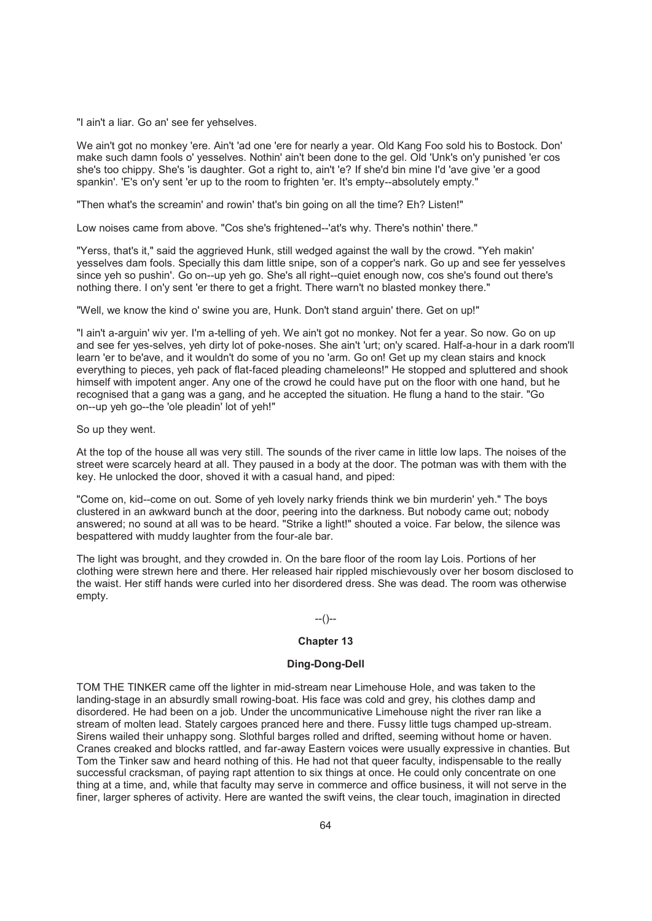"I ain't a liar. Go an' see fer yehselves.

We ain't got no monkey 'ere. Ain't 'ad one 'ere for nearly a year. Old Kang Foo sold his to Bostock. Don' make such damn fools o' yesselves. Nothin' ain't been done to the gel. Old 'Unk's on'y punished 'er cos she's too chippy. She's 'is daughter. Got a right to, ain't 'e? If she'd bin mine I'd 'ave give 'er a good spankin'. 'E's on'y sent 'er up to the room to frighten 'er. It's empty--absolutely empty."

"Then what's the screamin' and rowin' that's bin going on all the time? Eh? Listen!"

Low noises came from above. "Cos she's frightened--'at's why. There's nothin' there."

"Yerss, that's it," said the aggrieved Hunk, still wedged against the wall by the crowd. "Yeh makin' yesselves dam fools. Specially this dam little snipe, son of a copper's nark. Go up and see fer yesselves since yeh so pushin'. Go on--up yeh go. She's all right--quiet enough now, cos she's found out there's nothing there. I on'y sent 'er there to get a fright. There warn't no blasted monkey there."

"Well, we know the kind o' swine you are, Hunk. Don't stand arguin' there. Get on up!"

"I ain't a-arguin' wiv yer. I'm a-telling of yeh. We ain't got no monkey. Not fer a year. So now. Go on up and see fer yes-selves, yeh dirty lot of poke-noses. She ain't 'urt; on'y scared. Half-a-hour in a dark room'll learn 'er to be'ave, and it wouldn't do some of you no 'arm. Go on! Get up my clean stairs and knock everything to pieces, yeh pack of flat-faced pleading chameleons!" He stopped and spluttered and shook himself with impotent anger. Any one of the crowd he could have put on the floor with one hand, but he recognised that a gang was a gang, and he accepted the situation. He flung a hand to the stair. "Go on--up yeh go--the 'ole pleadin' lot of yeh!"

So up they went.

At the top of the house all was very still. The sounds of the river came in little low laps. The noises of the street were scarcely heard at all. They paused in a body at the door. The potman was with them with the key. He unlocked the door, shoved it with a casual hand, and piped:

"Come on, kid--come on out. Some of yeh lovely narky friends think we bin murderin' yeh." The boys clustered in an awkward bunch at the door, peering into the darkness. But nobody came out; nobody answered; no sound at all was to be heard. "Strike a light!" shouted a voice. Far below, the silence was bespattered with muddy laughter from the four-ale bar.

The light was brought, and they crowded in. On the bare floor of the room lay Lois. Portions of her clothing were strewn here and there. Her released hair rippled mischievously over her bosom disclosed to the waist. Her stiff hands were curled into her disordered dress. She was dead. The room was otherwise empty.

## --()--

# **Chapter 13**

## **Ding-Dong-Dell**

TOM THE TINKER came off the lighter in mid-stream near Limehouse Hole, and was taken to the landing-stage in an absurdly small rowing-boat. His face was cold and grey, his clothes damp and disordered. He had been on a job. Under the uncommunicative Limehouse night the river ran like a stream of molten lead. Stately cargoes pranced here and there. Fussy little tugs champed up-stream. Sirens wailed their unhappy song. Slothful barges rolled and drifted, seeming without home or haven. Cranes creaked and blocks rattled, and far-away Eastern voices were usually expressive in chanties. But Tom the Tinker saw and heard nothing of this. He had not that queer faculty, indispensable to the really successful cracksman, of paying rapt attention to six things at once. He could only concentrate on one thing at a time, and, while that faculty may serve in commerce and office business, it will not serve in the finer, larger spheres of activity. Here are wanted the swift veins, the clear touch, imagination in directed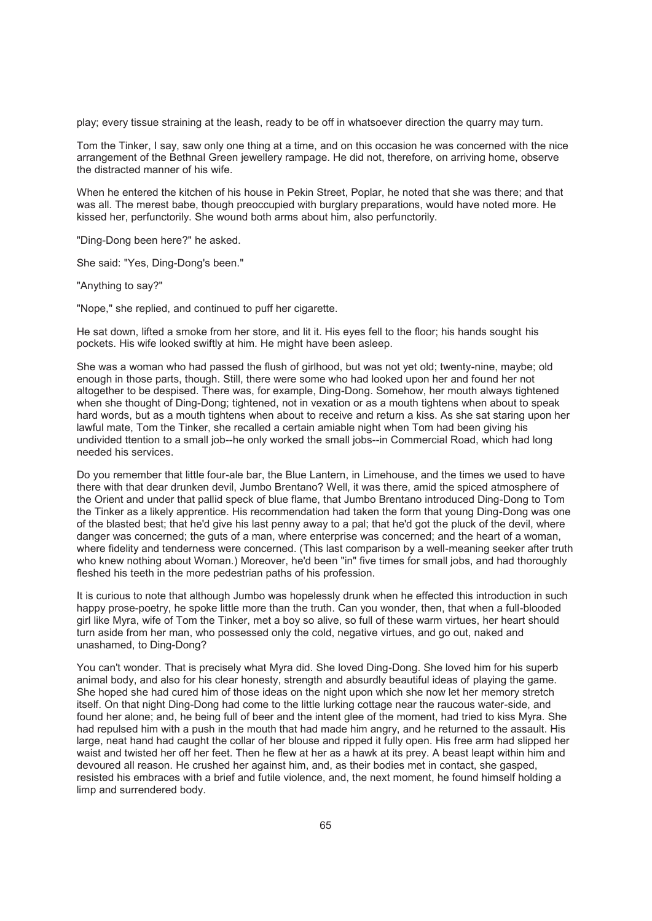play; every tissue straining at the leash, ready to be off in whatsoever direction the quarry may turn.

Tom the Tinker, I say, saw only one thing at a time, and on this occasion he was concerned with the nice arrangement of the Bethnal Green jewellery rampage. He did not, therefore, on arriving home, observe the distracted manner of his wife.

When he entered the kitchen of his house in Pekin Street, Poplar, he noted that she was there; and that was all. The merest babe, though preoccupied with burglary preparations, would have noted more. He kissed her, perfunctorily. She wound both arms about him, also perfunctorily.

"Ding-Dong been here?" he asked.

She said: "Yes, Ding-Dong's been."

"Anything to say?"

"Nope," she replied, and continued to puff her cigarette.

He sat down, lifted a smoke from her store, and lit it. His eyes fell to the floor; his hands sought his pockets. His wife looked swiftly at him. He might have been asleep.

She was a woman who had passed the flush of girlhood, but was not yet old; twenty-nine, maybe; old enough in those parts, though. Still, there were some who had looked upon her and found her not altogether to be despised. There was, for example, Ding-Dong. Somehow, her mouth always tightened when she thought of Ding-Dong; tightened, not in vexation or as a mouth tightens when about to speak hard words, but as a mouth tightens when about to receive and return a kiss. As she sat staring upon her lawful mate, Tom the Tinker, she recalled a certain amiable night when Tom had been giving his undivided ttention to a small job--he only worked the small jobs--in Commercial Road, which had long needed his services.

Do you remember that little four-ale bar, the Blue Lantern, in Limehouse, and the times we used to have there with that dear drunken devil, Jumbo Brentano? Well, it was there, amid the spiced atmosphere of the Orient and under that pallid speck of blue flame, that Jumbo Brentano introduced Ding-Dong to Tom the Tinker as a likely apprentice. His recommendation had taken the form that young Ding-Dong was one of the blasted best; that he'd give his last penny away to a pal; that he'd got the pluck of the devil, where danger was concerned; the guts of a man, where enterprise was concerned; and the heart of a woman, where fidelity and tenderness were concerned. (This last comparison by a well-meaning seeker after truth who knew nothing about Woman.) Moreover, he'd been "in" five times for small jobs, and had thoroughly fleshed his teeth in the more pedestrian paths of his profession.

It is curious to note that although Jumbo was hopelessly drunk when he effected this introduction in such happy prose-poetry, he spoke little more than the truth. Can you wonder, then, that when a full-blooded girl like Myra, wife of Tom the Tinker, met a boy so alive, so full of these warm virtues, her heart should turn aside from her man, who possessed only the cold, negative virtues, and go out, naked and unashamed, to Ding-Dong?

You can't wonder. That is precisely what Myra did. She loved Ding-Dong. She loved him for his superb animal body, and also for his clear honesty, strength and absurdly beautiful ideas of playing the game. She hoped she had cured him of those ideas on the night upon which she now let her memory stretch itself. On that night Ding-Dong had come to the little lurking cottage near the raucous water-side, and found her alone; and, he being full of beer and the intent glee of the moment, had tried to kiss Myra. She had repulsed him with a push in the mouth that had made him angry, and he returned to the assault. His large, neat hand had caught the collar of her blouse and ripped it fully open. His free arm had slipped her waist and twisted her off her feet. Then he flew at her as a hawk at its prey. A beast leapt within him and devoured all reason. He crushed her against him, and, as their bodies met in contact, she gasped, resisted his embraces with a brief and futile violence, and, the next moment, he found himself holding a limp and surrendered body.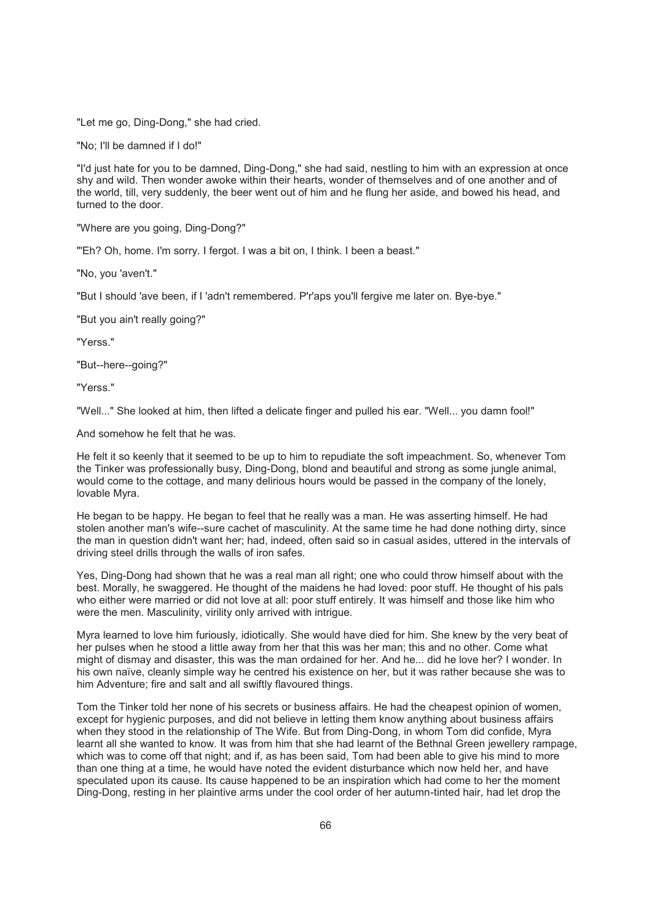"Let me go, Ding-Dong," she had cried.

"No; I'll be damned if I do!"

"I'd just hate for you to be damned, Ding-Dong," she had said, nestling to him with an expression at once shy and wild. Then wonder awoke within their hearts, wonder of themselves and of one another and of the world, till, very suddenly, the beer went out of him and he flung her aside, and bowed his head, and turned to the door.

"Where are you going, Ding-Dong?"

"'Eh? Oh, home. I'm sorry. I fergot. I was a bit on, I think. I been a beast."

"No, you 'aven't."

"But I should 'ave been, if I 'adn't remembered. P'r'aps you'll fergive me later on. Bye-bye."

"But you ain't really going?"

"Yerss."

"But--here--going?"

"Yerss."

"Well..." She looked at him, then lifted a delicate finger and pulled his ear. "Well... you damn fool!"

And somehow he felt that he was.

He felt it so keenly that it seemed to be up to him to repudiate the soft impeachment. So, whenever Tom the Tinker was professionally busy, Ding-Dong, blond and beautiful and strong as some jungle animal, would come to the cottage, and many delirious hours would be passed in the company of the lonely, lovable Myra.

He began to be happy. He began to feel that he really was a man. He was asserting himself. He had stolen another man's wife--sure cachet of masculinity. At the same time he had done nothing dirty, since the man in question didn't want her; had, indeed, often said so in casual asides, uttered in the intervals of driving steel drills through the walls of iron safes.

Yes, Ding-Dong had shown that he was a real man all right; one who could throw himself about with the best. Morally, he swaggered. He thought of the maidens he had loved: poor stuff. He thought of his pals who either were married or did not love at all: poor stuff entirely. It was himself and those like him who were the men. Masculinity, virility only arrived with intrigue.

Myra learned to love him furiously, idiotically. She would have died for him. She knew by the very beat of her pulses when he stood a little away from her that this was her man; this and no other. Come what might of dismay and disaster, this was the man ordained for her. And he... did he love her? I wonder. In his own naïve, cleanly simple way he centred his existence on her, but it was rather because she was to him Adventure; fire and salt and all swiftly flavoured things.

Tom the Tinker told her none of his secrets or business affairs. He had the cheapest opinion of women, except for hygienic purposes, and did not believe in letting them know anything about business affairs when they stood in the relationship of The Wife. But from Ding-Dong, in whom Tom did confide, Myra learnt all she wanted to know. It was from him that she had learnt of the Bethnal Green jewellery rampage, which was to come off that night; and if, as has been said. Tom had been able to give his mind to more than one thing at a time, he would have noted the evident disturbance which now held her, and have speculated upon its cause. Its cause happened to be an inspiration which had come to her the moment Ding-Dong, resting in her plaintive arms under the cool order of her autumn-tinted hair, had let drop the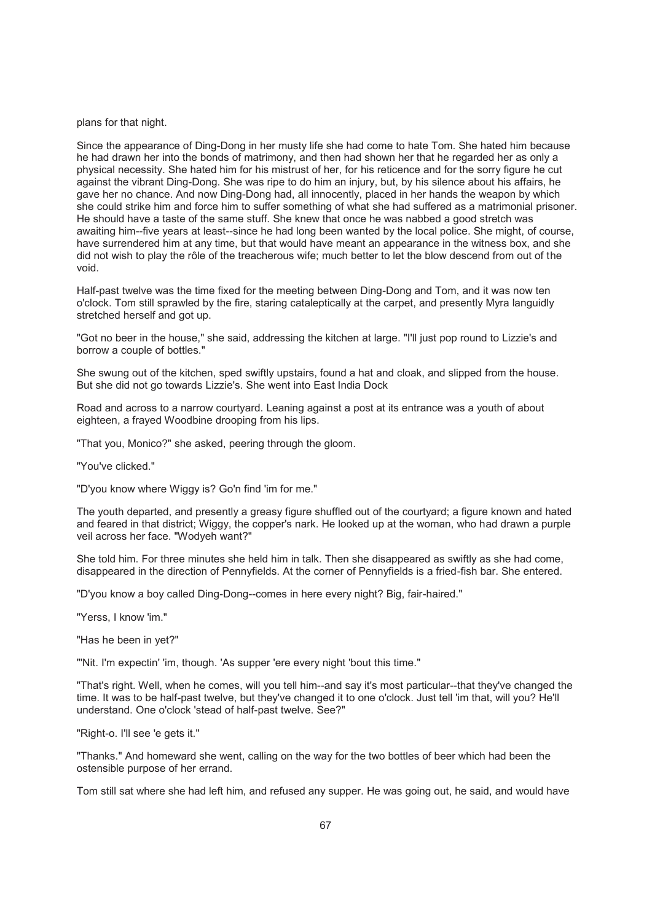plans for that night.

Since the appearance of Ding-Dong in her musty life she had come to hate Tom. She hated him because he had drawn her into the bonds of matrimony, and then had shown her that he regarded her as only a physical necessity. She hated him for his mistrust of her, for his reticence and for the sorry figure he cut against the vibrant Ding-Dong. She was ripe to do him an injury, but, by his silence about his affairs, he gave her no chance. And now Ding-Dong had, all innocently, placed in her hands the weapon by which she could strike him and force him to suffer something of what she had suffered as a matrimonial prisoner. He should have a taste of the same stuff. She knew that once he was nabbed a good stretch was awaiting him--five years at least--since he had long been wanted by the local police. She might, of course, have surrendered him at any time, but that would have meant an appearance in the witness box, and she did not wish to play the rôle of the treacherous wife; much better to let the blow descend from out of the void.

Half-past twelve was the time fixed for the meeting between Ding-Dong and Tom, and it was now ten o'clock. Tom still sprawled by the fire, staring cataleptically at the carpet, and presently Myra languidly stretched herself and got up.

"Got no beer in the house," she said, addressing the kitchen at large. "I'll just pop round to Lizzie's and borrow a couple of bottles."

She swung out of the kitchen, sped swiftly upstairs, found a hat and cloak, and slipped from the house. But she did not go towards Lizzie's. She went into East India Dock

Road and across to a narrow courtyard. Leaning against a post at its entrance was a youth of about eighteen, a frayed Woodbine drooping from his lips.

"That you, Monico?" she asked, peering through the gloom.

"You've clicked."

"D'you know where Wiggy is? Go'n find 'im for me."

The youth departed, and presently a greasy figure shuffled out of the courtyard; a figure known and hated and feared in that district; Wiggy, the copper's nark. He looked up at the woman, who had drawn a purple veil across her face. "Wodyeh want?"

She told him. For three minutes she held him in talk. Then she disappeared as swiftly as she had come, disappeared in the direction of Pennyfields. At the corner of Pennyfields is a fried-fish bar. She entered.

"D'you know a boy called Ding-Dong--comes in here every night? Big, fair-haired."

"Yerss, I know 'im."

"Has he been in yet?"

"'Nit. I'm expectin' 'im, though. 'As supper 'ere every night 'bout this time."

"That's right. Well, when he comes, will you tell him--and say it's most particular--that they've changed the time. It was to be half-past twelve, but they've changed it to one o'clock. Just tell 'im that, will you? He'll understand. One o'clock 'stead of half-past twelve. See?"

"Right-o. I'll see 'e gets it."

"Thanks." And homeward she went, calling on the way for the two bottles of beer which had been the ostensible purpose of her errand.

Tom still sat where she had left him, and refused any supper. He was going out, he said, and would have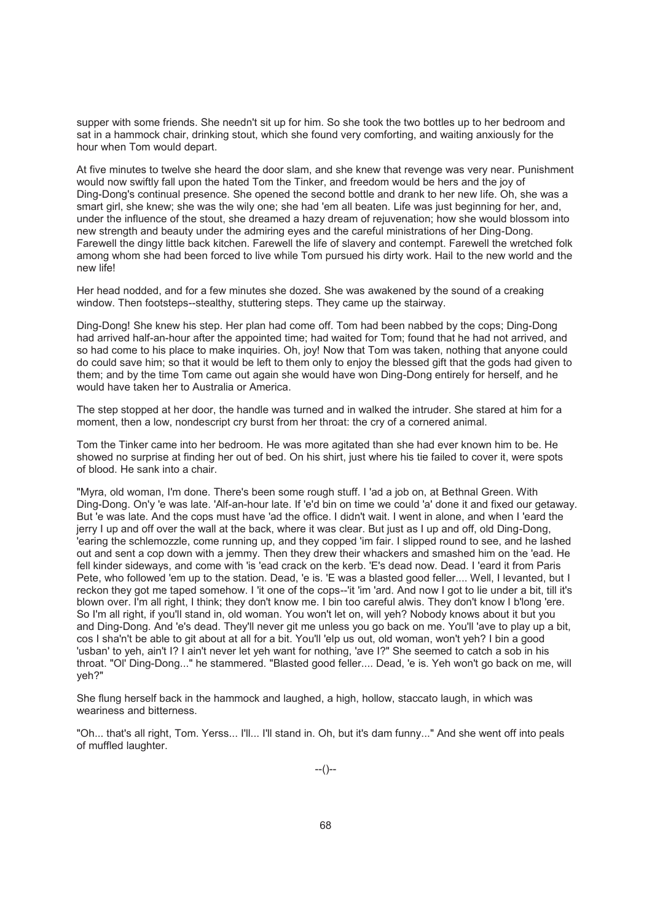supper with some friends. She needn't sit up for him. So she took the two bottles up to her bedroom and sat in a hammock chair, drinking stout, which she found very comforting, and waiting anxiously for the hour when Tom would depart.

At five minutes to twelve she heard the door slam, and she knew that revenge was very near. Punishment would now swiftly fall upon the hated Tom the Tinker, and freedom would be hers and the joy of Ding-Dong's continual presence. She opened the second bottle and drank to her new life. Oh, she was a smart girl, she knew; she was the wily one; she had 'em all beaten. Life was just beginning for her, and, under the influence of the stout, she dreamed a hazy dream of rejuvenation; how she would blossom into new strength and beauty under the admiring eyes and the careful ministrations of her Ding-Dong. Farewell the dingy little back kitchen. Farewell the life of slavery and contempt. Farewell the wretched folk among whom she had been forced to live while Tom pursued his dirty work. Hail to the new world and the new life!

Her head nodded, and for a few minutes she dozed. She was awakened by the sound of a creaking window. Then footsteps--stealthy, stuttering steps. They came up the stairway.

Ding-Dong! She knew his step. Her plan had come off. Tom had been nabbed by the cops; Ding-Dong had arrived half-an-hour after the appointed time; had waited for Tom; found that he had not arrived, and so had come to his place to make inquiries. Oh, joy! Now that Tom was taken, nothing that anyone could do could save him; so that it would be left to them only to enjoy the blessed gift that the gods had given to them; and by the time Tom came out again she would have won Ding-Dong entirely for herself, and he would have taken her to Australia or America.

The step stopped at her door, the handle was turned and in walked the intruder. She stared at him for a moment, then a low, nondescript cry burst from her throat: the cry of a cornered animal.

Tom the Tinker came into her bedroom. He was more agitated than she had ever known him to be. He showed no surprise at finding her out of bed. On his shirt, just where his tie failed to cover it, were spots of blood. He sank into a chair.

"Myra, old woman, I'm done. There's been some rough stuff. I 'ad a job on, at Bethnal Green. With Ding-Dong. On'y 'e was late. 'Alf-an-hour late. If 'e'd bin on time we could 'a' done it and fixed our getaway. But 'e was late. And the cops must have 'ad the office. I didn't wait. I went in alone, and when I 'eard the jerry I up and off over the wall at the back, where it was clear. But just as I up and off, old Ding-Dong, 'earing the schlemozzle, come running up, and they copped 'im fair. I slipped round to see, and he lashed out and sent a cop down with a jemmy. Then they drew their whackers and smashed him on the 'ead. He fell kinder sideways, and come with 'is 'ead crack on the kerb. 'E's dead now. Dead. I 'eard it from Paris Pete, who followed 'em up to the station. Dead, 'e is. 'E was a blasted good feller.... Well, I levanted, but I reckon they got me taped somehow. I 'it one of the cops--'it 'im 'ard. And now I got to lie under a bit, till it's blown over. I'm all right, I think; they don't know me. I bin too careful alwis. They don't know I b'long 'ere. So I'm all right, if you'll stand in, old woman. You won't let on, will yeh? Nobody knows about it but you and Ding-Dong. And 'e's dead. They'll never git me unless you go back on me. You'll 'ave to play up a bit, cos I sha'n't be able to git about at all for a bit. You'll 'elp us out, old woman, won't yeh? I bin a good 'usban' to yeh, ain't I? I ain't never let yeh want for nothing, 'ave I?" She seemed to catch a sob in his throat. "Ol' Ding-Dong..." he stammered. "Blasted good feller.... Dead, 'e is. Yeh won't go back on me, will yeh?"

She flung herself back in the hammock and laughed, a high, hollow, staccato laugh, in which was weariness and bitterness.

"Oh... that's all right, Tom. Yerss... I'll... I'll stand in. Oh, but it's dam funny..." And she went off into peals of muffled laughter.

--()--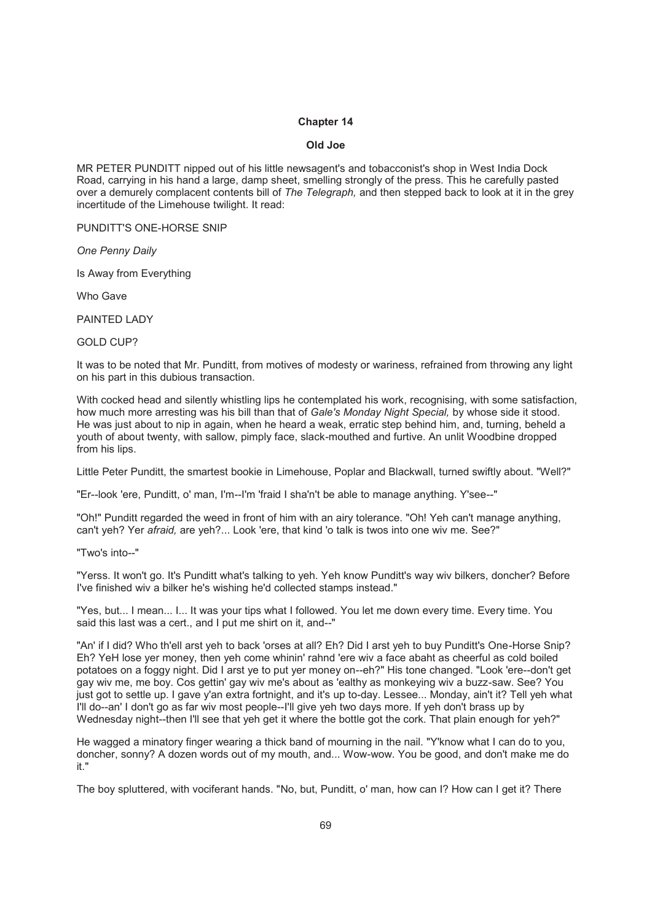### **Chapter 14**

#### **Old Joe**

MR PETER PUNDITT nipped out of his little newsagent's and tobacconist's shop in West India Dock Road, carrying in his hand a large, damp sheet, smelling strongly of the press. This he carefully pasted over a demurely complacent contents bill of *The Telegraph,* and then stepped back to look at it in the grey incertitude of the Limehouse twilight. It read:

PUNDITT'S ONE-HORSE SNIP

*One Penny Daily*

Is Away from Everything

Who Gave

PAINTED LADY

GOLD CUP?

It was to be noted that Mr. Punditt, from motives of modesty or wariness, refrained from throwing any light on his part in this dubious transaction.

With cocked head and silently whistling lips he contemplated his work, recognising, with some satisfaction, how much more arresting was his bill than that of *Gale's Monday Night Special,* by whose side it stood. He was just about to nip in again, when he heard a weak, erratic step behind him, and, turning, beheld a youth of about twenty, with sallow, pimply face, slack-mouthed and furtive. An unlit Woodbine dropped from his lips.

Little Peter Punditt, the smartest bookie in Limehouse, Poplar and Blackwall, turned swiftly about. "Well?"

"Er--look 'ere, Punditt, o' man, I'm--I'm 'fraid I sha'n't be able to manage anything. Y'see--"

"Oh!" Punditt regarded the weed in front of him with an airy tolerance. "Oh! Yeh can't manage anything, can't yeh? Yer *afraid,* are yeh?... Look 'ere, that kind 'o talk is twos into one wiv me. See?"

"Two's into--"

"Yerss. It won't go. It's Punditt what's talking to yeh. Yeh know Punditt's way wiv bilkers, doncher? Before I've finished wiv a bilker he's wishing he'd collected stamps instead."

"Yes, but... I mean... I... It was your tips what I followed. You let me down every time. Every time. You said this last was a cert., and I put me shirt on it, and--"

"An' if I did? Who th'ell arst yeh to back 'orses at all? Eh? Did I arst yeh to buy Punditt's One-Horse Snip? Eh? YeH lose yer money, then yeh come whinin' rahnd 'ere wiv a face abaht as cheerful as cold boiled potatoes on a foggy night. Did I arst ye to put yer money on--eh?" His tone changed. "Look 'ere--don't get gay wiv me, me boy. Cos gettin' gay wiv me's about as 'ealthy as monkeying wiv a buzz-saw. See? You just got to settle up. I gave y'an extra fortnight, and it's up to-day. Lessee... Monday, ain't it? Tell yeh what I'll do--an' I don't go as far wiv most people--I'll give yeh two days more. If yeh don't brass up by Wednesday night--then I'll see that yeh get it where the bottle got the cork. That plain enough for yeh?"

He wagged a minatory finger wearing a thick band of mourning in the nail. "Y'know what I can do to you, doncher, sonny? A dozen words out of my mouth, and... Wow-wow. You be good, and don't make me do it."

The boy spluttered, with vociferant hands. "No, but, Punditt, o' man, how can I? How can I get it? There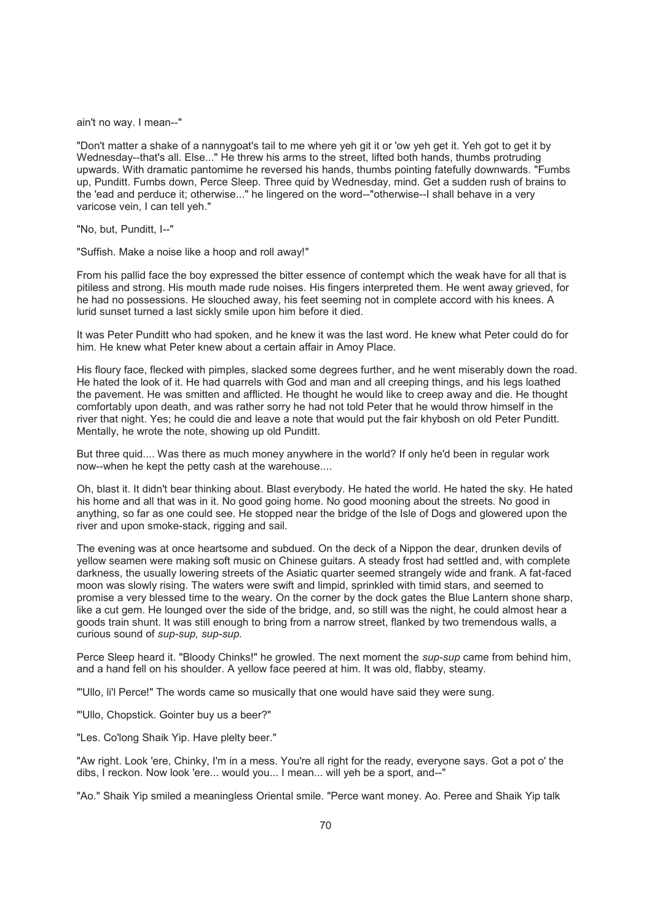ain't no way. I mean--"

"Don't matter a shake of a nannygoat's tail to me where yeh git it or 'ow yeh get it. Yeh got to get it by Wednesday--that's all. Else..." He threw his arms to the street, lifted both hands, thumbs protruding upwards. With dramatic pantomime he reversed his hands, thumbs pointing fatefully downwards. "Fumbs up, Punditt. Fumbs down, Perce Sleep. Three quid by Wednesday, mind. Get a sudden rush of brains to the 'ead and perduce it; otherwise..." he lingered on the word--"otherwise--I shall behave in a very varicose vein, I can tell yeh."

"No, but, Punditt, I--"

"Suffish. Make a noise like a hoop and roll away!"

From his pallid face the boy expressed the bitter essence of contempt which the weak have for all that is pitiless and strong. His mouth made rude noises. His fingers interpreted them. He went away grieved, for he had no possessions. He slouched away, his feet seeming not in complete accord with his knees. A lurid sunset turned a last sickly smile upon him before it died.

It was Peter Punditt who had spoken, and he knew it was the last word. He knew what Peter could do for him. He knew what Peter knew about a certain affair in Amoy Place.

His floury face, flecked with pimples, slacked some degrees further, and he went miserably down the road. He hated the look of it. He had quarrels with God and man and all creeping things, and his legs loathed the pavement. He was smitten and afflicted. He thought he would like to creep away and die. He thought comfortably upon death, and was rather sorry he had not told Peter that he would throw himself in the river that night. Yes; he could die and leave a note that would put the fair khybosh on old Peter Punditt. Mentally, he wrote the note, showing up old Punditt.

But three quid.... Was there as much money anywhere in the world? If only he'd been in regular work now--when he kept the petty cash at the warehouse....

Oh, blast it. It didn't bear thinking about. Blast everybody. He hated the world. He hated the sky. He hated his home and all that was in it. No good going home. No good mooning about the streets. No good in anything, so far as one could see. He stopped near the bridge of the Isle of Dogs and glowered upon the river and upon smoke-stack, rigging and sail.

The evening was at once heartsome and subdued. On the deck of a Nippon the dear, drunken devils of yellow seamen were making soft music on Chinese guitars. A steady frost had settled and, with complete darkness, the usually lowering streets of the Asiatic quarter seemed strangely wide and frank. A fat-faced moon was slowly rising. The waters were swift and limpid, sprinkled with timid stars, and seemed to promise a very blessed time to the weary. On the corner by the dock gates the Blue Lantern shone sharp, like a cut gem. He lounged over the side of the bridge, and, so still was the night, he could almost hear a goods train shunt. It was still enough to bring from a narrow street, flanked by two tremendous walls, a curious sound of *sup-sup, sup-sup.*

Perce Sleep heard it. "Bloody Chinks!" he growled. The next moment the *sup-sup* came from behind him, and a hand fell on his shoulder. A yellow face peered at him. It was old, flabby, steamy.

"'Ullo, li'l Perce!" The words came so musically that one would have said they were sung.

"'Ullo, Chopstick. Gointer buy us a beer?"

"Les. Co'long Shaik Yip. Have plelty beer."

"Aw right. Look 'ere, Chinky, I'm in a mess. You're all right for the ready, everyone says. Got a pot o' the dibs, I reckon. Now look 'ere... would you... I mean... will yeh be a sport, and--"

"Ao." Shaik Yip smiled a meaningless Oriental smile. "Perce want money. Ao. Peree and Shaik Yip talk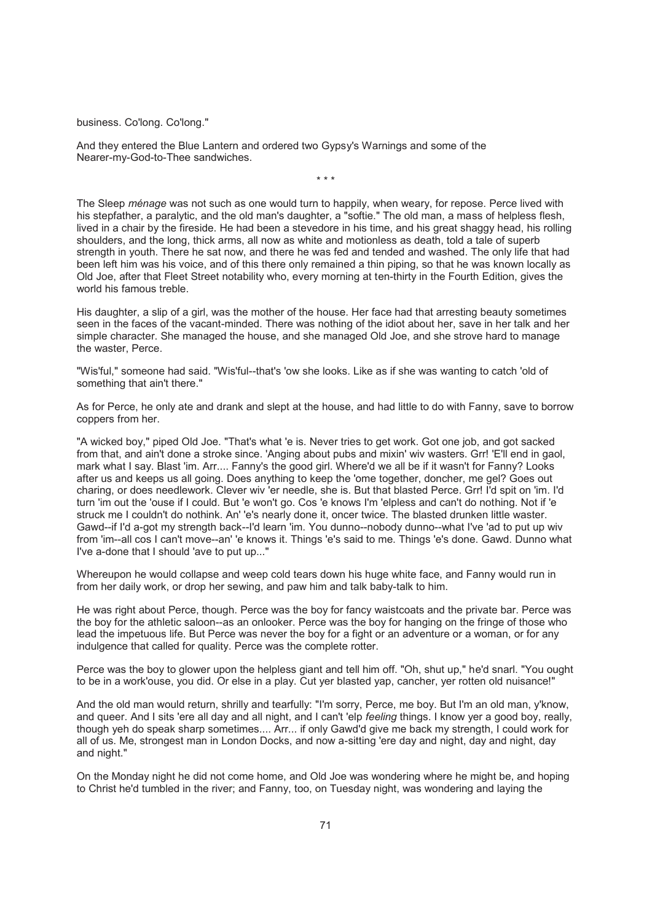business. Co'long. Co'long."

And they entered the Blue Lantern and ordered two Gypsy's Warnings and some of the Nearer-my-God-to-Thee sandwiches.

The Sleep *ménage* was not such as one would turn to happily, when weary, for repose. Perce lived with his stepfather, a paralytic, and the old man's daughter, a "softie." The old man, a mass of helpless flesh, lived in a chair by the fireside. He had been a stevedore in his time, and his great shaggy head, his rolling shoulders, and the long, thick arms, all now as white and motionless as death, told a tale of superb strength in youth. There he sat now, and there he was fed and tended and washed. The only life that had been left him was his voice, and of this there only remained a thin piping, so that he was known locally as Old Joe, after that Fleet Street notability who, every morning at ten-thirty in the Fourth Edition, gives the world his famous treble.

\* \* \*

His daughter, a slip of a girl, was the mother of the house. Her face had that arresting beauty sometimes seen in the faces of the vacant-minded. There was nothing of the idiot about her, save in her talk and her simple character. She managed the house, and she managed Old Joe, and she strove hard to manage the waster, Perce.

"Wis'ful," someone had said. "Wis'ful--that's 'ow she looks. Like as if she was wanting to catch 'old of something that ain't there."

As for Perce, he only ate and drank and slept at the house, and had little to do with Fanny, save to borrow coppers from her.

"A wicked boy," piped Old Joe. "That's what 'e is. Never tries to get work. Got one job, and got sacked from that, and ain't done a stroke since. 'Anging about pubs and mixin' wiv wasters. Grr! 'E'll end in gaol, mark what I say. Blast 'im. Arr.... Fanny's the good girl. Where'd we all be if it wasn't for Fanny? Looks after us and keeps us all going. Does anything to keep the 'ome together, doncher, me gel? Goes out charing, or does needlework. Clever wiv 'er needle, she is. But that blasted Perce. Grr! I'd spit on 'im. I'd turn 'im out the 'ouse if I could. But 'e won't go. Cos 'e knows I'm 'elpless and can't do nothing. Not if 'e struck me I couldn't do nothink. An' 'e's nearly done it, oncer twice. The blasted drunken little waster. Gawd--if I'd a-got my strength back--I'd learn 'im. You dunno--nobody dunno--what I've 'ad to put up wiv from 'im--all cos I can't move--an' 'e knows it. Things 'e's said to me. Things 'e's done. Gawd. Dunno what I've a-done that I should 'ave to put up..."

Whereupon he would collapse and weep cold tears down his huge white face, and Fanny would run in from her daily work, or drop her sewing, and paw him and talk baby-talk to him.

He was right about Perce, though. Perce was the boy for fancy waistcoats and the private bar. Perce was the boy for the athletic saloon--as an onlooker. Perce was the boy for hanging on the fringe of those who lead the impetuous life. But Perce was never the boy for a fight or an adventure or a woman, or for any indulgence that called for quality. Perce was the complete rotter.

Perce was the boy to glower upon the helpless giant and tell him off. "Oh, shut up," he'd snarl. "You ought to be in a work'ouse, you did. Or else in a play. Cut yer blasted yap, cancher, yer rotten old nuisance!"

And the old man would return, shrilly and tearfully: "I'm sorry, Perce, me boy. But I'm an old man, y'know, and queer. And I sits 'ere all day and all night, and I can't 'elp *feeling* things. I know yer a good boy, really, though yeh do speak sharp sometimes.... Arr... if only Gawd'd give me back my strength, I could work for all of us. Me, strongest man in London Docks, and now a-sitting 'ere day and night, day and night, day and night."

On the Monday night he did not come home, and Old Joe was wondering where he might be, and hoping to Christ he'd tumbled in the river; and Fanny, too, on Tuesday night, was wondering and laying the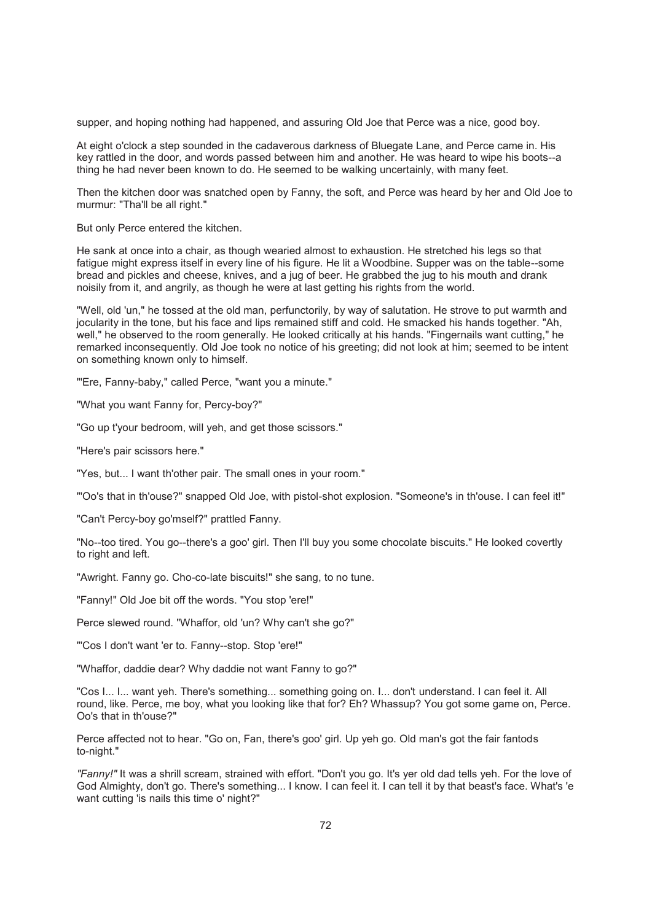supper, and hoping nothing had happened, and assuring Old Joe that Perce was a nice, good boy.

At eight o'clock a step sounded in the cadaverous darkness of Bluegate Lane, and Perce came in. His key rattled in the door, and words passed between him and another. He was heard to wipe his boots--a thing he had never been known to do. He seemed to be walking uncertainly, with many feet.

Then the kitchen door was snatched open by Fanny, the soft, and Perce was heard by her and Old Joe to murmur: "Tha'll be all right."

But only Perce entered the kitchen.

He sank at once into a chair, as though wearied almost to exhaustion. He stretched his legs so that fatigue might express itself in every line of his figure. He lit a Woodbine. Supper was on the table--some bread and pickles and cheese, knives, and a jug of beer. He grabbed the jug to his mouth and drank noisily from it, and angrily, as though he were at last getting his rights from the world.

"Well, old 'un," he tossed at the old man, perfunctorily, by way of salutation. He strove to put warmth and jocularity in the tone, but his face and lips remained stiff and cold. He smacked his hands together. "Ah, well," he observed to the room generally. He looked critically at his hands. "Fingernails want cutting," he remarked inconsequently. Old Joe took no notice of his greeting; did not look at him; seemed to be intent on something known only to himself.

"'Ere, Fanny-baby," called Perce, "want you a minute."

"What you want Fanny for, Percy-boy?"

"Go up t'your bedroom, will yeh, and get those scissors."

"Here's pair scissors here."

"Yes, but... I want th'other pair. The small ones in your room."

"'Oo's that in th'ouse?" snapped Old Joe, with pistol-shot explosion. "Someone's in th'ouse. I can feel it!"

"Can't Percy-boy go'mself?" prattled Fanny.

"No--too tired. You go--there's a goo' girl. Then I'll buy you some chocolate biscuits." He looked covertly to right and left.

"Awright. Fanny go. Cho-co-late biscuits!" she sang, to no tune.

"Fanny!" Old Joe bit off the words. "You stop 'ere!"

Perce slewed round. "Whaffor, old 'un? Why can't she go?"

"'Cos I don't want 'er to. Fanny--stop. Stop 'ere!"

"Whaffor, daddie dear? Why daddie not want Fanny to go?"

"Cos I... I... want yeh. There's something... something going on. I... don't understand. I can feel it. All round, like. Perce, me boy, what you looking like that for? Eh? Whassup? You got some game on, Perce. Oo's that in th'ouse?"

Perce affected not to hear. "Go on, Fan, there's goo' girl. Up yeh go. Old man's got the fair fantods to-night."

*"Fanny!"* It was a shrill scream, strained with effort. "Don't you go. It's yer old dad tells yeh. For the love of God Almighty, don't go. There's something... I know. I can feel it. I can tell it by that beast's face. What's 'e want cutting 'is nails this time o' night?"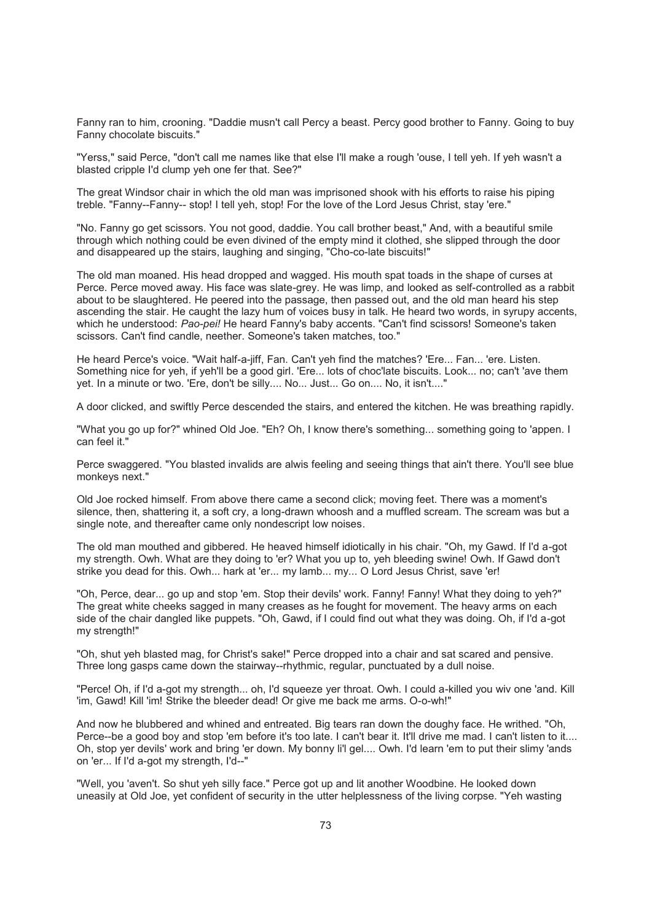Fanny ran to him, crooning. "Daddie musn't call Percy a beast. Percy good brother to Fanny. Going to buy Fanny chocolate biscuits."

"Yerss," said Perce, "don't call me names like that else I'll make a rough 'ouse, I tell yeh. If yeh wasn't a blasted cripple I'd clump yeh one fer that. See?"

The great Windsor chair in which the old man was imprisoned shook with his efforts to raise his piping treble. "Fanny--Fanny-- stop! I tell yeh, stop! For the love of the Lord Jesus Christ, stay 'ere."

"No. Fanny go get scissors. You not good, daddie. You call brother beast," And, with a beautiful smile through which nothing could be even divined of the empty mind it clothed, she slipped through the door and disappeared up the stairs, laughing and singing, "Cho-co-late biscuits!"

The old man moaned. His head dropped and wagged. His mouth spat toads in the shape of curses at Perce. Perce moved away. His face was slate-grey. He was limp, and looked as self-controlled as a rabbit about to be slaughtered. He peered into the passage, then passed out, and the old man heard his step ascending the stair. He caught the lazy hum of voices busy in talk. He heard two words, in syrupy accents, which he understood: *Pao-pei!* He heard Fanny's baby accents. "Can't find scissors! Someone's taken scissors. Can't find candle, neether. Someone's taken matches, too."

He heard Perce's voice. "Wait half-a-jiff, Fan. Can't yeh find the matches? 'Ere... Fan... 'ere. Listen. Something nice for yeh, if yeh'll be a good girl. 'Ere... lots of choc'late biscuits. Look... no; can't 'ave them yet. In a minute or two. 'Ere, don't be silly.... No... Just... Go on.... No, it isn't...."

A door clicked, and swiftly Perce descended the stairs, and entered the kitchen. He was breathing rapidly.

"What you go up for?" whined Old Joe. "Eh? Oh, I know there's something... something going to 'appen. I can feel it."

Perce swaggered. "You blasted invalids are alwis feeling and seeing things that ain't there. You'll see blue monkeys next."

Old Joe rocked himself. From above there came a second click; moving feet. There was a moment's silence, then, shattering it, a soft cry, a long-drawn whoosh and a muffled scream. The scream was but a single note, and thereafter came only nondescript low noises.

The old man mouthed and gibbered. He heaved himself idiotically in his chair. "Oh, my Gawd. If I'd a-got my strength. Owh. What are they doing to 'er? What you up to, yeh bleeding swine! Owh. If Gawd don't strike you dead for this. Owh... hark at 'er... my lamb... my... O Lord Jesus Christ, save 'er!

"Oh, Perce, dear... go up and stop 'em. Stop their devils' work. Fanny! Fanny! What they doing to yeh?" The great white cheeks sagged in many creases as he fought for movement. The heavy arms on each side of the chair dangled like puppets. "Oh, Gawd, if I could find out what they was doing. Oh, if I'd a-got my strength!"

"Oh, shut yeh blasted mag, for Christ's sake!" Perce dropped into a chair and sat scared and pensive. Three long gasps came down the stairway--rhythmic, regular, punctuated by a dull noise.

"Perce! Oh, if I'd a-got my strength... oh, I'd squeeze yer throat. Owh. I could a-killed you wiv one 'and. Kill 'im, Gawd! Kill 'im! Strike the bleeder dead! Or give me back me arms. O-o-wh!"

And now he blubbered and whined and entreated. Big tears ran down the doughy face. He writhed. "Oh, Perce--be a good boy and stop 'em before it's too late. I can't bear it. It'll drive me mad. I can't listen to it.... Oh, stop yer devils' work and bring 'er down. My bonny li'l gel.... Owh. I'd learn 'em to put their slimy 'ands on 'er... If I'd a-got my strength, I'd--"

"Well, you 'aven't. So shut yeh silly face." Perce got up and lit another Woodbine. He looked down uneasily at Old Joe, yet confident of security in the utter helplessness of the living corpse. "Yeh wasting